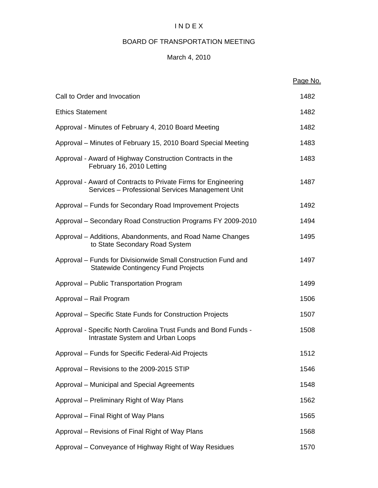# I N D E X

# BOARD OF TRANSPORTATION MEETING

# March 4, 2010

|                                                                                                                    | Page No. |
|--------------------------------------------------------------------------------------------------------------------|----------|
| Call to Order and Invocation                                                                                       | 1482     |
| <b>Ethics Statement</b>                                                                                            | 1482     |
| Approval - Minutes of February 4, 2010 Board Meeting                                                               | 1482     |
| Approval – Minutes of February 15, 2010 Board Special Meeting                                                      | 1483     |
| Approval - Award of Highway Construction Contracts in the<br>February 16, 2010 Letting                             | 1483     |
| Approval - Award of Contracts to Private Firms for Engineering<br>Services - Professional Services Management Unit | 1487     |
| Approval - Funds for Secondary Road Improvement Projects                                                           | 1492     |
| Approval – Secondary Road Construction Programs FY 2009-2010                                                       | 1494     |
| Approval – Additions, Abandonments, and Road Name Changes<br>to State Secondary Road System                        | 1495     |
| Approval – Funds for Divisionwide Small Construction Fund and<br><b>Statewide Contingency Fund Projects</b>        | 1497     |
| Approval - Public Transportation Program                                                                           | 1499     |
| Approval – Rail Program                                                                                            | 1506     |
| Approval – Specific State Funds for Construction Projects                                                          | 1507     |
| Approval - Specific North Carolina Trust Funds and Bond Funds -<br>Intrastate System and Urban Loops               | 1508     |
| Approval – Funds for Specific Federal-Aid Projects                                                                 | 1512     |
| Approval - Revisions to the 2009-2015 STIP                                                                         | 1546     |
| Approval - Municipal and Special Agreements                                                                        | 1548     |
| Approval – Preliminary Right of Way Plans                                                                          | 1562     |
| Approval – Final Right of Way Plans                                                                                | 1565     |
| Approval – Revisions of Final Right of Way Plans                                                                   | 1568     |
| Approval – Conveyance of Highway Right of Way Residues                                                             | 1570     |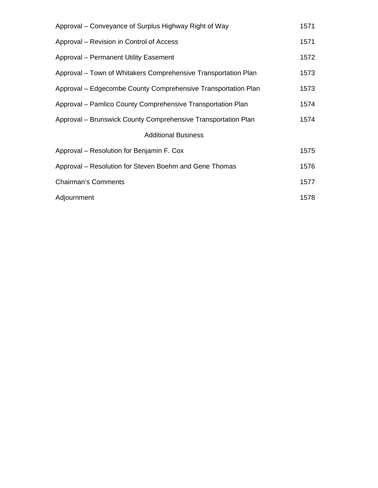| Approval – Conveyance of Surplus Highway Right of Way          | 1571 |
|----------------------------------------------------------------|------|
| Approval – Revision in Control of Access                       | 1571 |
| <b>Approval - Permanent Utility Easement</b>                   | 1572 |
| Approval - Town of Whitakers Comprehensive Transportation Plan | 1573 |
| Approval – Edgecombe County Comprehensive Transportation Plan  | 1573 |
| Approval – Pamlico County Comprehensive Transportation Plan    | 1574 |
| Approval – Brunswick County Comprehensive Transportation Plan  | 1574 |
| <b>Additional Business</b>                                     |      |
| Approval – Resolution for Benjamin F. Cox                      | 1575 |
| Approval – Resolution for Steven Boehm and Gene Thomas         | 1576 |
| <b>Chairman's Comments</b>                                     | 1577 |
| Adjournment                                                    | 1578 |
|                                                                |      |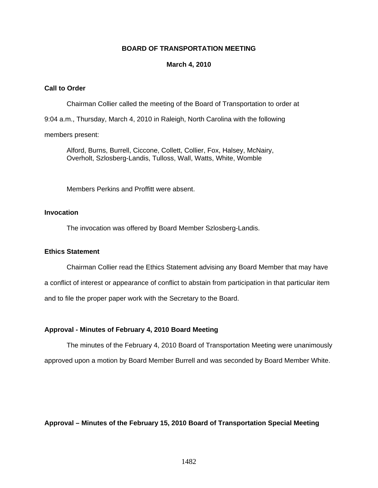#### **BOARD OF TRANSPORTATION MEETING**

#### **March 4, 2010**

### **Call to Order**

Chairman Collier called the meeting of the Board of Transportation to order at 9:04 a.m., Thursday, March 4, 2010 in Raleigh, North Carolina with the following members present:

Alford, Burns, Burrell, Ciccone, Collett, Collier, Fox, Halsey, McNairy, Overholt, Szlosberg-Landis, Tulloss, Wall, Watts, White, Womble

Members Perkins and Proffitt were absent.

### **Invocation**

The invocation was offered by Board Member Szlosberg-Landis.

#### **Ethics Statement**

Chairman Collier read the Ethics Statement advising any Board Member that may have a conflict of interest or appearance of conflict to abstain from participation in that particular item and to file the proper paper work with the Secretary to the Board.

#### **Approval - Minutes of February 4, 2010 Board Meeting**

The minutes of the February 4, 2010 Board of Transportation Meeting were unanimously approved upon a motion by Board Member Burrell and was seconded by Board Member White.

**Approval – Minutes of the February 15, 2010 Board of Transportation Special Meeting**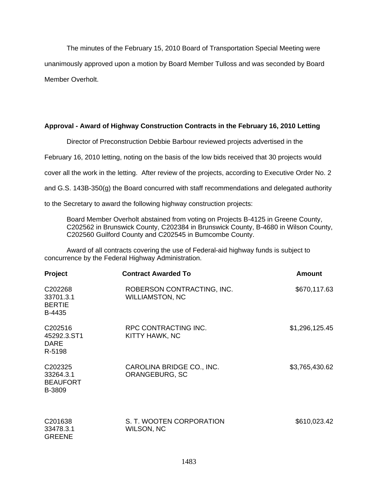The minutes of the February 15, 2010 Board of Transportation Special Meeting were unanimously approved upon a motion by Board Member Tulloss and was seconded by Board Member Overholt.

#### **Approval - Award of Highway Construction Contracts in the February 16, 2010 Letting**

Director of Preconstruction Debbie Barbour reviewed projects advertised in the

February 16, 2010 letting, noting on the basis of the low bids received that 30 projects would

cover all the work in the letting. After review of the projects, according to Executive Order No. 2

and G.S. 143B-350(g) the Board concurred with staff recommendations and delegated authority

to the Secretary to award the following highway construction projects:

Board Member Overholt abstained from voting on Projects B-4125 in Greene County, C202562 in Brunswick County, C202384 in Brunswick County, B-4680 in Wilson County, C202560 Guilford County and C202545 in Bumcombe County.

Award of all contracts covering the use of Federal-aid highway funds is subject to concurrence by the Federal Highway Administration.

| Project                                                       | <b>Contract Awarded To</b>                           | Amount         |
|---------------------------------------------------------------|------------------------------------------------------|----------------|
| C202268<br>33701.3.1<br><b>BERTIE</b><br>B-4435               | ROBERSON CONTRACTING, INC.<br><b>WILLIAMSTON, NC</b> | \$670,117.63   |
| C202516<br>45292.3.ST1<br><b>DARE</b><br>R-5198               | RPC CONTRACTING INC.<br>KITTY HAWK, NC               | \$1,296,125.45 |
| C <sub>202325</sub><br>33264.3.1<br><b>BEAUFORT</b><br>B-3809 | CAROLINA BRIDGE CO., INC.<br>ORANGEBURG, SC          | \$3,765,430.62 |
| C201638<br>33478.3.1<br><b>GREENE</b>                         | S. T. WOOTEN CORPORATION<br>WILSON, NC               | \$610,023.42   |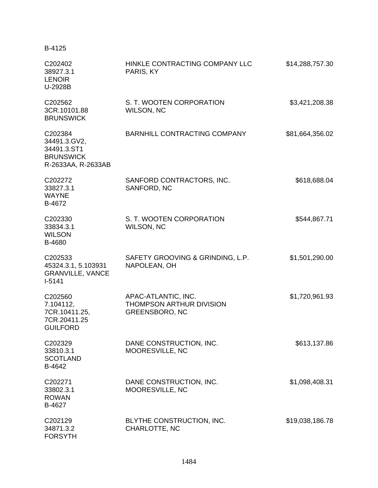| B-4125                                                                           |                                                                                 |                 |
|----------------------------------------------------------------------------------|---------------------------------------------------------------------------------|-----------------|
| C202402<br>38927.3.1<br><b>LENOIR</b><br>U-2928B                                 | HINKLE CONTRACTING COMPANY LLC<br>PARIS, KY                                     | \$14,288,757.30 |
| C202562<br>3CR.10101.88<br><b>BRUNSWICK</b>                                      | S. T. WOOTEN CORPORATION<br><b>WILSON, NC</b>                                   | \$3,421,208.38  |
| C202384<br>34491.3.GV2,<br>34491.3.ST1<br><b>BRUNSWICK</b><br>R-2633AA, R-2633AB | BARNHILL CONTRACTING COMPANY                                                    | \$81,664,356.02 |
| C202272<br>33827.3.1<br><b>WAYNE</b><br>B-4672                                   | SANFORD CONTRACTORS, INC.<br>SANFORD, NC                                        | \$618,688.04    |
| C202330<br>33834.3.1<br><b>WILSON</b><br>B-4680                                  | S. T. WOOTEN CORPORATION<br><b>WILSON, NC</b>                                   | \$544,867.71    |
| C202533<br>45324.3.1, 5.103931<br><b>GRANVILLE, VANCE</b><br>$I-5141$            | SAFETY GROOVING & GRINDING, L.P.<br>NAPOLEAN, OH                                | \$1,501,290.00  |
| C202560<br>7.104112,<br>7CR.10411.25,<br>7CR.20411.25<br><b>GUILFORD</b>         | APAC-ATLANTIC, INC.<br><b>THOMPSON ARTHUR DIVISION</b><br><b>GREENSBORO, NC</b> | \$1,720,961.93  |
| C202329<br>33810.3.1<br><b>SCOTLAND</b><br>B-4642                                | DANE CONSTRUCTION, INC.<br>MOORESVILLE, NC                                      | \$613,137.86    |
| C202271<br>33802.3.1<br><b>ROWAN</b><br>B-4627                                   | DANE CONSTRUCTION, INC.<br>MOORESVILLE, NC                                      | \$1,098,408.31  |
| C202129<br>34871.3.2<br><b>FORSYTH</b>                                           | BLYTHE CONSTRUCTION, INC.<br>CHARLOTTE, NC                                      | \$19,038,186.78 |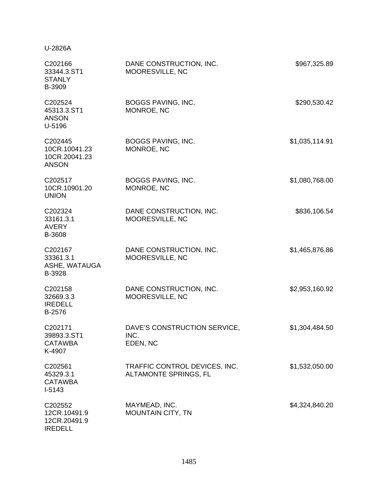### U-2826A

| C202166<br>33344.3.ST1<br><b>STANLY</b><br>B-3909         | DANE CONSTRUCTION, INC.<br>MOORESVILLE, NC             | \$967,325.89   |
|-----------------------------------------------------------|--------------------------------------------------------|----------------|
| C202524<br>45313.3.ST1<br><b>ANSON</b><br>U-5196          | BOGGS PAVING, INC.<br>MONROE, NC                       | \$290,530.42   |
| C202445<br>10CR.10041.23<br>10CR.20041.23<br><b>ANSON</b> | <b>BOGGS PAVING, INC.</b><br>MONROE, NC                | \$1,035,114.91 |
| C202517<br>10CR.10901.20<br><b>UNION</b>                  | <b>BOGGS PAVING, INC.</b><br>MONROE, NC                | \$1,080,768.00 |
| C202324<br>33161.3.1<br><b>AVERY</b><br>B-3608            | DANE CONSTRUCTION, INC.<br>MOORESVILLE, NC             | \$836,106.54   |
| C202167<br>33361.3.1<br>ASHE, WATAUGA<br>B-3928           | DANE CONSTRUCTION, INC.<br>MOORESVILLE, NC             | \$1,465,876.86 |
| C202158<br>32669.3.3<br><b>IREDELL</b><br>B-2576          | DANE CONSTRUCTION, INC.<br>MOORESVILLE, NC             | \$2,953,160.92 |
| C202171<br>39893.3.ST1<br><b>CATAWBA</b><br>K-4907        | DAVE'S CONSTRUCTION SERVICE,<br>INC.<br>EDEN, NC       | \$1,304,484.50 |
| C202561<br>45329.3.1<br><b>CATAWBA</b><br>$I-5143$        | TRAFFIC CONTROL DEVICES, INC.<br>ALTAMONTE SPRINGS, FL | \$1,532,050.00 |
| C202552<br>12CR.10491.9<br>12CR.20491.9<br><b>IREDELL</b> | MAYMEAD, INC.<br><b>MOUNTAIN CITY, TN</b>              | \$4,324,840.20 |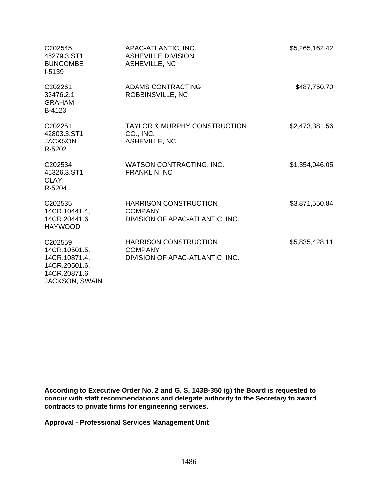| C202545<br>45279.3.ST1<br><b>BUNCOMBE</b><br>I-5139                                                 | APAC-ATLANTIC, INC.<br><b>ASHEVILLE DIVISION</b><br>ASHEVILLE, NC                 | \$5,265,162.42 |
|-----------------------------------------------------------------------------------------------------|-----------------------------------------------------------------------------------|----------------|
| C202261<br>33476.2.1<br><b>GRAHAM</b><br>B-4123                                                     | <b>ADAMS CONTRACTING</b><br>ROBBINSVILLE, NC                                      | \$487,750.70   |
| C202251<br>42803.3.ST1<br><b>JACKSON</b><br>R-5202                                                  | <b>TAYLOR &amp; MURPHY CONSTRUCTION</b><br>CO., INC.<br><b>ASHEVILLE, NC</b>      | \$2,473,381.56 |
| C202534<br>45326.3.ST1<br><b>CLAY</b><br>R-5204                                                     | WATSON CONTRACTING, INC.<br><b>FRANKLIN, NC</b>                                   | \$1,354,046.05 |
| C202535<br>14CR.10441.4,<br>14CR.20441.6<br><b>HAYWOOD</b>                                          | <b>HARRISON CONSTRUCTION</b><br><b>COMPANY</b><br>DIVISION OF APAC-ATLANTIC, INC. | \$3,871,550.84 |
| C202559<br>14CR.10501.5,<br>14CR.10871.4,<br>14CR.20501.6,<br>14CR.20871.6<br><b>JACKSON, SWAIN</b> | <b>HARRISON CONSTRUCTION</b><br><b>COMPANY</b><br>DIVISION OF APAC-ATLANTIC, INC. | \$5,835,428.11 |

**According to Executive Order No. 2 and G. S. 143B-350 (g) the Board is requested to concur with staff recommendations and delegate authority to the Secretary to award contracts to private firms for engineering services.** 

**Approval - Professional Services Management Unit**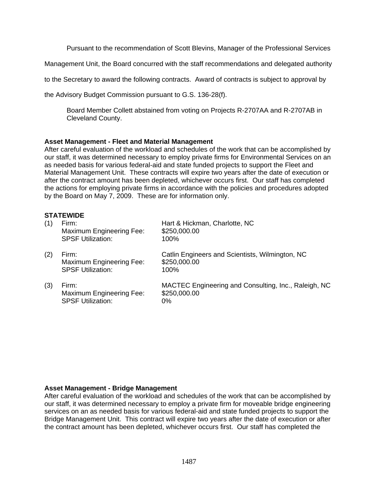Pursuant to the recommendation of Scott Blevins, Manager of the Professional Services

Management Unit, the Board concurred with the staff recommendations and delegated authority

to the Secretary to award the following contracts. Award of contracts is subject to approval by

the Advisory Budget Commission pursuant to G.S. 136-28(f).

Board Member Collett abstained from voting on Projects R-2707AA and R-2707AB in Cleveland County.

#### **Asset Management - Fleet and Material Management**

After careful evaluation of the workload and schedules of the work that can be accomplished by our staff, it was determined necessary to employ private firms for Environmental Services on an as needed basis for various federal-aid and state funded projects to support the Fleet and Material Management Unit. These contracts will expire two years after the date of execution or after the contract amount has been depleted, whichever occurs first. Our staff has completed the actions for employing private firms in accordance with the policies and procedures adopted by the Board on May 7, 2009. These are for information only.

#### **STATEWIDE**

| (1) | Firm:<br>Maximum Engineering Fee:<br><b>SPSF Utilization:</b>        | Hart & Hickman, Charlotte, NC<br>\$250,000.00<br>100%                         |
|-----|----------------------------------------------------------------------|-------------------------------------------------------------------------------|
| (2) | Firm:<br><b>Maximum Engineering Fee:</b><br><b>SPSF Utilization:</b> | Catlin Engineers and Scientists, Wilmington, NC<br>\$250,000.00<br>100%       |
| (3) | Firm:<br>Maximum Engineering Fee:<br><b>SPSF Utilization:</b>        | MACTEC Engineering and Consulting, Inc., Raleigh, NC<br>\$250,000.00<br>$0\%$ |

### **Asset Management - Bridge Management**

After careful evaluation of the workload and schedules of the work that can be accomplished by our staff, it was determined necessary to employ a private firm for moveable bridge engineering services on an as needed basis for various federal-aid and state funded projects to support the Bridge Management Unit. This contract will expire two years after the date of execution or after the contract amount has been depleted, whichever occurs first. Our staff has completed the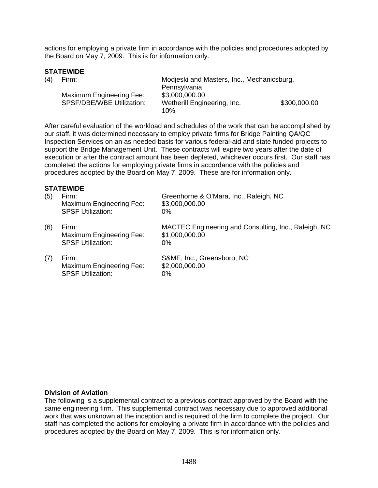actions for employing a private firm in accordance with the policies and procedures adopted by the Board on May 7, 2009. This is for information only.

### **STATEWIDE**

| (4) | Firm:                     | Modjeski and Masters, Inc., Mechanicsburg, |              |
|-----|---------------------------|--------------------------------------------|--------------|
|     |                           | Pennsylvania                               |              |
|     | Maximum Engineering Fee:  | \$3,000,000.00                             |              |
|     | SPSF/DBE/WBE Utilization: | Wetherill Engineering, Inc.                | \$300,000.00 |
|     |                           | 10%                                        |              |

After careful evaluation of the workload and schedules of the work that can be accomplished by our staff, it was determined necessary to employ private firms for Bridge Painting QA/QC Inspection Services on an as needed basis for various federal-aid and state funded projects to support the Bridge Management Unit. These contracts will expire two years after the date of execution or after the contract amount has been depleted, whichever occurs first. Our staff has completed the actions for employing private firms in accordance with the policies and procedures adopted by the Board on May 7, 2009. These are for information only.

#### **STATEWIDE**

| (5) | Firm:<br>Maximum Engineering Fee:<br><b>SPSF Utilization:</b> | Greenhorne & O'Mara, Inc., Raleigh, NC<br>\$3,000,000.00<br>$0\%$               |
|-----|---------------------------------------------------------------|---------------------------------------------------------------------------------|
| (6) | Firm:<br>Maximum Engineering Fee:<br><b>SPSF Utilization:</b> | MACTEC Engineering and Consulting, Inc., Raleigh, NC<br>\$1,000,000.00<br>$0\%$ |
| (7) | Firm:<br>Maximum Engineering Fee:<br><b>SPSF Utilization:</b> | S&ME, Inc., Greensboro, NC<br>\$2,000,000.00<br>$0\%$                           |

#### **Division of Aviation**

The following is a supplemental contract to a previous contract approved by the Board with the same engineering firm. This supplemental contract was necessary due to approved additional work that was unknown at the inception and is required of the firm to complete the project. Our staff has completed the actions for employing a private firm in accordance with the policies and procedures adopted by the Board on May 7, 2009. This is for information only.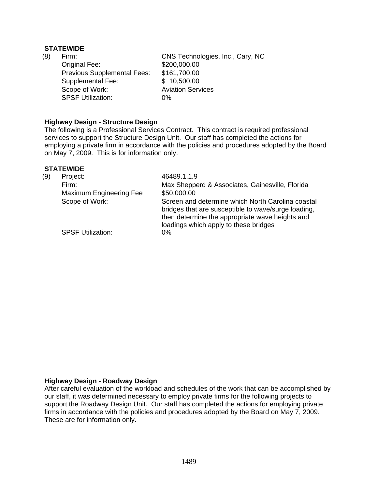### **STATEWIDE**

(8) Firm: CNS Technologies, Inc., Cary, NC Original Fee: \$200,000.00 Previous Supplemental Fees: \$161,700.00 Supplemental Fee: \$ 10,500.00 Scope of Work: Aviation Services SPSF Utilization: 0%

### **Highway Design - Structure Design**

The following is a Professional Services Contract. This contract is required professional services to support the Structure Design Unit. Our staff has completed the actions for employing a private firm in accordance with the policies and procedures adopted by the Board on May 7, 2009. This is for information only.

#### **STATEWIDE**

| (9) | Project:                 | 46489.1.1.9                                                                                                                                                                                          |
|-----|--------------------------|------------------------------------------------------------------------------------------------------------------------------------------------------------------------------------------------------|
|     | Firm:                    | Max Shepperd & Associates, Gainesville, Florida                                                                                                                                                      |
|     | Maximum Engineering Fee  | \$50,000.00                                                                                                                                                                                          |
|     | Scope of Work:           | Screen and determine which North Carolina coastal<br>bridges that are susceptible to wave/surge loading,<br>then determine the appropriate wave heights and<br>loadings which apply to these bridges |
|     | <b>SPSF Utilization:</b> | $0\%$                                                                                                                                                                                                |

# **Highway Design - Roadway Design**

After careful evaluation of the workload and schedules of the work that can be accomplished by our staff, it was determined necessary to employ private firms for the following projects to support the Roadway Design Unit. Our staff has completed the actions for employing private firms in accordance with the policies and procedures adopted by the Board on May 7, 2009. These are for information only.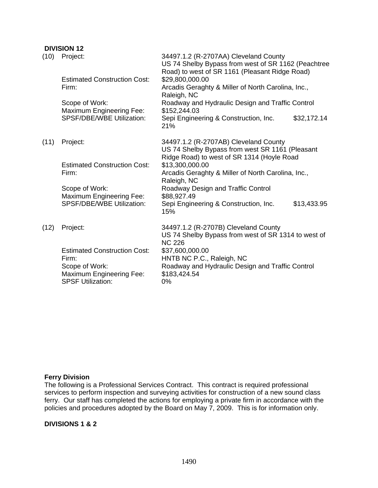# **DIVISION 12**

| (10) | Project:<br><b>Estimated Construction Cost:</b><br>Firm:<br>Scope of Work:<br><b>Maximum Engineering Fee:</b>          | 34497.1.2 (R-2707AA) Cleveland County<br>US 74 Shelby Bypass from west of SR 1162 (Peachtree<br>Road) to west of SR 1161 (Pleasant Ridge Road)<br>\$29,800,000.00<br>Arcadis Geraghty & Miller of North Carolina, Inc.,<br>Raleigh, NC<br>Roadway and Hydraulic Design and Traffic Control<br>\$152,244.03 |
|------|------------------------------------------------------------------------------------------------------------------------|------------------------------------------------------------------------------------------------------------------------------------------------------------------------------------------------------------------------------------------------------------------------------------------------------------|
|      | SPSF/DBE/WBE Utilization:                                                                                              | Sepi Engineering & Construction, Inc.<br>\$32,172.14<br>21%                                                                                                                                                                                                                                                |
| (11) | Project:                                                                                                               | 34497.1.2 (R-2707AB) Cleveland County<br>US 74 Shelby Bypass from west SR 1161 (Pleasant<br>Ridge Road) to west of SR 1314 (Hoyle Road                                                                                                                                                                     |
|      | <b>Estimated Construction Cost:</b><br>Firm:                                                                           | \$13,300,000.00<br>Arcadis Geraghty & Miller of North Carolina, Inc.,<br>Raleigh, NC                                                                                                                                                                                                                       |
|      | Scope of Work:<br>Maximum Engineering Fee:                                                                             | Roadway Design and Traffic Control<br>\$88,927.49                                                                                                                                                                                                                                                          |
|      | <b>SPSF/DBE/WBE Utilization:</b>                                                                                       | Sepi Engineering & Construction, Inc.<br>\$13,433.95<br>15%                                                                                                                                                                                                                                                |
| (12) | Project:                                                                                                               | 34497.1.2 (R-2707B) Cleveland County<br>US 74 Shelby Bypass from west of SR 1314 to west of<br><b>NC 226</b>                                                                                                                                                                                               |
|      | <b>Estimated Construction Cost:</b><br>Firm:<br>Scope of Work:<br>Maximum Engineering Fee:<br><b>SPSF Utilization:</b> | \$37,600,000.00<br>HNTB NC P.C., Raleigh, NC<br>Roadway and Hydraulic Design and Traffic Control<br>\$183,424.54<br>0%                                                                                                                                                                                     |

# **Ferry Division**

The following is a Professional Services Contract. This contract is required professional services to perform inspection and surveying activities for construction of a new sound class ferry. Our staff has completed the actions for employing a private firm in accordance with the policies and procedures adopted by the Board on May 7, 2009. This is for information only.

#### **DIVISIONS 1 & 2**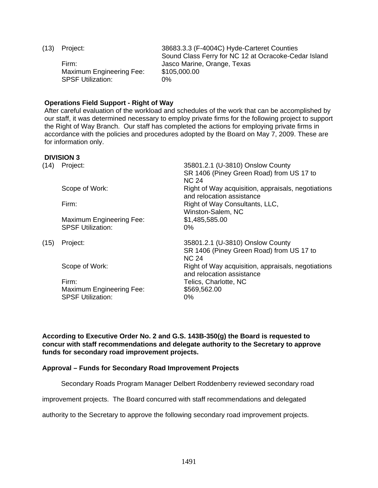| (13) | Project: |
|------|----------|
|------|----------|

Maximum Engineering Fee: \$105,000.00 SPSF Utilization: 0%

38683.3.3 (F-4004C) Hyde-Carteret Counties Sound Class Ferry for NC 12 at Ocracoke-Cedar Island Firm: Jasco Marine, Orange, Texas

### **Operations Field Support - Right of Way**

After careful evaluation of the workload and schedules of the work that can be accomplished by our staff, it was determined necessary to employ private firms for the following project to support the Right of Way Branch. Our staff has completed the actions for employing private firms in accordance with the policies and procedures adopted by the Board on May 7, 2009. These are for information only.

# **DIVISION 3**

| (14) | Project:                                                    | 35801.2.1 (U-3810) Onslow County<br>SR 1406 (Piney Green Road) from US 17 to<br><b>NC 24</b> |
|------|-------------------------------------------------------------|----------------------------------------------------------------------------------------------|
|      | Scope of Work:                                              | Right of Way acquisition, appraisals, negotiations<br>and relocation assistance              |
|      | Firm:                                                       | Right of Way Consultants, LLC,<br>Winston-Salem, NC                                          |
|      | <b>Maximum Engineering Fee:</b><br><b>SPSF Utilization:</b> | \$1,485,585.00<br>$0\%$                                                                      |
| (15) | Project:                                                    | 35801.2.1 (U-3810) Onslow County<br>SR 1406 (Piney Green Road) from US 17 to<br><b>NC 24</b> |
|      | Scope of Work:                                              | Right of Way acquisition, appraisals, negotiations<br>and relocation assistance              |
|      | Firm:<br><b>Maximum Engineering Fee:</b>                    | Telics, Charlotte, NC<br>\$569,562.00                                                        |

**According to Executive Order No. 2 and G.S. 143B-350(g) the Board is requested to concur with staff recommendations and delegate authority to the Secretary to approve funds for secondary road improvement projects.** 

### **Approval – Funds for Secondary Road Improvement Projects**

Secondary Roads Program Manager Delbert Roddenberry reviewed secondary road

improvement projects. The Board concurred with staff recommendations and delegated

authority to the Secretary to approve the following secondary road improvement projects.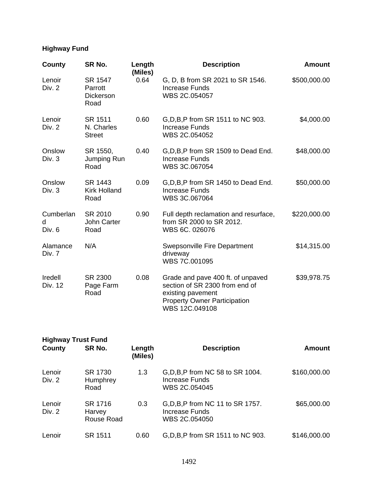# **Highway Fund**

| County                   | SR No.                                         | Length<br>(Miles) | <b>Description</b>                                                                                                                                | <b>Amount</b> |
|--------------------------|------------------------------------------------|-------------------|---------------------------------------------------------------------------------------------------------------------------------------------------|---------------|
| Lenoir<br>Div. 2         | SR 1547<br>Parrott<br><b>Dickerson</b><br>Road | 0.64              | G, D, B from SR 2021 to SR 1546.<br>Increase Funds<br>WBS 2C.054057                                                                               | \$500,000.00  |
| Lenoir<br>Div. 2         | SR 1511<br>N. Charles<br><b>Street</b>         | 0.60              | G, D, B, P from SR 1511 to NC 903.<br>Increase Funds<br>WBS 2C.054052                                                                             | \$4,000.00    |
| Onslow<br>Div. 3         | SR 1550,<br>Jumping Run<br>Road                | 0.40              | G, D, B, P from SR 1509 to Dead End.<br><b>Increase Funds</b><br>WBS 3C.067054                                                                    | \$48,000.00   |
| Onslow<br>Div. 3         | SR 1443<br><b>Kirk Holland</b><br>Road         | 0.09              | G, D, B, P from SR 1450 to Dead End.<br><b>Increase Funds</b><br>WBS 3C.067064                                                                    | \$50,000.00   |
| Cumberlan<br>d<br>Div. 6 | SR 2010<br>John Carter<br>Road                 | 0.90              | Full depth reclamation and resurface,<br>from SR 2000 to SR 2012.<br>WBS 6C. 026076                                                               | \$220,000.00  |
| Alamance<br>Div. 7       | N/A                                            |                   | Swepsonville Fire Department<br>driveway<br>WBS 7C.001095                                                                                         | \$14,315.00   |
| Iredell<br>Div. 12       | SR 2300<br>Page Farm<br>Road                   | 0.08              | Grade and pave 400 ft. of unpaved<br>section of SR 2300 from end of<br>existing pavement<br><b>Property Owner Participation</b><br>WBS 12C.049108 | \$39,978.75   |

| <b>Highway Trust Fund</b> |                                 |                   |                                                                             |              |
|---------------------------|---------------------------------|-------------------|-----------------------------------------------------------------------------|--------------|
| County                    | SR No.                          | Length<br>(Miles) | <b>Description</b>                                                          | Amount       |
| Lenoir<br>Div. 2          | SR 1730<br>Humphrey<br>Road     | 1.3               | G, D, B, P from NC 58 to SR 1004.<br><b>Increase Funds</b><br>WBS 2C.054045 | \$160,000.00 |
| Lenoir<br>Div. 2          | SR 1716<br>Harvey<br>Rouse Road | 0.3               | G, D, B, P from NC 11 to SR 1757.<br>Increase Funds<br>WBS 2C.054050        | \$65,000.00  |
| Lenoir                    | SR 1511                         | 0.60              | G, D, B, P from SR 1511 to NC 903.                                          | \$146,000.00 |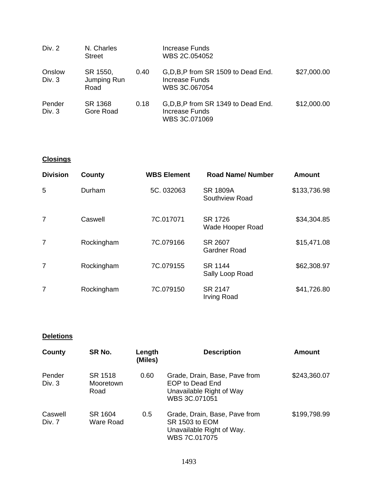| Div. 2           | N. Charles<br><b>Street</b>     |      | Increase Funds<br>WBS 2C.054052                                         |             |
|------------------|---------------------------------|------|-------------------------------------------------------------------------|-------------|
| Onslow<br>Div. 3 | SR 1550,<br>Jumping Run<br>Road | 0.40 | G, D, B, P from SR 1509 to Dead End.<br>Increase Funds<br>WBS 3C.067054 | \$27,000.00 |
| Pender<br>Div. 3 | SR 1368<br>Gore Road            | 0.18 | G, D, B, P from SR 1349 to Dead End.<br>Increase Funds<br>WBS 3C.071069 | \$12,000.00 |

# **Closings**

| <b>Division</b> | County     | <b>WBS Element</b> | <b>Road Name/ Number</b>          | <b>Amount</b> |
|-----------------|------------|--------------------|-----------------------------------|---------------|
| 5               | Durham     | 5C. 032063         | <b>SR 1809A</b><br>Southview Road | \$133,736.98  |
| 7               | Caswell    | 7C.017071          | SR 1726<br>Wade Hooper Road       | \$34,304.85   |
| 7               | Rockingham | 7C.079166          | SR 2607<br><b>Gardner Road</b>    | \$15,471.08   |
| 7               | Rockingham | 7C.079155          | SR 1144<br>Sally Loop Road        | \$62,308.97   |
| 7               | Rockingham | 7C.079150          | SR 2147<br><b>Irving Road</b>     | \$41,726.80   |

# **Deletions**

| County            | SR No.                       | Length<br>(Miles) | <b>Description</b>                                                                            | Amount       |
|-------------------|------------------------------|-------------------|-----------------------------------------------------------------------------------------------|--------------|
| Pender<br>Div. 3  | SR 1518<br>Mooretown<br>Road | 0.60              | Grade, Drain, Base, Pave from<br>EOP to Dead End<br>Unavailable Right of Way<br>WBS 3C.071051 | \$243,360.07 |
| Caswell<br>Div. 7 | SR 1604<br>Ware Road         | 0.5               | Grade, Drain, Base, Pave from<br>SR 1503 to EOM<br>Unavailable Right of Way.<br>WBS 7C.017075 | \$199,798.99 |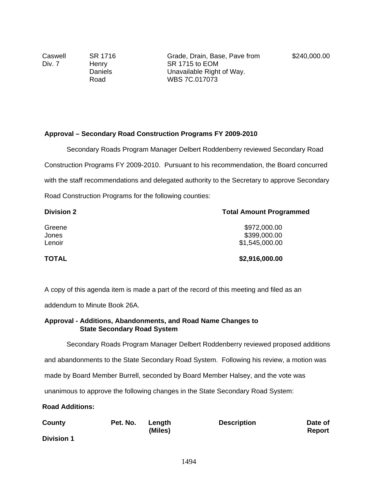Caswell Div. 7

SR 1716 Henry Daniels Road

# **Approval – Secondary Road Construction Programs FY 2009-2010**

Secondary Roads Program Manager Delbert Roddenberry reviewed Secondary Road Construction Programs FY 2009-2010. Pursuant to his recommendation, the Board concurred with the staff recommendations and delegated authority to the Secretary to approve Secondary Road Construction Programs for the following counties:

| <b>Division 2</b> | <b>Total Amount Programmed</b> |  |
|-------------------|--------------------------------|--|
| Greene            | \$972,000.00                   |  |
| Jones             | \$399,000.00                   |  |
| Lenoir            | \$1,545,000.00                 |  |
| <b>TOTAL</b>      | \$2,916,000.00                 |  |

A copy of this agenda item is made a part of the record of this meeting and filed as an

addendum to Minute Book 26A.

#### **Approval - Additions, Abandonments, and Road Name Changes to State Secondary Road System**

Secondary Roads Program Manager Delbert Roddenberry reviewed proposed additions

and abandonments to the State Secondary Road System. Following his review, a motion was

made by Board Member Burrell, seconded by Board Member Halsey, and the vote was

unanimous to approve the following changes in the State Secondary Road System:

**Road Additions:** 

| County            | Pet. No. | Length  | <b>Description</b> | Date of |
|-------------------|----------|---------|--------------------|---------|
|                   |          | (Miles) |                    | Report  |
| <b>Division 1</b> |          |         |                    |         |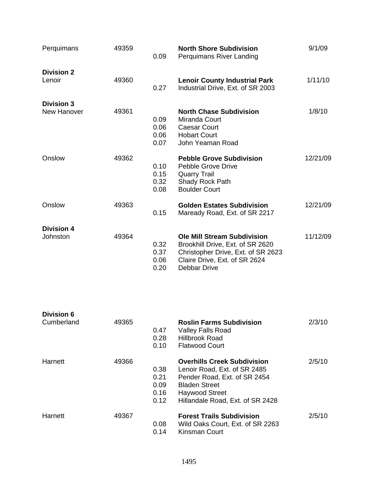| Perquimans                       | 49359 | 0.09                         | <b>North Shore Subdivision</b><br><b>Perquimans River Landing</b>                                                                                             | 9/1/09   |
|----------------------------------|-------|------------------------------|---------------------------------------------------------------------------------------------------------------------------------------------------------------|----------|
| <b>Division 2</b><br>Lenoir      | 49360 | 0.27                         | <b>Lenoir County Industrial Park</b><br>Industrial Drive, Ext. of SR 2003                                                                                     | 1/11/10  |
| <b>Division 3</b><br>New Hanover | 49361 | 0.09<br>0.06<br>0.06<br>0.07 | <b>North Chase Subdivision</b><br>Miranda Court<br><b>Caesar Court</b><br><b>Hobart Court</b><br>John Yeaman Road                                             | 1/8/10   |
| Onslow                           | 49362 | 0.10<br>0.15<br>0.32<br>0.08 | <b>Pebble Grove Subdivision</b><br>Pebble Grove Drive<br><b>Quarry Trail</b><br>Shady Rock Path<br><b>Boulder Court</b>                                       | 12/21/09 |
| Onslow                           | 49363 | 0.15                         | <b>Golden Estates Subdivision</b><br>Maready Road, Ext. of SR 2217                                                                                            | 12/21/09 |
| <b>Division 4</b><br>Johnston    | 49364 | 0.32<br>0.37<br>0.06<br>0.20 | <b>Ole Mill Stream Subdivision</b><br>Brookhill Drive, Ext. of SR 2620<br>Christopher Drive, Ext. of SR 2623<br>Claire Drive, Ext. of SR 2624<br>Debbar Drive | 11/12/09 |

| <b>Division 6</b><br>Cumberland | 49365 | 0.47<br>0.28<br>0.10                 | <b>Roslin Farms Subdivision</b><br><b>Valley Falls Road</b><br><b>Hillbrook Road</b><br><b>Flatwood Court</b>                                                                           | 2/3/10 |
|---------------------------------|-------|--------------------------------------|-----------------------------------------------------------------------------------------------------------------------------------------------------------------------------------------|--------|
| Harnett                         | 49366 | 0.38<br>0.21<br>0.09<br>0.16<br>0.12 | <b>Overhills Creek Subdivision</b><br>Lenoir Road, Ext. of SR 2485<br>Pender Road, Ext. of SR 2454<br><b>Bladen Street</b><br><b>Haywood Street</b><br>Hillandale Road, Ext. of SR 2428 | 2/5/10 |
| Harnett                         | 49367 | 0.08<br>0.14                         | <b>Forest Trails Subdivision</b><br>Wild Oaks Court, Ext. of SR 2263<br>Kinsman Court                                                                                                   | 2/5/10 |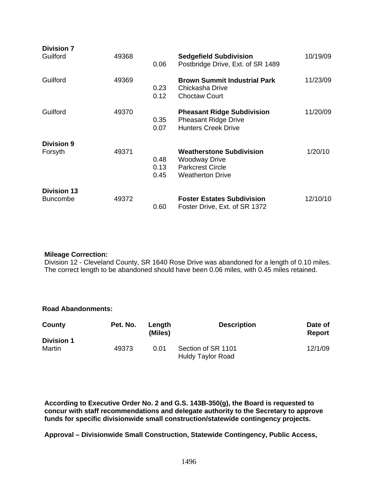| <b>Division 7</b><br>Guilford         | 49368 | 0.06                 | <b>Sedgefield Subdivision</b><br>Postbridge Drive, Ext. of SR 1489                                            | 10/19/09 |
|---------------------------------------|-------|----------------------|---------------------------------------------------------------------------------------------------------------|----------|
| Guilford                              | 49369 | 0.23<br>0.12         | <b>Brown Summit Industrial Park</b><br>Chickasha Drive<br><b>Choctaw Court</b>                                | 11/23/09 |
| Guilford                              | 49370 | 0.35<br>0.07         | <b>Pheasant Ridge Subdivision</b><br><b>Pheasant Ridge Drive</b><br><b>Hunters Creek Drive</b>                | 11/20/09 |
| <b>Division 9</b><br>Forsyth          | 49371 | 0.48<br>0.13<br>0.45 | <b>Weatherstone Subdivision</b><br><b>Woodway Drive</b><br><b>Parkcrest Circle</b><br><b>Weatherton Drive</b> | 1/20/10  |
| <b>Division 13</b><br><b>Buncombe</b> | 49372 | 0.60                 | <b>Foster Estates Subdivision</b><br>Foster Drive, Ext. of SR 1372                                            | 12/10/10 |

#### **Mileage Correction:**

Division 12 - Cleveland County, SR 1640 Rose Drive was abandoned for a length of 0.10 miles. The correct length to be abandoned should have been 0.06 miles, with 0.45 miles retained.

> **Date of Report**

12/1/09

| <b>Road Abandonments:</b> |          |                   |                    |  |  |  |  |  |
|---------------------------|----------|-------------------|--------------------|--|--|--|--|--|
| County                    | Pet. No. | Length<br>(Miles) | <b>Description</b> |  |  |  |  |  |
| <b>Division 1</b>         |          |                   |                    |  |  |  |  |  |
| Martin                    | 49373    | 0.01              | Section of SR 1101 |  |  |  |  |  |

**According to Executive Order No. 2 and G.S. 143B-350(g), the Board is requested to concur with staff recommendations and delegate authority to the Secretary to approve funds for specific divisionwide small construction/statewide contingency projects.** 

Huldy Taylor Road

**Approval – Divisionwide Small Construction, Statewide Contingency, Public Access,**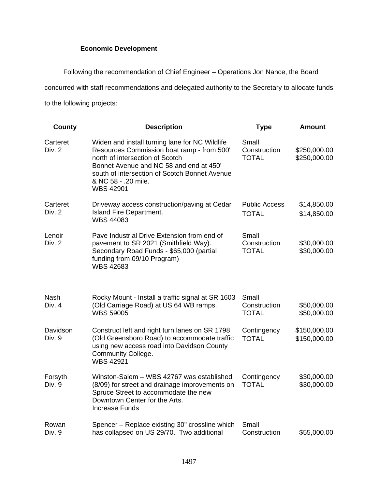# **Economic Development**

Following the recommendation of Chief Engineer – Operations Jon Nance, the Board

concurred with staff recommendations and delegated authority to the Secretary to allocate funds

to the following projects:

| County             | <b>Description</b>                                                                                                                                                                                                                                                     | <b>Type</b>                           | <b>Amount</b>                |
|--------------------|------------------------------------------------------------------------------------------------------------------------------------------------------------------------------------------------------------------------------------------------------------------------|---------------------------------------|------------------------------|
| Carteret<br>Div. 2 | Widen and install turning lane for NC Wildlife<br>Resources Commission boat ramp - from 500'<br>north of intersection of Scotch<br>Bonnet Avenue and NC 58 and end at 450'<br>south of intersection of Scotch Bonnet Avenue<br>& NC 58 - .20 mile.<br><b>WBS 42901</b> | Small<br>Construction<br><b>TOTAL</b> | \$250,000.00<br>\$250,000.00 |
| Carteret<br>Div. 2 | Driveway access construction/paving at Cedar<br>Island Fire Department.<br><b>WBS 44083</b>                                                                                                                                                                            | <b>Public Access</b><br><b>TOTAL</b>  | \$14,850.00<br>\$14,850.00   |
| Lenoir<br>Div. 2   | Pave Industrial Drive Extension from end of<br>pavement to SR 2021 (Smithfield Way).<br>Secondary Road Funds - \$65,000 (partial<br>funding from 09/10 Program)<br><b>WBS 42683</b>                                                                                    | Small<br>Construction<br><b>TOTAL</b> | \$30,000.00<br>\$30,000.00   |
| Nash<br>Div. 4     | Rocky Mount - Install a traffic signal at SR 1603<br>(Old Carriage Road) at US 64 WB ramps.<br><b>WBS 59005</b>                                                                                                                                                        | Small<br>Construction<br><b>TOTAL</b> | \$50,000.00<br>\$50,000.00   |
| Davidson<br>Div. 9 | Construct left and right turn lanes on SR 1798<br>(Old Greensboro Road) to accommodate traffic<br>using new access road into Davidson County<br>Community College.<br><b>WBS 42921</b>                                                                                 | Contingency<br><b>TOTAL</b>           | \$150,000.00<br>\$150,000.00 |
| Forsyth<br>Div. 9  | Winston-Salem - WBS 42767 was established<br>(8/09) for street and drainage improvements on<br>Spruce Street to accommodate the new<br>Downtown Center for the Arts.<br><b>Increase Funds</b>                                                                          | Contingency<br><b>TOTAL</b>           | \$30,000.00<br>\$30,000.00   |
| Rowan<br>Div. 9    | Spencer - Replace existing 30" crossline which<br>has collapsed on US 29/70. Two additional                                                                                                                                                                            | Small<br>Construction                 | \$55,000.00                  |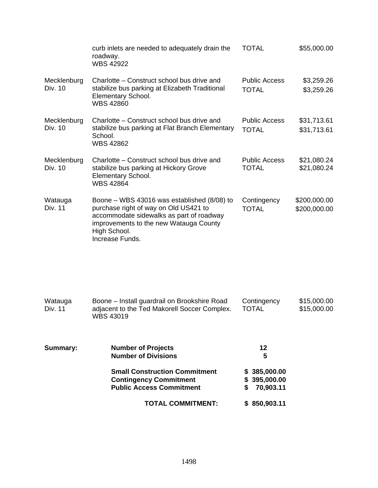|                        | curb inlets are needed to adequately drain the<br>roadway.<br><b>WBS 42922</b>                                                                                                                                  | <b>TOTAL</b>                         | \$55,000.00                  |
|------------------------|-----------------------------------------------------------------------------------------------------------------------------------------------------------------------------------------------------------------|--------------------------------------|------------------------------|
| Mecklenburg<br>Div. 10 | Charlotte – Construct school bus drive and<br>stabilize bus parking at Elizabeth Traditional<br><b>Elementary School.</b><br><b>WBS 42860</b>                                                                   | <b>Public Access</b><br><b>TOTAL</b> | \$3,259.26<br>\$3,259.26     |
| Mecklenburg<br>Div. 10 | Charlotte – Construct school bus drive and<br>stabilize bus parking at Flat Branch Elementary<br>School.<br><b>WBS 42862</b>                                                                                    | <b>Public Access</b><br><b>TOTAL</b> | \$31,713.61<br>\$31,713.61   |
| Mecklenburg<br>Div. 10 | Charlotte – Construct school bus drive and<br>stabilize bus parking at Hickory Grove<br>Elementary School.<br><b>WBS 42864</b>                                                                                  | <b>Public Access</b><br><b>TOTAL</b> | \$21,080.24<br>\$21,080.24   |
| Watauga<br>Div. 11     | Boone – WBS 43016 was established $(8/08)$ to<br>purchase right of way on Old US421 to<br>accommodate sidewalks as part of roadway<br>improvements to the new Watauga County<br>High School.<br>Increase Funds. | Contingency<br><b>TOTAL</b>          | \$200,000.00<br>\$200,000.00 |

| Watauga<br>Div. 11 | Boone – Install guardrail on Brookshire Road<br>adiacent to the Ted Makorell Soccer Complex.<br>WBS 43019 | Contingency<br>TOTAL | \$15,000.00<br>\$15,000.00 |
|--------------------|-----------------------------------------------------------------------------------------------------------|----------------------|----------------------------|
|                    |                                                                                                           |                      |                            |

| Summary: | <b>Number of Projects</b>            | 12           |
|----------|--------------------------------------|--------------|
|          | <b>Number of Divisions</b>           | 5            |
|          | <b>Small Construction Commitment</b> | \$385,000.00 |
|          | <b>Contingency Commitment</b>        | \$395,000.00 |
|          | <b>Public Access Commitment</b>      | 70,903.11    |
|          | <b>TOTAL COMMITMENT:</b>             | \$850,903.11 |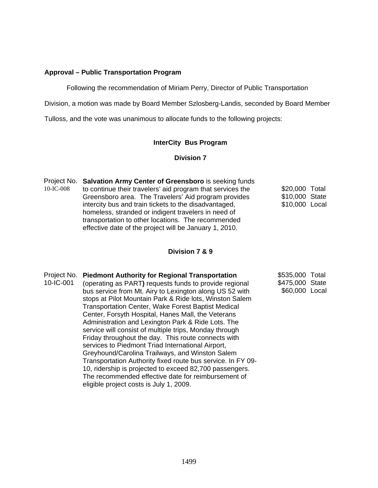### **Approval – Public Transportation Program**

Following the recommendation of Miriam Perry, Director of Public Transportation

Division, a motion was made by Board Member Szlosberg-Landis, seconded by Board Member

Tulloss, and the vote was unanimous to allocate funds to the following projects:

### **InterCity Bus Program**

#### **Division 7**

Project No. **Salvation Army Center of Greensboro** is seeking funds 10-IC-008 to continue their travelers' aid program that services the Greensboro area. The Travelers' Aid program provides intercity bus and train tickets to the disadvantaged, homeless, stranded or indigent travelers in need of transportation to other locations. The recommended effective date of the project will be January 1, 2010. \$20,000 Total \$10,000 State \$10,000 Local

# **Division 7 & 9**

| Project No. | <b>Piedmont Authority for Regional Transportation</b>       | \$535,000       | Total |
|-------------|-------------------------------------------------------------|-----------------|-------|
| 10-IC-001   | (operating as PART) requests funds to provide regional      | \$475,000 State |       |
|             | bus service from Mt. Airy to Lexington along US 52 with     | \$60,000 Local  |       |
|             | stops at Pilot Mountain Park & Ride lots, Winston Salem     |                 |       |
|             | <b>Transportation Center, Wake Forest Baptist Medical</b>   |                 |       |
|             | Center, Forsyth Hospital, Hanes Mall, the Veterans          |                 |       |
|             | Administration and Lexington Park & Ride Lots. The          |                 |       |
|             | service will consist of multiple trips, Monday through      |                 |       |
|             | Friday throughout the day. This route connects with         |                 |       |
|             | services to Piedmont Triad International Airport,           |                 |       |
|             | Greyhound/Carolina Trailways, and Winston Salem             |                 |       |
|             | Transportation Authority fixed route bus service. In FY 09- |                 |       |
|             | 10, ridership is projected to exceed 82,700 passengers.     |                 |       |
|             | The recommended effective date for reimbursement of         |                 |       |
|             | eligible project costs is July 1, 2009.                     |                 |       |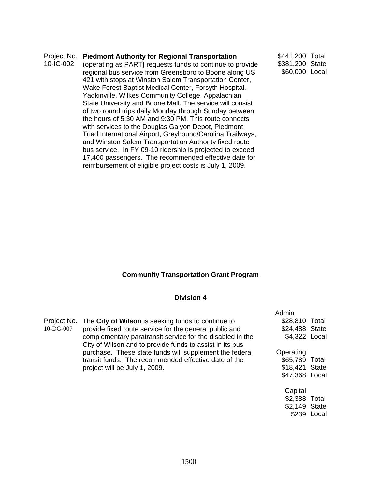#### Project No. **Piedmont Authority for Regional Transportation**  10-IC-002 (operating as PART**)** requests funds to continue to provide regional bus service from Greensboro to Boone along US 421 with stops at Winston Salem Transportation Center, \$441,200 Total \$381,200 State \$60,000 Local

Wake Forest Baptist Medical Center, Forsyth Hospital, Yadkinville, Wilkes Community College, Appalachian State University and Boone Mall. The service will consist of two round trips daily Monday through Sunday between the hours of 5:30 AM and 9:30 PM. This route connects with services to the Douglas Galyon Depot, Piedmont Triad International Airport, Greyhound/Carolina Trailways, and Winston Salem Transportation Authority fixed route bus service. In FY 09-10 ridership is projected to exceed 17,400 passengers. The recommended effective date for reimbursement of eligible project costs is July 1, 2009.

# **Community Transportation Grant Program**

### **Division 4**

|              |                                                                                                                       | Admin          |  |
|--------------|-----------------------------------------------------------------------------------------------------------------------|----------------|--|
|              | Project No. The City of Wilson is seeking funds to continue to                                                        | \$28,810 Total |  |
| $10$ -DG-007 | provide fixed route service for the general public and                                                                | \$24,488 State |  |
|              | complementary paratransit service for the disabled in the<br>City of Wilson and to provide funds to assist in its bus | \$4,322 Local  |  |
|              | purchase. These state funds will supplement the federal                                                               | Operating      |  |
|              | transit funds. The recommended effective date of the                                                                  | \$65,789 Total |  |
|              | project will be July 1, 2009.                                                                                         | \$18,421 State |  |
|              |                                                                                                                       | \$47,368 Local |  |
|              |                                                                                                                       | Capital        |  |
|              |                                                                                                                       | \$2,388 Total  |  |
|              |                                                                                                                       | \$2,149 State  |  |
|              |                                                                                                                       |                |  |

\$239 Local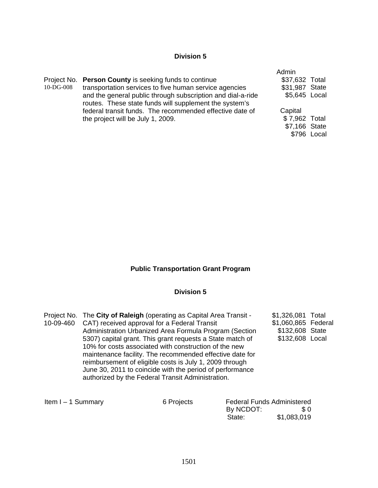# **Division 5**

|           |                                                             | Admin          |             |
|-----------|-------------------------------------------------------------|----------------|-------------|
|           | Project No. Person County is seeking funds to continue      | \$37,632 Total |             |
| 10-DG-008 | transportation services to five human service agencies      | \$31,987 State |             |
|           | and the general public through subscription and dial-a-ride | \$5,645 Local  |             |
|           | routes. These state funds will supplement the system's      |                |             |
|           | federal transit funds. The recommended effective date of    | Capital        |             |
|           | the project will be July 1, 2009.                           | \$7,962 Total  |             |
|           |                                                             | \$7,166 State  |             |
|           |                                                             |                | \$796 Local |

# **Public Transportation Grant Program**

# **Division 5**

|           | Project No. The City of Raleigh (operating as Capital Area Transit - | \$1,326,081 Total   |  |
|-----------|----------------------------------------------------------------------|---------------------|--|
| 10-09-460 | CAT) received approval for a Federal Transit                         | \$1,060,865 Federal |  |
|           | Administration Urbanized Area Formula Program (Section               | \$132,608 State     |  |
|           | 5307) capital grant. This grant requests a State match of            | \$132,608 Local     |  |
|           | 10% for costs associated with construction of the new                |                     |  |
|           | maintenance facility. The recommended effective date for             |                     |  |
|           | reimbursement of eligible costs is July 1, 2009 through              |                     |  |
|           | June 30, 2011 to coincide with the period of performance             |                     |  |
|           | authorized by the Federal Transit Administration.                    |                     |  |
|           |                                                                      |                     |  |
|           |                                                                      |                     |  |

| Item $I - 1$ Summary | 6 Projects |           | <b>Federal Funds Administered</b> |  |  |
|----------------------|------------|-----------|-----------------------------------|--|--|
|                      |            | By NCDOT: | SO.                               |  |  |
|                      |            | State:    | \$1,083,019                       |  |  |
|                      |            |           |                                   |  |  |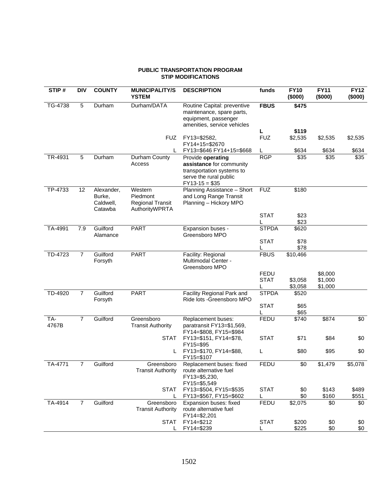#### **PUBLIC TRANSPORTATION PROGRAM STIP MODIFICATIONS**

| STIP#        | <b>DIV</b>     | <b>COUNTY</b>                                | <b>MUNICIPALITY/S</b><br><b>YSTEM</b>                            | <b>DESCRIPTION</b>                                                                                                      | funds            | <b>FY10</b><br>(\$000) | <b>FY11</b><br>(\$000) | <b>FY12</b><br>(\$000) |
|--------------|----------------|----------------------------------------------|------------------------------------------------------------------|-------------------------------------------------------------------------------------------------------------------------|------------------|------------------------|------------------------|------------------------|
| TG-4738      | 5              | Durham                                       | Durham/DATA                                                      | Routine Capital: preventive<br>maintenance, spare parts,<br>equipment, passenger<br>amenities, service vehicles         | <b>FBUS</b>      | \$475                  |                        |                        |
|              |                |                                              |                                                                  |                                                                                                                         | L                | \$119                  |                        |                        |
|              |                |                                              | <b>FUZ</b>                                                       | FY13=\$2582,<br>FY14+15=\$2670                                                                                          | <b>FUZ</b>       | \$2,535                | \$2,535                | \$2,535                |
|              |                |                                              | L                                                                | FY13=\$646 FY14+15=\$668                                                                                                | L                | \$634                  | \$634                  | \$634                  |
| TR-4931      | 5              | Durham                                       | Durham County<br>Access                                          | Provide operating<br>assistance for community<br>transportation systems to<br>serve the rural public<br>$FY13-15 = $35$ | <b>RGP</b>       | \$35                   | \$35                   | \$35                   |
| TP-4733      | 12             | Alexander,<br>Burke,<br>Caldwell,<br>Catawba | Western<br>Piedmont<br><b>Regional Transit</b><br>AuthorityWPRTA | Planning Assistance - Short<br>and Long Range Transit<br>Planning - Hickory MPO                                         | <b>FUZ</b>       | \$180                  |                        |                        |
|              |                |                                              |                                                                  |                                                                                                                         | <b>STAT</b>      | \$23<br>\$23           |                        |                        |
| TA-4991      | 7.9            | Guilford<br>Alamance                         | <b>PART</b>                                                      | Expansion buses -<br>Greensboro MPO                                                                                     | <b>STPDA</b>     | \$620                  |                        |                        |
|              |                |                                              |                                                                  |                                                                                                                         | <b>STAT</b>      | \$78                   |                        |                        |
|              |                |                                              |                                                                  |                                                                                                                         |                  | \$78                   |                        |                        |
| TD-4723      | $\overline{7}$ | Guilford<br>Forsyth                          | <b>PART</b>                                                      | Facility: Regional<br>Multimodal Center -<br>Greensboro MPO                                                             | <b>FBUS</b>      | \$10,466               |                        |                        |
|              |                |                                              |                                                                  |                                                                                                                         | FEDU             |                        | \$8,000                |                        |
|              |                |                                              |                                                                  |                                                                                                                         | <b>STAT</b>      | \$3,058<br>\$3,058     | \$1,000<br>\$1,000     |                        |
| TD-4920      | $\overline{7}$ | Guilford<br>Forsyth                          | <b>PART</b>                                                      | Facility Regional Park and<br>Ride lots - Greensboro MPO                                                                | <b>STPDA</b>     | \$520                  |                        |                        |
|              |                |                                              |                                                                  |                                                                                                                         | <b>STAT</b>      | \$65<br>\$65           |                        |                        |
| TA-<br>4767B | $\overline{7}$ | Guilford                                     | Greensboro<br><b>Transit Authority</b>                           | Replacement buses:<br>paratransit FY13=\$1,569,<br>FY14=\$808, FY15=\$984                                               | FEDU             | \$740                  | \$874                  | \$0                    |
|              |                |                                              | <b>STAT</b>                                                      | FY13=\$151, FY14=\$78,<br>FY15=\$95                                                                                     | <b>STAT</b>      | \$71                   | \$84                   | \$0                    |
|              |                |                                              | L                                                                | FY13=\$170, FY14=\$88,<br>FY15=\$107                                                                                    | L                | \$80                   | \$95                   | \$0                    |
| TA-4771      | 7              | Guilford                                     | Greensboro<br><b>Transit Authority</b>                           | Replacement buses: fixed<br>route alternative fuel<br>FY13=\$5,230,<br>FY15=\$5,549                                     | <b>FEDU</b>      | \$0                    | \$1,479                | \$5,078                |
|              |                |                                              | <b>STAT</b><br>L                                                 | FY13=\$504, FY15=\$535<br>FY13=\$567, FY15=\$602                                                                        | <b>STAT</b><br>L | \$0<br>\$0             | \$143<br>\$160         | \$489<br>\$551         |
| TA-4914      | 7              | Guilford                                     | Greensboro                                                       | Expansion buses: fixed                                                                                                  | FEDU             | \$2,075                | \$0                    | \$0                    |
|              |                |                                              | <b>Transit Authority</b>                                         | route alternative fuel<br>FY14=\$2,201                                                                                  |                  |                        |                        |                        |
|              |                |                                              | <b>STAT</b>                                                      | FY14=\$212<br>FY14=\$239                                                                                                | <b>STAT</b><br>L | \$200<br>\$225         | \$0<br>\$0             | \$0<br>\$0             |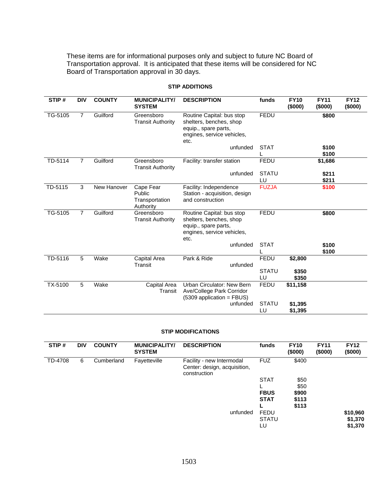These items are for informational purposes only and subject to future NC Board of Transportation approval. It is anticipated that these items will be considered for NC Board of Transportation approval in 30 days.

| STIP#   | <b>DIV</b>     | <b>COUNTY</b> | <b>MUNICIPALITY/</b><br><b>SYSTEM</b>              | <b>DESCRIPTION</b>                                                                                                 | funds              | <b>FY10</b><br>(\$000) | <b>FY11</b><br>(\$000) | <b>FY12</b><br>(\$000) |
|---------|----------------|---------------|----------------------------------------------------|--------------------------------------------------------------------------------------------------------------------|--------------------|------------------------|------------------------|------------------------|
| TG-5105 | $\overline{7}$ | Guilford      | Greensboro<br><b>Transit Authority</b>             | Routine Capital: bus stop<br>shelters, benches, shop<br>equip., spare parts,<br>engines, service vehicles,<br>etc. | <b>FEDU</b>        |                        | \$800                  |                        |
|         |                |               |                                                    | unfunded                                                                                                           | <b>STAT</b>        |                        | \$100<br>\$100         |                        |
| TD-5114 | $\overline{7}$ | Guilford      | Greensboro<br><b>Transit Authority</b>             | Facility: transfer station                                                                                         | <b>FEDU</b>        |                        | \$1,686                |                        |
|         |                |               |                                                    | unfunded                                                                                                           | <b>STATU</b><br>LU |                        | \$211<br>\$211         |                        |
| TD-5115 | 3              | New Hanover   | Cape Fear<br>Public<br>Transportation<br>Authority | Facility: Independence<br>Station - acquisition, design<br>and construction                                        | <b>FUZJA</b>       |                        | \$100                  |                        |
| TG-5105 | $\overline{7}$ | Guilford      | Greensboro<br><b>Transit Authority</b>             | Routine Capital: bus stop<br>shelters, benches, shop<br>equip., spare parts,<br>engines, service vehicles,<br>etc. | <b>FEDU</b>        |                        | \$800                  |                        |
|         |                |               |                                                    | unfunded                                                                                                           | <b>STAT</b>        |                        | \$100<br>\$100         |                        |
| TD-5116 | 5              | Wake          | Capital Area<br>Transit                            | Park & Ride<br>unfunded                                                                                            | <b>FEDU</b>        | \$2,800                |                        |                        |
|         |                |               |                                                    |                                                                                                                    | <b>STATU</b><br>LU | \$350<br>\$350         |                        |                        |
| TX-5100 | 5              | Wake          | Capital Area<br>Transit                            | Urban Circulator: New Bern<br>Ave/College Park Corridor<br>$(5309$ application = FBUS)                             | <b>FEDU</b>        | \$11,158               |                        |                        |
|         |                |               |                                                    | unfunded                                                                                                           | <b>STATU</b><br>LU | \$1,395<br>\$1,395     |                        |                        |

### **STIP ADDITIONS**

#### **STIP MODIFICATIONS**

| STIP#   | <b>DIV</b> | <b>COUNTY</b> | <b>MUNICIPALITY/</b><br><b>SYSTEM</b> | <b>DESCRIPTION</b>                                                        | funds        | <b>FY10</b><br>(\$000) | <b>FY11</b><br>(\$000) | <b>FY12</b><br>(\$000) |
|---------|------------|---------------|---------------------------------------|---------------------------------------------------------------------------|--------------|------------------------|------------------------|------------------------|
| TD-4708 | 6          | Cumberland    | Fayetteville                          | Facility - new Intermodal<br>Center: design, acquisition,<br>construction | <b>FUZ</b>   | \$400                  |                        |                        |
|         |            |               |                                       |                                                                           | <b>STAT</b>  | \$50                   |                        |                        |
|         |            |               |                                       |                                                                           |              | \$50                   |                        |                        |
|         |            |               |                                       |                                                                           | <b>FBUS</b>  | \$900                  |                        |                        |
|         |            |               |                                       |                                                                           | <b>STAT</b>  | \$113<br>\$113         |                        |                        |
|         |            |               |                                       | unfunded                                                                  | <b>FEDU</b>  |                        |                        | \$10,960               |
|         |            |               |                                       |                                                                           |              |                        |                        |                        |
|         |            |               |                                       |                                                                           | <b>STATU</b> |                        |                        | \$1,370                |
|         |            |               |                                       |                                                                           | LU           |                        |                        | \$1,370                |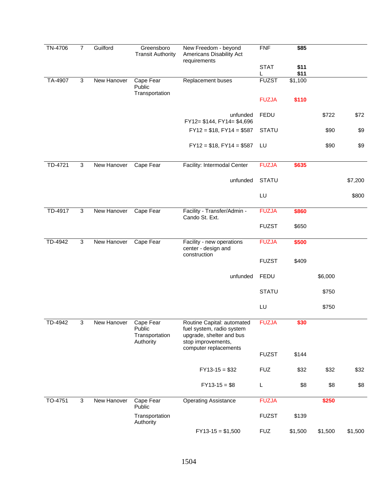| TN-4706 | $\overline{7}$            | Guilford    | Greensboro<br><b>Transit Authority</b>             | New Freedom - beyond<br>Americans Disability Act<br>requirements                                                                   | <b>FNF</b>       | \$85         |         |         |
|---------|---------------------------|-------------|----------------------------------------------------|------------------------------------------------------------------------------------------------------------------------------------|------------------|--------------|---------|---------|
|         |                           |             |                                                    |                                                                                                                                    | <b>STAT</b><br>L | \$11<br>\$11 |         |         |
| TA-4907 | $\mathbf{3}$              | New Hanover | Cape Fear<br>Public<br>Transportation              | Replacement buses                                                                                                                  | <b>FUZST</b>     | \$1,100      |         |         |
|         |                           |             |                                                    |                                                                                                                                    | <b>FUZJA</b>     | \$110        |         |         |
|         |                           |             |                                                    | unfunded<br>FY12= \$144, FY14= \$4,696                                                                                             | <b>FEDU</b>      |              | \$722   | \$72    |
|         |                           |             |                                                    | $FY12 = $18, FY14 = $587$                                                                                                          | <b>STATU</b>     |              | \$90    | \$9     |
|         |                           |             |                                                    | $FY12 = $18, FY14 = $587$                                                                                                          | LU               |              | \$90    | \$9     |
| TD-4721 | 3                         | New Hanover | Cape Fear                                          | Facility: Intermodal Center                                                                                                        | <b>FUZJA</b>     | \$635        |         |         |
|         |                           |             |                                                    | unfunded                                                                                                                           | <b>STATU</b>     |              |         | \$7,200 |
|         |                           |             |                                                    |                                                                                                                                    | LU               |              |         | \$800   |
| TD-4917 | $\mathbf{3}$              | New Hanover | Cape Fear                                          | Facility - Transfer/Admin -<br>Cando St. Ext.                                                                                      | <b>FUZJA</b>     | \$860        |         |         |
|         |                           |             |                                                    |                                                                                                                                    | <b>FUZST</b>     | \$650        |         |         |
| TD-4942 | 3                         | New Hanover | Cape Fear                                          | Facility - new operations<br>center - design and<br>construction                                                                   | <b>FUZJA</b>     | \$500        |         |         |
|         |                           |             |                                                    |                                                                                                                                    | <b>FUZST</b>     | \$409        |         |         |
|         |                           |             |                                                    | unfunded                                                                                                                           | <b>FEDU</b>      |              | \$6,000 |         |
|         |                           |             |                                                    |                                                                                                                                    | <b>STATU</b>     |              | \$750   |         |
|         |                           |             |                                                    |                                                                                                                                    | LU               |              | \$750   |         |
| TD-4942 | 3                         | New Hanover | Cape Fear<br>Public<br>Transportation<br>Authority | Routine Capital: automated<br>fuel system, radio system<br>upgrade, shelter and bus<br>stop improvements,<br>computer replacements | <b>FUZJA</b>     | \$30         |         |         |
|         |                           |             |                                                    |                                                                                                                                    | <b>FUZST</b>     | \$144        |         |         |
|         |                           |             |                                                    | $FY13-15 = $32$                                                                                                                    | <b>FUZ</b>       | \$32         | \$32    | \$32    |
|         |                           |             |                                                    | $FY13-15 = $8$                                                                                                                     | L                | \$8          | \$8     | \$8     |
| TO-4751 | $\ensuremath{\mathsf{3}}$ | New Hanover | Cape Fear<br>Public                                | <b>Operating Assistance</b>                                                                                                        | <b>FUZJA</b>     |              | \$250   |         |
|         |                           |             | Transportation<br>Authority                        |                                                                                                                                    | <b>FUZST</b>     | \$139        |         |         |
|         |                           |             |                                                    | $FY13-15 = $1,500$                                                                                                                 | <b>FUZ</b>       | \$1,500      | \$1,500 | \$1,500 |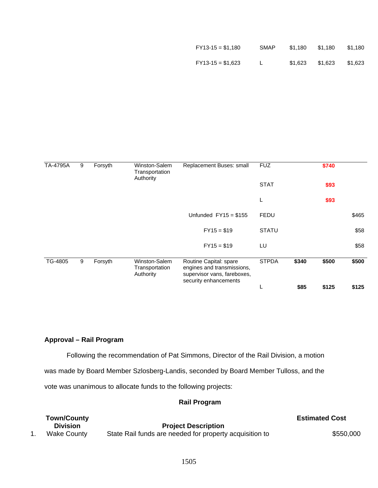| $FY13-15 = $1,180$ | <b>SMAP</b> | \$1.180 | \$1.180 | \$1,180 |
|--------------------|-------------|---------|---------|---------|
| $FY13-15 = $1,623$ | L.          | \$1.623 | \$1,623 | \$1,623 |

| TA-4795A | 9 | Forsyth | Winston-Salem<br>Transportation<br>Authority | Replacement Buses: small                                                                                     | <b>FUZ</b>   |       | \$740 |       |
|----------|---|---------|----------------------------------------------|--------------------------------------------------------------------------------------------------------------|--------------|-------|-------|-------|
|          |   |         |                                              |                                                                                                              | <b>STAT</b>  |       | \$93  |       |
|          |   |         |                                              |                                                                                                              | L            |       | \$93  |       |
|          |   |         |                                              | Unfunded $FY15 = $155$                                                                                       | FEDU         |       |       | \$465 |
|          |   |         |                                              | $FY15 = $19$                                                                                                 | <b>STATU</b> |       |       | \$58  |
|          |   |         |                                              | $FY15 = $19$                                                                                                 | LU           |       |       | \$58  |
| TG-4805  | 9 | Forsyth | Winston-Salem<br>Transportation<br>Authority | Routine Capital: spare<br>engines and transmissions,<br>supervisor vans, fareboxes,<br>security enhancements | <b>STPDA</b> | \$340 | \$500 | \$500 |
|          |   |         |                                              |                                                                                                              | ┗            | \$85  | \$125 | \$125 |

# **Approval – Rail Program**

Following the recommendation of Pat Simmons, Director of the Rail Division, a motion

was made by Board Member Szlosberg-Landis, seconded by Board Member Tulloss, and the

vote was unanimous to allocate funds to the following projects:

# **Rail Program**

| <b>Town/County</b> |                                                         | <b>Estimated Cost</b> |
|--------------------|---------------------------------------------------------|-----------------------|
| Division           | <b>Project Description</b>                              |                       |
| Wake County        | State Rail funds are needed for property acquisition to | \$550,000             |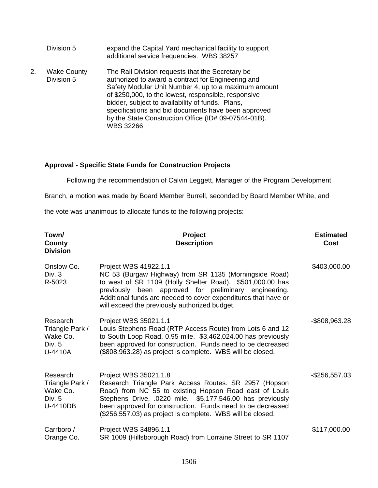|    | Division 5                       | expand the Capital Yard mechanical facility to support<br>additional service frequencies. WBS 38257                                                                                                                                                                                                                                                                                                    |
|----|----------------------------------|--------------------------------------------------------------------------------------------------------------------------------------------------------------------------------------------------------------------------------------------------------------------------------------------------------------------------------------------------------------------------------------------------------|
| 2. | <b>Wake County</b><br>Division 5 | The Rail Division requests that the Secretary be<br>authorized to award a contract for Engineering and<br>Safety Modular Unit Number 4, up to a maximum amount<br>of \$250,000, to the lowest, responsible, responsive<br>bidder, subject to availability of funds. Plans,<br>specifications and bid documents have been approved<br>by the State Construction Office (ID# 09-07544-01B).<br>WBS 32266 |

# **Approval - Specific State Funds for Construction Projects**

Following the recommendation of Calvin Leggett, Manager of the Program Development

Branch, a motion was made by Board Member Burrell, seconded by Board Member White, and

the vote was unanimous to allocate funds to the following projects:

| Town/<br>County<br><b>Division</b>                              | Project<br><b>Description</b>                                                                                                                                                                                                                                                                                                     | <b>Estimated</b><br>Cost |
|-----------------------------------------------------------------|-----------------------------------------------------------------------------------------------------------------------------------------------------------------------------------------------------------------------------------------------------------------------------------------------------------------------------------|--------------------------|
| Onslow Co.<br>Div. 3<br>R-5023                                  | Project WBS 41922.1.1<br>NC 53 (Burgaw Highway) from SR 1135 (Morningside Road)<br>to west of SR 1109 (Holly Shelter Road). \$501,000.00 has<br>previously been approved for preliminary engineering.<br>Additional funds are needed to cover expenditures that have or<br>will exceed the previously authorized budget.          | \$403,000.00             |
| Research<br>Triangle Park /<br>Wake Co.<br>Div. 5<br>U-4410A    | Project WBS 35021.1.1<br>Louis Stephens Road (RTP Access Route) from Lots 6 and 12<br>to South Loop Road, 0.95 mile. \$3,462,024.00 has previously<br>been approved for construction. Funds need to be decreased<br>(\$808,963.28) as project is complete. WBS will be closed.                                                    | -\$808,963.28            |
| Research<br>Triangle Park /<br>Wake Co.<br>Div. $5$<br>U-4410DB | Project WBS 35021.1.8<br>Research Triangle Park Access Routes. SR 2957 (Hopson<br>Road) from NC 55 to existing Hopson Road east of Louis<br>Stephens Drive, .0220 mile. \$5,177,546.00 has previously<br>been approved for construction. Funds need to be decreased<br>(\$256,557.03) as project is complete. WBS will be closed. | -\$256,557.03            |
| Carrboro /<br>Orange Co.                                        | Project WBS 34896.1.1<br>SR 1009 (Hillsborough Road) from Lorraine Street to SR 1107                                                                                                                                                                                                                                              | \$117,000.00             |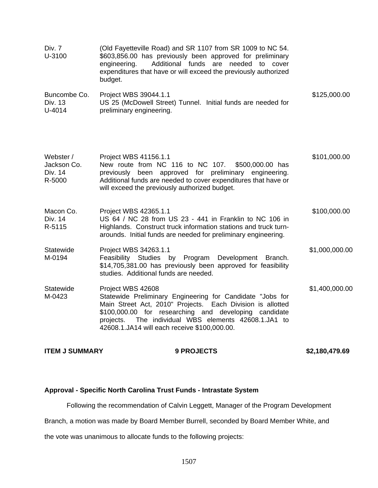| <b>ITEM J SUMMARY</b>                         | <b>9 PROJECTS</b>                                                                                                                                                                                                                                                                                                | \$2,180,479.69 |
|-----------------------------------------------|------------------------------------------------------------------------------------------------------------------------------------------------------------------------------------------------------------------------------------------------------------------------------------------------------------------|----------------|
| Statewide<br>M-0423                           | Project WBS 42608<br>Statewide Preliminary Engineering for Candidate "Jobs for<br>Main Street Act, 2010" Projects. Each Division is allotted<br>\$100,000.00 for researching and developing candidate<br>The individual WBS elements 42608.1.JA1 to<br>projects.<br>42608.1.JA14 will each receive \$100,000.00. | \$1,400,000.00 |
| Statewide<br>M-0194                           | Project WBS 34263.1.1<br>Feasibility Studies by Program<br>Development<br>Branch.<br>\$14,705,381.00 has previously been approved for feasibility<br>studies. Additional funds are needed.                                                                                                                       | \$1,000,000.00 |
| Macon Co.<br>Div. 14<br>R-5115                | Project WBS 42365.1.1<br>US 64 / NC 28 from US 23 - 441 in Franklin to NC 106 in<br>Highlands. Construct truck information stations and truck turn-<br>arounds. Initial funds are needed for preliminary engineering.                                                                                            | \$100,000.00   |
| Webster /<br>Jackson Co.<br>Div. 14<br>R-5000 | Project WBS 41156.1.1<br>New route from NC 116 to NC 107.<br>\$500,000.00 has<br>previously been approved for preliminary engineering.<br>Additional funds are needed to cover expenditures that have or<br>will exceed the previously authorized budget.                                                        | \$101,000.00   |
| Buncombe Co.<br>Div. 13<br>U-4014             | Project WBS 39044.1.1<br>US 25 (McDowell Street) Tunnel. Initial funds are needed for<br>preliminary engineering.                                                                                                                                                                                                | \$125,000.00   |
| Div. 7<br>U-3100                              | (Old Fayetteville Road) and SR 1107 from SR 1009 to NC 54.<br>\$603,856.00 has previously been approved for preliminary<br>Additional funds are needed to cover<br>engineering.<br>expenditures that have or will exceed the previously authorized<br>budget.                                                    |                |

# **Approval - Specific North Carolina Trust Funds - Intrastate System**

Following the recommendation of Calvin Leggett, Manager of the Program Development

Branch, a motion was made by Board Member Burrell, seconded by Board Member White, and

the vote was unanimous to allocate funds to the following projects: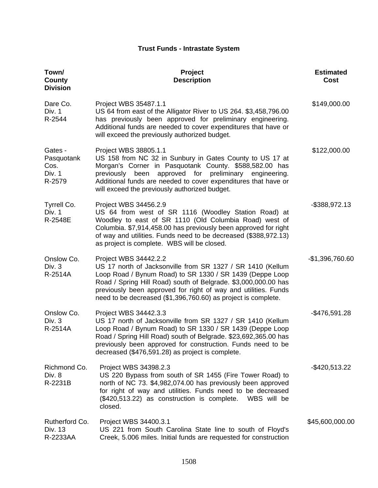# **Trust Funds - Intrastate System**

| Town/<br><b>County</b><br><b>Division</b>         | Project<br><b>Description</b>                                                                                                                                                                                                                                                                                                                        | <b>Estimated</b><br>Cost |
|---------------------------------------------------|------------------------------------------------------------------------------------------------------------------------------------------------------------------------------------------------------------------------------------------------------------------------------------------------------------------------------------------------------|--------------------------|
| Dare Co.<br>Div. 1<br>R-2544                      | Project WBS 35487.1.1<br>US 64 from east of the Alligator River to US 264. \$3,458,796.00<br>has previously been approved for preliminary engineering.<br>Additional funds are needed to cover expenditures that have or<br>will exceed the previously authorized budget.                                                                            | \$149,000.00             |
| Gates -<br>Pasquotank<br>Cos.<br>Div. 1<br>R-2579 | Project WBS 38805.1.1<br>US 158 from NC 32 in Sunbury in Gates County to US 17 at<br>Morgan's Corner in Pasquotank County. \$588,582.00 has<br>approved for preliminary<br>previously been<br>engineering.<br>Additional funds are needed to cover expenditures that have or<br>will exceed the previously authorized budget.                        | \$122,000.00             |
| Tyrrell Co.<br>Div. 1<br>R-2548E                  | Project WBS 34456.2.9<br>US 64 from west of SR 1116 (Woodley Station Road) at<br>Woodley to east of SR 1110 (Old Columbia Road) west of<br>Columbia. \$7,914,458.00 has previously been approved for right<br>of way and utilities. Funds need to be decreased (\$388,972.13)<br>as project is complete. WBS will be closed.                         | -\$388,972.13            |
| Onslow Co.<br>Div. 3<br>R-2514A                   | Project WBS 34442.2.2<br>US 17 north of Jacksonville from SR 1327 / SR 1410 (Kellum<br>Loop Road / Bynum Road) to SR 1330 / SR 1439 (Deppe Loop<br>Road / Spring Hill Road) south of Belgrade. \$3,000,000.00 has<br>previously been approved for right of way and utilities. Funds<br>need to be decreased (\$1,396,760.60) as project is complete. | $-$1,396,760.60$         |
| Onslow Co.<br>Div. 3<br>R-2514A                   | Project WBS 34442.3.3<br>US 17 north of Jacksonville from SR 1327 / SR 1410 (Kellum<br>Loop Road / Bynum Road) to SR 1330 / SR 1439 (Deppe Loop<br>Road / Spring Hill Road) south of Belgrade. \$23,692,365.00 has<br>previously been approved for construction. Funds need to be<br>decreased (\$476,591.28) as project is complete.                | -\$476,591.28            |
| Richmond Co.<br>Div. 8<br>R-2231B                 | Project WBS 34398.2.3<br>US 220 Bypass from south of SR 1455 (Fire Tower Road) to<br>north of NC 73. \$4,982,074.00 has previously been approved<br>for right of way and utilities. Funds need to be decreased<br>(\$420,513.22) as construction is complete.<br>WBS will be<br>closed.                                                              | -\$420,513.22            |
| Rutherford Co.<br>Div. 13<br>R-2233AA             | Project WBS 34400.3.1<br>US 221 from South Carolina State line to south of Floyd's<br>Creek, 5.006 miles. Initial funds are requested for construction                                                                                                                                                                                               | \$45,600,000.00          |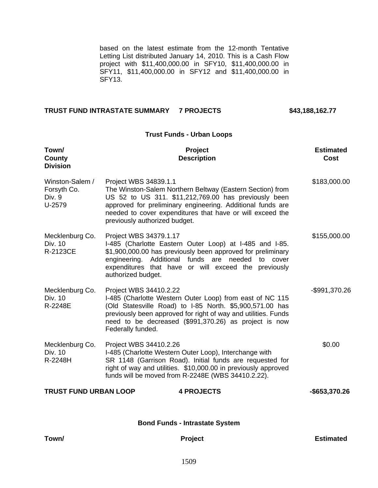based on the latest estimate from the 12-month Tentative Letting List distributed January 14, 2010. This is a Cash Flow project with \$11,400,000.00 in SFY10, \$11,400,000.00 in SFY11, \$11,400,000.00 in SFY12 and \$11,400,000.00 in SFY13.

**Trust Funds - Urban Loops** 

#### **TRUST FUND INTRASTATE SUMMARY 7 PROJECTS \$43,188,162.77**

| Town/<br>County<br><b>Division</b>                 | Project<br><b>Description</b>                                                                                                                                                                                                                                                                          | <b>Estimated</b><br>Cost |  |  |
|----------------------------------------------------|--------------------------------------------------------------------------------------------------------------------------------------------------------------------------------------------------------------------------------------------------------------------------------------------------------|--------------------------|--|--|
| Winston-Salem /<br>Forsyth Co.<br>Div. 9<br>U-2579 | Project WBS 34839.1.1<br>The Winston-Salem Northern Beltway (Eastern Section) from<br>US 52 to US 311. \$11,212,769.00 has previously been<br>approved for preliminary engineering. Additional funds are<br>needed to cover expenditures that have or will exceed the<br>previously authorized budget. | \$183,000.00             |  |  |
| Mecklenburg Co.<br>Div. 10<br>R-2123CE             | Project WBS 34379.1.17<br>I-485 (Charlotte Eastern Outer Loop) at I-485 and I-85.<br>\$1,900,000.00 has previously been approved for preliminary<br>engineering. Additional funds are needed to cover<br>expenditures that have or will exceed the previously<br>authorized budget.                    | \$155,000.00             |  |  |
| Mecklenburg Co.<br>Div. 10<br>R-2248E              | Project WBS 34410.2.22<br>I-485 (Charlotte Western Outer Loop) from east of NC 115<br>(Old Statesville Road) to I-85 North. \$5,900,571.00 has<br>previously been approved for right of way and utilities. Funds<br>need to be decreased (\$991,370.26) as project is now<br>Federally funded.         | -\$991,370.26            |  |  |
| Mecklenburg Co.<br>Div. 10<br>R-2248H              | Project WBS 34410.2.26<br>I-485 (Charlotte Western Outer Loop), Interchange with<br>SR 1148 (Garrison Road). Initial funds are requested for<br>right of way and utilities. \$10,000.00 in previously approved<br>funds will be moved from R-2248E (WBS 34410.2.22).                                   | \$0.00                   |  |  |
| <b>TRUST FUND URBAN LOOP</b>                       | <b>4 PROJECTS</b>                                                                                                                                                                                                                                                                                      | -\$653,370.26            |  |  |
| <b>Bond Funds - Intrastate System</b>              |                                                                                                                                                                                                                                                                                                        |                          |  |  |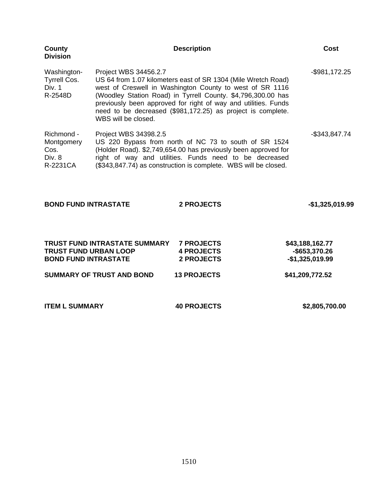| <b>County</b><br><b>Division</b>                        |                                              | <b>Description</b>                                                                                                                                                                                                                                                                                                         | Cost             |  |
|---------------------------------------------------------|----------------------------------------------|----------------------------------------------------------------------------------------------------------------------------------------------------------------------------------------------------------------------------------------------------------------------------------------------------------------------------|------------------|--|
| Washington-<br><b>Tyrrell Cos.</b><br>Div. 1<br>R-2548D | Project WBS 34456.2.7<br>WBS will be closed. | US 64 from 1.07 kilometers east of SR 1304 (Mile Wretch Road)<br>west of Creswell in Washington County to west of SR 1116<br>(Woodley Station Road) in Tyrrell County. \$4,796,300.00 has<br>previously been approved for right of way and utilities. Funds<br>need to be decreased (\$981,172.25) as project is complete. | $-$ \$981,172.25 |  |
| Richmond -<br>Montgomery<br>Cos.<br>Div. 8<br>R-2231CA  | Project WBS 34398.2.5                        | US 220 Bypass from north of NC 73 to south of SR 1524<br>(Holder Road). \$2,749,654.00 has previously been approved for<br>right of way and utilities. Funds need to be decreased<br>(\$343,847.74) as construction is complete. WBS will be closed.                                                                       | -\$343,847.74    |  |
| <b>BOND FUND INTRASTATE</b>                             |                                              | 2 PROJECTS                                                                                                                                                                                                                                                                                                                 | $-$1,325,019.99$ |  |
|                                                         | TRUST FUND INTRASTATE SUMMARY                | <b>7 PROJECTS</b>                                                                                                                                                                                                                                                                                                          | \$43,188,162.77  |  |
| <b>TRUST FUND URBAN LOOP</b>                            |                                              | <b>4 PROJECTS</b>                                                                                                                                                                                                                                                                                                          | -\$653,370.26    |  |
| <b>BOND FUND INTRASTATE</b>                             |                                              | <b>2 PROJECTS</b>                                                                                                                                                                                                                                                                                                          | $-$1,325,019.99$ |  |
|                                                         | <b>SUMMARY OF TRUST AND BOND</b>             | <b>13 PROJECTS</b>                                                                                                                                                                                                                                                                                                         | \$41,209,772.52  |  |

| <b>ITEM L SUMMARY</b> | <b>40 PROJECTS</b> | \$2,805,700.00 |
|-----------------------|--------------------|----------------|
|-----------------------|--------------------|----------------|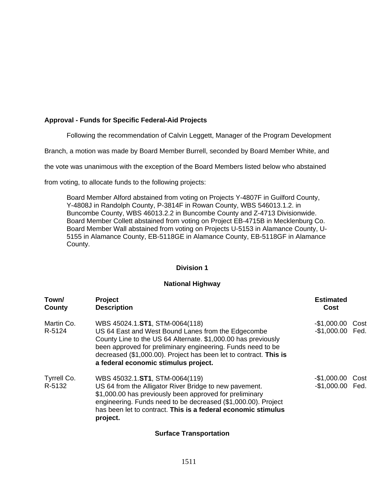# **Approval - Funds for Specific Federal-Aid Projects**

Following the recommendation of Calvin Leggett, Manager of the Program Development

Branch, a motion was made by Board Member Burrell, seconded by Board Member White, and

the vote was unanimous with the exception of the Board Members listed below who abstained

from voting, to allocate funds to the following projects:

Board Member Alford abstained from voting on Projects Y-4807F in Guilford County, Y-4808J in Randolph County, P-3814F in Rowan County, WBS 546013.1.2. in Buncombe County, WBS 46013.2.2 in Buncombe County and Z-4713 Divisionwide. Board Member Collett abstained from voting on Project EB-4715B in Mecklenburg Co. Board Member Wall abstained from voting on Projects U-5153 in Alamance County, U-5155 in Alamance County, EB-5118GE in Alamance County, EB-5118GF in Alamance County.

#### **Division 1**

#### **National Highway**

| Town/<br>County       | Project<br><b>Description</b>                                                                                                                                                                                                                                                                                                     | <b>Estimated</b><br>Cost             |      |
|-----------------------|-----------------------------------------------------------------------------------------------------------------------------------------------------------------------------------------------------------------------------------------------------------------------------------------------------------------------------------|--------------------------------------|------|
| Martin Co.<br>R-5124  | WBS 45024.1.ST1, STM-0064(118)<br>US 64 East and West Bound Lanes from the Edgecombe<br>County Line to the US 64 Alternate. \$1,000.00 has previously<br>been approved for preliminary engineering. Funds need to be<br>decreased (\$1,000.00). Project has been let to contract. This is<br>a federal economic stimulus project. | $-$1,000.00$<br>-\$1,000.00 Fed.     | Cost |
| Tyrrell Co.<br>R-5132 | WBS 45032.1.ST1, STM-0064(119)<br>US 64 from the Alligator River Bridge to new pavement.<br>\$1,000.00 has previously been approved for preliminary<br>engineering. Funds need to be decreased (\$1,000.00). Project<br>has been let to contract. This is a federal economic stimulus<br>project.                                 | -\$1,000.00 Cost<br>-\$1,000.00 Fed. |      |

### **Surface Transportation**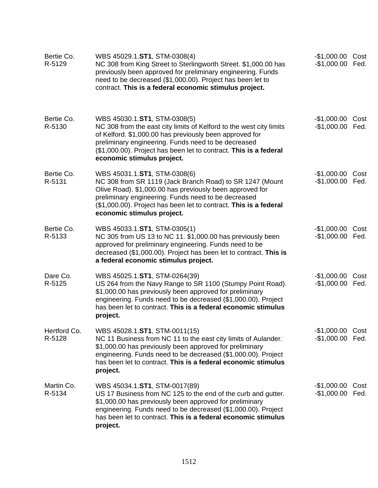| Bertie Co.<br>R-5129   | WBS 45029.1.ST1, STM-0308(4)<br>NC 308 from King Street to Sterlingworth Street. \$1,000.00 has<br>previously been approved for preliminary engineering. Funds<br>need to be decreased (\$1,000.00). Project has been let to<br>contract. This is a federal economic stimulus project.                                   | -\$1,000.00 Cost<br>-\$1,000.00 Fed. |              |
|------------------------|--------------------------------------------------------------------------------------------------------------------------------------------------------------------------------------------------------------------------------------------------------------------------------------------------------------------------|--------------------------------------|--------------|
| Bertie Co.<br>R-5130   | WBS 45030.1.ST1, STM-0308(5)<br>NC 308 from the east city limits of Kelford to the west city limits<br>of Kelford. \$1,000.00 has previously been approved for<br>preliminary engineering. Funds need to be decreased<br>(\$1,000.00). Project has been let to contract. This is a federal<br>economic stimulus project. | $-$1,000.00$<br>$-$1,000.00$         | Cost<br>Fed. |
| Bertie Co.<br>R-5131   | WBS 45031.1.ST1, STM-0308(6)<br>NC 308 from SR 1119 (Jack Branch Road) to SR 1247 (Mount<br>Olive Road). \$1,000.00 has previously been approved for<br>preliminary engineering. Funds need to be decreased<br>(\$1,000.00). Project has been let to contract. This is a federal<br>economic stimulus project.           | -\$1,000.00 Cost<br>-\$1,000.00 Fed. |              |
| Bertie Co.<br>R-5133   | WBS 45033.1.ST1, STM-0305(1)<br>NC 305 from US 13 to NC 11. \$1,000.00 has previously been<br>approved for preliminary engineering. Funds need to be<br>decreased (\$1,000.00). Project has been let to contract. This is<br>a federal economic stimulus project.                                                        | -\$1,000.00 Cost<br>$-$1,000.00$     | Fed.         |
| Dare Co.<br>R-5125     | WBS 45025.1.ST1, STM-0264(39)<br>US 264 from the Navy Range to SR 1100 (Stumpy Point Road).<br>\$1,000.00 has previously been approved for preliminary<br>engineering. Funds need to be decreased (\$1,000.00). Project<br>has been let to contract. This is a federal economic stimulus<br>project.                     | -\$1,000.00 Cost<br>-\$1,000.00 Fed. |              |
| Hertford Co.<br>R-5128 | WBS 45028.1.ST1, STM-0011(15)<br>NC 11 Business from NC 11 to the east city limits of Aulander.<br>\$1,000.00 has previously been approved for preliminary<br>engineering. Funds need to be decreased (\$1,000.00). Project<br>has been let to contract. This is a federal economic stimulus<br>project.                 | -\$1,000.00 Cost<br>-\$1,000.00 Fed. |              |
| Martin Co.<br>R-5134   | WBS 45034.1.ST1, STM-0017(89)<br>US17 Business from NC125 to the end of the curb and gutter.<br>\$1,000.00 has previously been approved for preliminary<br>engineering. Funds need to be decreased (\$1,000.00). Project<br>has been let to contract. This is a federal economic stimulus<br>project.                    | -\$1,000.00 Cost<br>$-$1,000.00$     | Fed.         |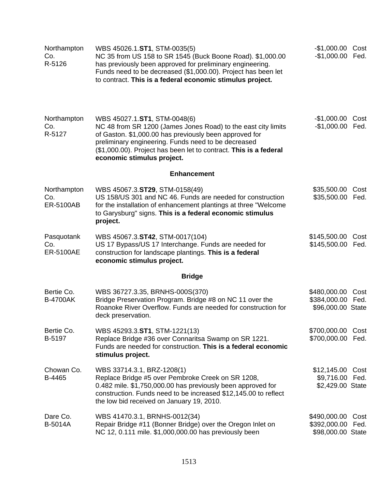| Northampton<br>Co.<br>R-5126    | WBS 45026.1.ST1, STM-0035(5)<br>NC 35 from US 158 to SR 1545 (Buck Boone Road). \$1,000.00<br>has previously been approved for preliminary engineering.<br>Funds need to be decreased (\$1,000.00). Project has been let<br>to contract. This is a federal economic stimulus project.                             | -\$1,000.00 Cost<br>-\$1,000.00 Fed.               |              |  |  |
|---------------------------------|-------------------------------------------------------------------------------------------------------------------------------------------------------------------------------------------------------------------------------------------------------------------------------------------------------------------|----------------------------------------------------|--------------|--|--|
| Northampton<br>Co.<br>R-5127    | WBS 45027.1.ST1, STM-0048(6)<br>NC 48 from SR 1200 (James Jones Road) to the east city limits<br>of Gaston. \$1,000.00 has previously been approved for<br>preliminary engineering. Funds need to be decreased<br>(\$1,000.00). Project has been let to contract. This is a federal<br>economic stimulus project. | -\$1,000.00 Cost<br>-\$1,000.00 Fed.               |              |  |  |
| <b>Enhancement</b>              |                                                                                                                                                                                                                                                                                                                   |                                                    |              |  |  |
| Northampton<br>Co.<br>ER-5100AB | WBS 45067.3.ST29, STM-0158(49)<br>US 158/US 301 and NC 46. Funds are needed for construction<br>for the installation of enhancement plantings at three "Welcome<br>to Garysburg" signs. This is a federal economic stimulus<br>project.                                                                           | \$35,500.00<br>\$35,500.00                         | Cost<br>Fed. |  |  |
| Pasquotank<br>Co.<br>ER-5100AE  | WBS 45067.3.ST42, STM-0017(104)<br>US 17 Bypass/US 17 Interchange. Funds are needed for<br>construction for landscape plantings. This is a federal<br>economic stimulus project.                                                                                                                                  | \$145,500.00<br>\$145,500.00 Fed.                  | Cost         |  |  |
|                                 | <b>Bridge</b>                                                                                                                                                                                                                                                                                                     |                                                    |              |  |  |
| Bertie Co.<br><b>B-4700AK</b>   | WBS 36727.3.35, BRNHS-000S(370)<br>Bridge Preservation Program. Bridge #8 on NC 11 over the<br>Roanoke River Overflow. Funds are needed for construction for<br>deck preservation.                                                                                                                                | \$480,000.00<br>\$384,000.00<br>\$96,000.00 State  | Cost<br>Fed. |  |  |
| Bertie Co.<br>B-5197            | WBS 45293.3.ST1, STM-1221(13)<br>Replace Bridge #36 over Connaritsa Swamp on SR 1221.<br>Funds are needed for construction. This is a federal economic<br>stimulus project.                                                                                                                                       | \$700,000.00<br>\$700,000.00                       | Cost<br>Fed. |  |  |
| Chowan Co.<br>B-4465            | WBS 33714.3.1, BRZ-1208(1)<br>Replace Bridge #5 over Pembroke Creek on SR 1208,<br>0.482 mile. \$1,750,000.00 has previously been approved for<br>construction. Funds need to be increased \$12,145.00 to reflect<br>the low bid received on January 19, 2010.                                                    | \$12,145.00 Cost<br>\$9,716.00<br>\$2,429.00 State | Fed.         |  |  |
| Dare Co.<br><b>B-5014A</b>      | WBS 41470.3.1, BRNHS-0012(34)<br>Repair Bridge #11 (Bonner Bridge) over the Oregon Inlet on<br>NC 12, 0.111 mile. \$1,000,000.00 has previously been                                                                                                                                                              | \$490,000.00<br>\$392,000.00<br>\$98,000.00 State  | Cost<br>Fed. |  |  |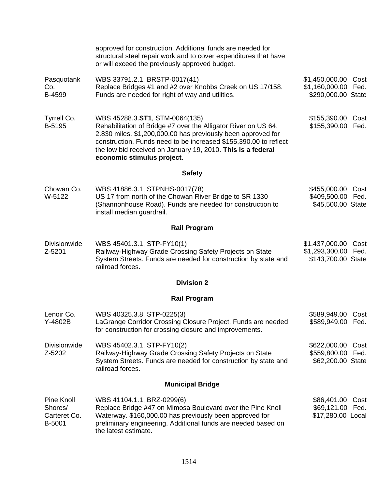|                                                 | approved for construction. Additional funds are needed for<br>structural steel repair work and to cover expenditures that have<br>or will exceed the previously approved budget.                                                                                                                                                  |                                                                  |      |  |
|-------------------------------------------------|-----------------------------------------------------------------------------------------------------------------------------------------------------------------------------------------------------------------------------------------------------------------------------------------------------------------------------------|------------------------------------------------------------------|------|--|
| Pasquotank<br>Co.<br>B-4599                     | WBS 33791.2.1, BRSTP-0017(41)<br>Replace Bridges #1 and #2 over Knobbs Creek on US 17/158.<br>Funds are needed for right of way and utilities.                                                                                                                                                                                    | \$1,450,000.00 Cost<br>\$1,160,000.00 Fed.<br>\$290,000.00 State |      |  |
| Tyrrell Co.<br>B-5195                           | WBS 45288.3.ST1, STM-0064(135)<br>Rehabilitation of Bridge #7 over the Alligator River on US 64,<br>2.830 miles. \$1,200,000.00 has previously been approved for<br>construction. Funds need to be increased \$155,390.00 to reflect<br>the low bid received on January 19, 2010. This is a federal<br>economic stimulus project. | \$155,390.00 Cost<br>\$155,390.00 Fed.                           |      |  |
|                                                 | <b>Safety</b>                                                                                                                                                                                                                                                                                                                     |                                                                  |      |  |
| Chowan Co.<br>W-5122                            | WBS 41886.3.1, STPNHS-0017(78)<br>US 17 from north of the Chowan River Bridge to SR 1330<br>(Shannonhouse Road). Funds are needed for construction to<br>install median guardrail.                                                                                                                                                | \$455,000.00 Cost<br>\$409,500.00 Fed.<br>\$45,500.00 State      |      |  |
|                                                 | <b>Rail Program</b>                                                                                                                                                                                                                                                                                                               |                                                                  |      |  |
| <b>Divisionwide</b><br>Z-5201                   | WBS 45401.3.1, STP-FY10(1)<br>Railway-Highway Grade Crossing Safety Projects on State<br>System Streets. Funds are needed for construction by state and<br>railroad forces.                                                                                                                                                       | \$1,437,000.00<br>\$1,293,300.00 Fed.<br>\$143,700.00 State      | Cost |  |
|                                                 | <b>Division 2</b>                                                                                                                                                                                                                                                                                                                 |                                                                  |      |  |
|                                                 | <b>Rail Program</b>                                                                                                                                                                                                                                                                                                               |                                                                  |      |  |
| Lenoir Co.<br>Y-4802B                           | WBS 40325.3.8, STP-0225(3)<br>LaGrange Corridor Crossing Closure Project. Funds are needed<br>for construction for crossing closure and improvements.                                                                                                                                                                             | \$589,949.00 Cost<br>\$589,949.00 Fed.                           |      |  |
| <b>Divisionwide</b><br>Z-5202                   | WBS 45402.3.1, STP-FY10(2)<br>Railway-Highway Grade Crossing Safety Projects on State<br>System Streets. Funds are needed for construction by state and<br>railroad forces.                                                                                                                                                       | \$622,000.00<br>\$559,800.00 Fed.<br>\$62,200.00 State           | Cost |  |
| <b>Municipal Bridge</b>                         |                                                                                                                                                                                                                                                                                                                                   |                                                                  |      |  |
| Pine Knoll<br>Shores/<br>Carteret Co.<br>B-5001 | WBS 41104.1.1, BRZ-0299(6)<br>Replace Bridge #47 on Mimosa Boulevard over the Pine Knoll<br>Waterway. \$160,000.00 has previously been approved for<br>preliminary engineering. Additional funds are needed based on<br>the latest estimate.                                                                                      | \$86,401.00<br>\$69,121.00 Fed.<br>\$17,280.00 Local             | Cost |  |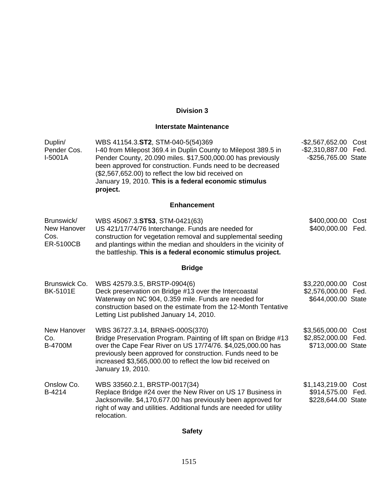# **Division 3**

# **Interstate Maintenance**

| Duplin/<br>Pender Cos.<br>I-5001A                     | WBS 41154.3.ST2, STM-040-5(54)369<br>I-40 from Milepost 369.4 in Duplin County to Milepost 389.5 in<br>Pender County, 20.090 miles. \$17,500,000.00 has previously<br>been approved for construction. Funds need to be decreased<br>(\$2,567,652.00) to reflect the low bid received on<br>January 19, 2010. This is a federal economic stimulus<br>project. | -\$2,567,652.00<br>Cost<br>$-$ \$2,310,887.00<br>Fed.<br>-\$256,765.00 State |
|-------------------------------------------------------|--------------------------------------------------------------------------------------------------------------------------------------------------------------------------------------------------------------------------------------------------------------------------------------------------------------------------------------------------------------|------------------------------------------------------------------------------|
|                                                       | <b>Enhancement</b>                                                                                                                                                                                                                                                                                                                                           |                                                                              |
| Brunswick/<br>New Hanover<br>Cos.<br><b>ER-5100CB</b> | WBS 45067.3.ST53, STM-0421(63)<br>US 421/17/74/76 Interchange. Funds are needed for<br>construction for vegetation removal and supplemental seeding<br>and plantings within the median and shoulders in the vicinity of<br>the battleship. This is a federal economic stimulus project.                                                                      | \$400,000.00<br>Cost<br>\$400,000.00 Fed.                                    |
|                                                       | <b>Bridge</b>                                                                                                                                                                                                                                                                                                                                                |                                                                              |
| Brunswick Co.<br><b>BK-5101E</b>                      | WBS 42579.3.5, BRSTP-0904(6)<br>Deck preservation on Bridge #13 over the Intercoastal<br>Waterway on NC 904, 0.359 mile. Funds are needed for<br>construction based on the estimate from the 12-Month Tentative<br>Letting List published January 14, 2010.                                                                                                  | \$3,220,000.00<br>Cost<br>\$2,576,000.00 Fed.<br>\$644,000.00 State          |
| <b>New Hanover</b><br>Co.<br><b>B-4700M</b>           | WBS 36727.3.14, BRNHS-000S(370)<br>Bridge Preservation Program. Painting of lift span on Bridge #13<br>over the Cape Fear River on US 17/74/76. \$4,025,000.00 has<br>previously been approved for construction. Funds need to be<br>increased \$3,565,000.00 to reflect the low bid received on<br>January 19, 2010.                                        | \$3,565,000.00<br>Cost<br>\$2,852,000.00<br>Fed.<br>\$713,000.00 State       |
| Onslow Co.<br>B-4214                                  | WBS 33560.2.1, BRSTP-0017(34)<br>Replace Bridge #24 over the New River on US 17 Business in<br>Jacksonville. \$4,170,677.00 has previously been approved for<br>right of way and utilities. Additional funds are needed for utility<br>relocation.                                                                                                           | \$1,143,219.00 Cost<br>\$914,575.00 Fed.<br>\$228,644.00 State               |

# **Safety**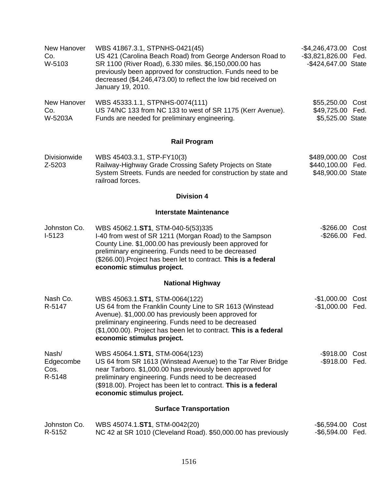| New Hanover<br>Co.<br>W-5103         | WBS 41867.3.1, STPNHS-0421(45)<br>US 421 (Carolina Beach Road) from George Anderson Road to<br>SR 1100 (River Road), 6.330 miles. \$6,150,000.00 has<br>previously been approved for construction. Funds need to be<br>decreased (\$4,246,473.00) to reflect the low bid received on<br>January 19, 2010.           | -\$4,246,473.00 Cost<br>-\$3,821,826.00 Fed.<br>-\$424,647.00 State |      |
|--------------------------------------|---------------------------------------------------------------------------------------------------------------------------------------------------------------------------------------------------------------------------------------------------------------------------------------------------------------------|---------------------------------------------------------------------|------|
| New Hanover<br>Co.<br>W-5203A        | WBS 45333.1.1, STPNHS-0074(111)<br>US 74/NC 133 from NC 133 to west of SR 1175 (Kerr Avenue).<br>Funds are needed for preliminary engineering.                                                                                                                                                                      | \$55,250.00 Cost<br>\$49,725.00 Fed.<br>\$5,525.00 State            |      |
|                                      | <b>Rail Program</b>                                                                                                                                                                                                                                                                                                 |                                                                     |      |
| Divisionwide<br>Z-5203               | WBS 45403.3.1, STP-FY10(3)<br>Railway-Highway Grade Crossing Safety Projects on State<br>System Streets. Funds are needed for construction by state and<br>railroad forces.                                                                                                                                         | \$489,000.00<br>\$440,100.00 Fed.<br>\$48,900.00 State              | Cost |
|                                      | <b>Division 4</b>                                                                                                                                                                                                                                                                                                   |                                                                     |      |
|                                      | <b>Interstate Maintenance</b>                                                                                                                                                                                                                                                                                       |                                                                     |      |
| Johnston Co.<br>$I-5123$             | WBS 45062.1.ST1, STM-040-5(53)335<br>I-40 from west of SR 1211 (Morgan Road) to the Sampson<br>County Line. \$1,000.00 has previously been approved for<br>preliminary engineering. Funds need to be decreased<br>(\$266.00). Project has been let to contract. This is a federal<br>economic stimulus project.     | $-$ \$266.00<br>-\$266.00 Fed.                                      | Cost |
|                                      | <b>National Highway</b>                                                                                                                                                                                                                                                                                             |                                                                     |      |
| Nash Co.<br>R-5147                   | WBS 45063.1.ST1, STM-0064(122)<br>US 64 from the Franklin County Line to SR 1613 (Winstead<br>Avenue). \$1,000.00 has previously been approved for<br>preliminary engineering. Funds need to be decreased<br>(\$1,000.00). Project has been let to contract. This is a federal<br>economic stimulus project.        | $-$1,000.00$<br>-\$1,000.00 Fed.                                    | Cost |
| Nash/<br>Edgecombe<br>Cos.<br>R-5148 | WBS 45064.1.ST1, STM-0064(123)<br>US 64 from SR 1613 (Winstead Avenue) to the Tar River Bridge<br>near Tarboro. \$1,000.00 has previously been approved for<br>preliminary engineering. Funds need to be decreased<br>(\$918.00). Project has been let to contract. This is a federal<br>economic stimulus project. | $-$ \$918.00<br>-\$918.00 Fed.                                      | Cost |
|                                      | <b>Surface Transportation</b>                                                                                                                                                                                                                                                                                       |                                                                     |      |
| Johnston Co.<br>R-5152               | WBS 45074.1.ST1, STM-0042(20)<br>NC 42 at SR 1010 (Cleveland Road). \$50,000.00 has previously                                                                                                                                                                                                                      | -\$6,594.00 Cost<br>$-$6,594.00$                                    | Fed. |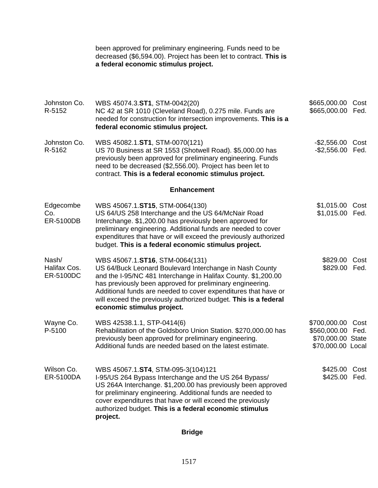been approved for preliminary engineering. Funds need to be decreased (\$6,594.00). Project has been let to contract. **This is a federal economic stimulus project.**

| Johnston Co.<br>R-5152             | WBS 45074.3.ST1, STM-0042(20)<br>NC 42 at SR 1010 (Cleveland Road), 0.275 mile. Funds are<br>needed for construction for intersection improvements. This is a<br>federal economic stimulus project.                                                                                                                                                                                         | \$665,000.00<br>\$665,000.00                                                | Cost<br>Fed. |
|------------------------------------|---------------------------------------------------------------------------------------------------------------------------------------------------------------------------------------------------------------------------------------------------------------------------------------------------------------------------------------------------------------------------------------------|-----------------------------------------------------------------------------|--------------|
| Johnston Co.<br>R-5162             | WBS 45082.1.ST1, STM-0070(121)<br>US 70 Business at SR 1553 (Shotwell Road). \$5,000.00 has<br>previously been approved for preliminary engineering. Funds<br>need to be decreased (\$2,556.00). Project has been let to<br>contract. This is a federal economic stimulus project.                                                                                                          | $-$ \$2,556.00<br>$-$ \$2,556.00 Fed.                                       | Cost         |
|                                    | <b>Enhancement</b>                                                                                                                                                                                                                                                                                                                                                                          |                                                                             |              |
| Edgecombe<br>Co.<br>ER-5100DB      | WBS 45067.1.ST15, STM-0064(130)<br>US 64/US 258 Interchange and the US 64/McNair Road<br>Interchange. \$1,200.00 has previously been approved for<br>preliminary engineering. Additional funds are needed to cover<br>expenditures that have or will exceed the previously authorized<br>budget. This is a federal economic stimulus project.                                               | \$1,015.00<br>\$1,015.00 Fed.                                               | Cost         |
| Nash/<br>Halifax Cos.<br>ER-5100DC | WBS 45067.1.ST16, STM-0064(131)<br>US 64/Buck Leonard Boulevard Interchange in Nash County<br>and the I-95/NC 481 Interchange in Halifax County. \$1,200.00<br>has previously been approved for preliminary engineering.<br>Additional funds are needed to cover expenditures that have or<br>will exceed the previously authorized budget. This is a federal<br>economic stimulus project. | \$829.00<br>\$829.00                                                        | Cost<br>Fed. |
| Wayne Co.<br>P-5100                | WBS 42538.1.1, STP-0414(6)<br>Rehabilitation of the Goldsboro Union Station. \$270,000.00 has<br>previously been approved for preliminary engineering.<br>Additional funds are needed based on the latest estimate.                                                                                                                                                                         | \$700,000.00<br>\$560,000.00 Fed.<br>\$70,000.00 State<br>\$70,000.00 Local | Cost         |
| Wilson Co.<br>ER-5100DA            | WBS 45067.1.ST4, STM-095-3(104)121<br>I-95/US 264 Bypass Interchange and the US 264 Bypass/<br>US 264A Interchange. \$1,200.00 has previously been approved<br>for preliminary engineering. Additional funds are needed to<br>cover expenditures that have or will exceed the previously<br>authorized budget. This is a federal economic stimulus<br>project.                              | \$425.00 Cost<br>\$425.00 Fed.                                              |              |

**Bridge**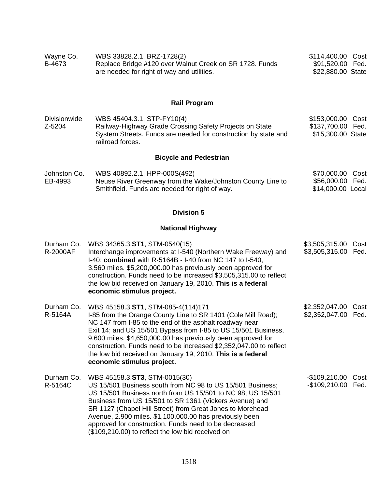| Wayne Co. | WBS 33828.2.1, BRZ-1728(2)                              | \$114,400.00 Cost |
|-----------|---------------------------------------------------------|-------------------|
| B-4673    | Replace Bridge #120 over Walnut Creek on SR 1728. Funds | \$91,520.00 Fed.  |
|           | are needed for right of way and utilities.              | \$22,880.00 State |

# **Rail Program**

| <b>Divisionwide</b> | WBS 45404.3.1, STP-FY10(4)                                     | \$153,000.00 Cost |  |
|---------------------|----------------------------------------------------------------|-------------------|--|
| Z-5204              | Railway-Highway Grade Crossing Safety Projects on State        | \$137,700.00 Fed. |  |
|                     | System Streets. Funds are needed for construction by state and | \$15,300.00 State |  |
|                     | railroad forces.                                               |                   |  |

# **Bicycle and Pedestrian**

| Johnston Co. | WBS 40892.2.1, HPP-000S(492)                               | \$70,000.00 Cost  |  |
|--------------|------------------------------------------------------------|-------------------|--|
| EB-4993      | Neuse River Greenway from the Wake/Johnston County Line to | \$56,000.00 Fed.  |  |
|              | Smithfield. Funds are needed for right of way.             | \$14,000.00 Local |  |

## **Division 5**

# **National Highway**

| Durham Co.<br><b>R-2000AF</b> | WBS 34365.3.ST1, STM-0540(15)<br>Interchange improvements at I-540 (Northern Wake Freeway) and<br>I-40; combined with R-5164B - I-40 from NC 147 to I-540,<br>3.560 miles. \$5,200,000.00 has previously been approved for<br>construction. Funds need to be increased \$3,505,315.00 to reflect<br>the low bid received on January 19, 2010. This is a federal<br>economic stimulus project.                                                                       | \$3,505,315.00 Cost<br>\$3,505,315.00 Fed. |      |
|-------------------------------|---------------------------------------------------------------------------------------------------------------------------------------------------------------------------------------------------------------------------------------------------------------------------------------------------------------------------------------------------------------------------------------------------------------------------------------------------------------------|--------------------------------------------|------|
| Durham Co.<br>R-5164A         | WBS 45158.3.ST1, STM-085-4(114)171<br>I-85 from the Orange County Line to SR 1401 (Cole Mill Road);<br>NC 147 from I-85 to the end of the asphalt roadway near<br>Exit 14; and US 15/501 Bypass from I-85 to US 15/501 Business,<br>9.600 miles. \$4,650,000.00 has previously been approved for<br>construction. Funds need to be increased \$2,352,047.00 to reflect<br>the low bid received on January 19, 2010. This is a federal<br>economic stimulus project. | \$2,352,047.00<br>\$2,352,047.00 Fed.      | Cost |
| Durham Co.<br>R-5164C         | WBS 45158.3.ST3, STM-0015(30)<br>US 15/501 Business south from NC 98 to US 15/501 Business;<br>US 15/501 Business north from US 15/501 to NC 98; US 15/501<br>Business from US 15/501 to SR 1361 (Vickers Avenue) and<br>SR 1127 (Chapel Hill Street) from Great Jones to Morehead<br>Avenue, 2.900 miles. \$1,100,000.00 has previously been<br>approved for construction. Funds need to be decreased<br>(\$109,210.00) to reflect the low bid received on         | -\$109,210.00<br>-\$109,210.00 Fed.        | Cost |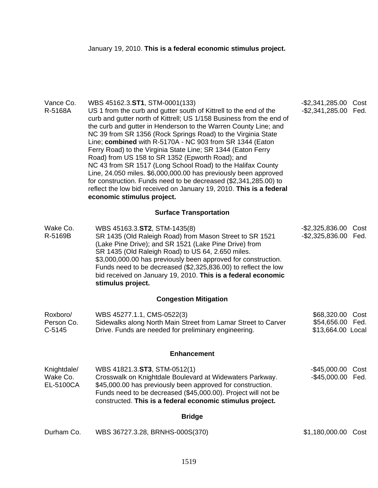| Vance Co.<br>R-5168A                 | WBS 45162.3.ST1, STM-0001(133)<br>US 1 from the curb and gutter south of Kittrell to the end of the<br>curb and gutter north of Kittrell; US 1/158 Business from the end of<br>the curb and gutter in Henderson to the Warren County Line; and<br>NC 39 from SR 1356 (Rock Springs Road) to the Virginia State<br>Line; combined with R-5170A - NC 903 from SR 1344 (Eaton<br>Ferry Road) to the Virginia State Line; SR 1344 (Eaton Ferry<br>Road) from US 158 to SR 1352 (Epworth Road); and<br>NC 43 from SR 1517 (Long School Road) to the Halifax County<br>Line, 24.050 miles. \$6,000,000.00 has previously been approved<br>for construction. Funds need to be decreased (\$2,341,285.00) to<br>reflect the low bid received on January 19, 2010. This is a federal<br>economic stimulus project. | -\$2,341,285.00 Cost<br>-\$2,341,285.00 Fed.              |      |
|--------------------------------------|-----------------------------------------------------------------------------------------------------------------------------------------------------------------------------------------------------------------------------------------------------------------------------------------------------------------------------------------------------------------------------------------------------------------------------------------------------------------------------------------------------------------------------------------------------------------------------------------------------------------------------------------------------------------------------------------------------------------------------------------------------------------------------------------------------------|-----------------------------------------------------------|------|
|                                      | <b>Surface Transportation</b>                                                                                                                                                                                                                                                                                                                                                                                                                                                                                                                                                                                                                                                                                                                                                                             |                                                           |      |
| Wake Co.<br>R-5169B                  | WBS 45163.3.ST2, STM-1435(8)<br>SR 1435 (Old Raleigh Road) from Mason Street to SR 1521<br>(Lake Pine Drive); and SR 1521 (Lake Pine Drive) from<br>SR 1435 (Old Raleigh Road) to US 64, 2.650 miles.<br>\$3,000,000.00 has previously been approved for construction.<br>Funds need to be decreased (\$2,325,836.00) to reflect the low<br>bid received on January 19, 2010. This is a federal economic<br>stimulus project.                                                                                                                                                                                                                                                                                                                                                                             | $-$ \$2,325,836.00<br>-\$2,325,836.00 Fed.                | Cost |
|                                      | <b>Congestion Mitigation</b>                                                                                                                                                                                                                                                                                                                                                                                                                                                                                                                                                                                                                                                                                                                                                                              |                                                           |      |
| Roxboro/<br>Person Co.<br>$C-5145$   | WBS 45277.1.1, CMS-0522(3)<br>Sidewalks along North Main Street from Lamar Street to Carver<br>Drive. Funds are needed for preliminary engineering.                                                                                                                                                                                                                                                                                                                                                                                                                                                                                                                                                                                                                                                       | \$68,320.00 Cost<br>\$54,656.00 Fed.<br>\$13,664.00 Local |      |
|                                      | <b>Enhancement</b>                                                                                                                                                                                                                                                                                                                                                                                                                                                                                                                                                                                                                                                                                                                                                                                        |                                                           |      |
| Knightdale/<br>Wake Co.<br>EL-5100CA | WBS 41821.3.ST3, STM-0512(1)<br>Crosswalk on Knightdale Boulevard at Widewaters Parkway.<br>\$45,000.00 has previously been approved for construction.<br>Funds need to be decreased (\$45,000.00). Project will not be<br>constructed. This is a federal economic stimulus project.                                                                                                                                                                                                                                                                                                                                                                                                                                                                                                                      | -\$45,000.00 Cost<br>-\$45,000.00 Fed.                    |      |
|                                      | <b>Bridge</b>                                                                                                                                                                                                                                                                                                                                                                                                                                                                                                                                                                                                                                                                                                                                                                                             |                                                           |      |
| Durham Co.                           | WBS 36727.3.28, BRNHS-000S(370)                                                                                                                                                                                                                                                                                                                                                                                                                                                                                                                                                                                                                                                                                                                                                                           | \$1,180,000.00 Cost                                       |      |
|                                      |                                                                                                                                                                                                                                                                                                                                                                                                                                                                                                                                                                                                                                                                                                                                                                                                           |                                                           |      |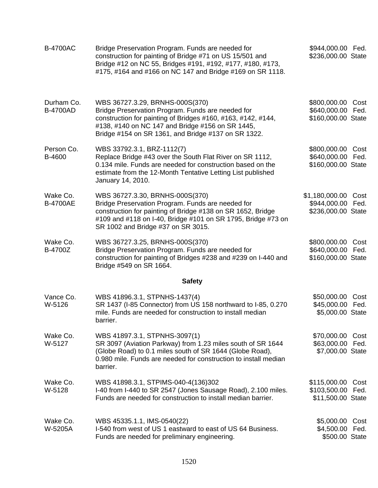| <b>B-4700AC</b>               | Bridge Preservation Program. Funds are needed for<br>construction for painting of Bridge #71 on US 15/501 and<br>Bridge #12 on NC 55, Bridges #191, #192, #177, #180, #173,<br>#175, #164 and #166 on NC 147 and Bridge #169 on SR 1118.                        | \$944,000.00 Fed.<br>\$236,000.00 State                      |              |
|-------------------------------|-----------------------------------------------------------------------------------------------------------------------------------------------------------------------------------------------------------------------------------------------------------------|--------------------------------------------------------------|--------------|
| Durham Co.<br><b>B-4700AD</b> | WBS 36727.3.29, BRNHS-000S(370)<br>Bridge Preservation Program. Funds are needed for<br>construction for painting of Bridges #160, #163, #142, #144,<br>#138, #140 on NC 147 and Bridge #156 on SR 1445,<br>Bridge #154 on SR 1361, and Bridge #137 on SR 1322. | \$800,000.00<br>\$640,000.00<br>\$160,000.00 State           | Cost<br>Fed. |
| Person Co.<br>B-4600          | WBS 33792.3.1, BRZ-1112(7)<br>Replace Bridge #43 over the South Flat River on SR 1112,<br>0.134 mile. Funds are needed for construction based on the<br>estimate from the 12-Month Tentative Letting List published<br>January 14, 2010.                        | \$800,000.00 Cost<br>\$640,000.00 Fed.<br>\$160,000.00 State |              |
| Wake Co.<br><b>B-4700AE</b>   | WBS 36727.3.30, BRNHS-000S(370)<br>Bridge Preservation Program. Funds are needed for<br>construction for painting of Bridge #138 on SR 1652, Bridge<br>#109 and #118 on I-40, Bridge #101 on SR 1795, Bridge #73 on<br>SR 1002 and Bridge #37 on SR 3015.       | \$1,180,000.00 Cost<br>\$944,000.00<br>\$236,000.00 State    | Fed.         |
| Wake Co.<br>B-4700Z           | WBS 36727.3.25, BRNHS-000S(370)<br>Bridge Preservation Program. Funds are needed for<br>construction for painting of Bridges #238 and #239 on I-440 and<br>Bridge #549 on SR 1664.                                                                              | \$800,000.00<br>\$640,000.00 Fed.<br>\$160,000.00 State      | Cost         |
|                               | <b>Safety</b>                                                                                                                                                                                                                                                   |                                                              |              |
| Vance Co.<br>W-5126           | WBS 41896.3.1, STPNHS-1437(4)<br>SR 1437 (I-85 Connector) from US 158 northward to I-85, 0.270<br>mile. Funds are needed for construction to install median<br>barrier.                                                                                         | \$50,000.00 Cost<br>\$45,000.00 Fed.<br>\$5,000.00 State     |              |
| Wake Co.<br>W-5127            | WBS 41897.3.1, STPNHS-3097(1)<br>SR 3097 (Aviation Parkway) from 1.23 miles south of SR 1644<br>(Globe Road) to 0.1 miles south of SR 1644 (Globe Road),<br>0.980 mile. Funds are needed for construction to install median<br>barrier.                         | \$70,000.00<br>\$63,000.00<br>\$7,000.00 State               | Cost<br>Fed. |
| Wake Co.<br>W-5128            | WBS 41898.3.1, STPIMS-040-4(136)302<br>I-40 from I-440 to SR 2547 (Jones Sausage Road), 2.100 miles.<br>Funds are needed for construction to install median barrier.                                                                                            | \$115,000.00<br>\$103,500.00 Fed.<br>\$11,500.00 State       | Cost         |
| Wake Co.<br>W-5205A           | WBS 45335.1.1, IMS-0540(22)<br>I-540 from west of US 1 eastward to east of US 64 Business.<br>Funds are needed for preliminary engineering.                                                                                                                     | \$5,000.00<br>\$4,500.00<br>\$500.00 State                   | Cost<br>Fed. |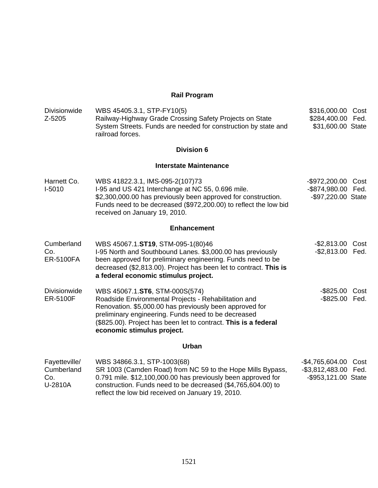## **Rail Program**

| <b>Divisionwide</b><br>Z-5205                 | WBS 45405.3.1, STP-FY10(5)<br>Railway-Highway Grade Crossing Safety Projects on State<br>System Streets. Funds are needed for construction by state and<br>railroad forces.                                                                                                                               | \$316,000.00 Cost<br>\$284,400.00 Fed.<br>\$31,600.00 State         |  |
|-----------------------------------------------|-----------------------------------------------------------------------------------------------------------------------------------------------------------------------------------------------------------------------------------------------------------------------------------------------------------|---------------------------------------------------------------------|--|
|                                               | <b>Division 6</b>                                                                                                                                                                                                                                                                                         |                                                                     |  |
|                                               | <b>Interstate Maintenance</b>                                                                                                                                                                                                                                                                             |                                                                     |  |
| Harnett Co.<br>$I-5010$                       | WBS 41822.3.1, IMS-095-2(107)73<br>I-95 and US 421 Interchange at NC 55, 0.696 mile.<br>\$2,300,000.00 has previously been approved for construction.<br>Funds need to be decreased (\$972,200.00) to reflect the low bid<br>received on January 19, 2010.                                                | -\$972,200.00 Cost<br>-\$874,980.00 Fed.<br>-\$97,220.00 State      |  |
|                                               | <b>Enhancement</b>                                                                                                                                                                                                                                                                                        |                                                                     |  |
| Cumberland<br>Co.<br><b>ER-5100FA</b>         | WBS 45067.1.ST19, STM-095-1(80)46<br>I-95 North and Southbound Lanes. \$3,000.00 has previously<br>been approved for preliminary engineering. Funds need to be<br>decreased (\$2,813.00). Project has been let to contract. This is<br>a federal economic stimulus project.                               | -\$2,813.00 Cost<br>-\$2,813.00 Fed.                                |  |
| <b>Divisionwide</b><br><b>ER-5100F</b>        | WBS 45067.1.ST6, STM-000S(574)<br>Roadside Environmental Projects - Rehabilitation and<br>Renovation. \$5,000.00 has previously been approved for<br>preliminary engineering. Funds need to be decreased<br>(\$825.00). Project has been let to contract. This is a federal<br>economic stimulus project. | -\$825.00 Cost<br>-\$825.00 Fed.                                    |  |
|                                               | Urban                                                                                                                                                                                                                                                                                                     |                                                                     |  |
| Fayetteville/<br>Cumberland<br>Co.<br>U-2810A | WBS 34866.3.1, STP-1003(68)<br>SR 1003 (Camden Road) from NC 59 to the Hope Mills Bypass,<br>0.791 mile. \$12,100,000.00 has previously been approved for<br>construction. Funds need to be decreased (\$4,765,604.00) to<br>reflect the low bid received on January 19, 2010.                            | -\$4,765,604.00 Cost<br>-\$3,812,483.00 Fed.<br>-\$953,121.00 State |  |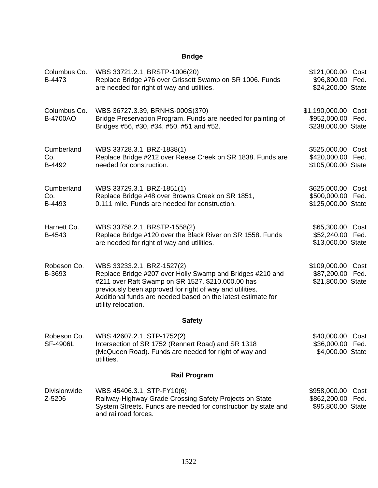# **Bridge**

| Columbus Co.<br>B-4473          | WBS 33721.2.1, BRSTP-1006(20)<br>Replace Bridge #76 over Grissett Swamp on SR 1006. Funds<br>are needed for right of way and utilities.                                                                                                                                                         | \$121,000.00 Cost<br>\$96,800.00 Fed.<br>\$24,200.00 State   |              |
|---------------------------------|-------------------------------------------------------------------------------------------------------------------------------------------------------------------------------------------------------------------------------------------------------------------------------------------------|--------------------------------------------------------------|--------------|
| Columbus Co.<br><b>B-4700AO</b> | WBS 36727.3.39, BRNHS-000S(370)<br>Bridge Preservation Program. Funds are needed for painting of<br>Bridges #56, #30, #34, #50, #51 and #52.                                                                                                                                                    | \$1,190,000.00 Cost<br>\$952,000.00<br>\$238,000.00 State    | Fed.         |
| Cumberland<br>Co.<br>B-4492     | WBS 33728.3.1, BRZ-1838(1)<br>Replace Bridge #212 over Reese Creek on SR 1838. Funds are<br>needed for construction.                                                                                                                                                                            | \$525,000.00 Cost<br>\$420,000.00 Fed.<br>\$105,000.00 State |              |
| Cumberland<br>Co.<br>B-4493     | WBS 33729.3.1, BRZ-1851(1)<br>Replace Bridge #48 over Browns Creek on SR 1851,<br>0.111 mile. Funds are needed for construction.                                                                                                                                                                | \$625,000.00 Cost<br>\$500,000.00<br>\$125,000.00 State      | Fed.         |
| Harnett Co.<br>B-4543           | WBS 33758.2.1, BRSTP-1558(2)<br>Replace Bridge #120 over the Black River on SR 1558. Funds<br>are needed for right of way and utilities.                                                                                                                                                        | \$65,300.00 Cost<br>\$52,240.00 Fed.<br>\$13,060.00 State    |              |
| Robeson Co.<br>B-3693           | WBS 33233.2.1, BRZ-1527(2)<br>Replace Bridge #207 over Holly Swamp and Bridges #210 and<br>#211 over Raft Swamp on SR 1527. \$210,000.00 has<br>previously been approved for right of way and utilities.<br>Additional funds are needed based on the latest estimate for<br>utility relocation. | \$109,000.00 Cost<br>\$87,200.00<br>\$21,800.00 State        | Fed.         |
|                                 | <b>Safety</b>                                                                                                                                                                                                                                                                                   |                                                              |              |
| Robeson Co.<br><b>SF-4906L</b>  | WBS 42607.2.1, STP-1752(2)<br>Intersection of SR 1752 (Rennert Road) and SR 1318<br>(McQueen Road). Funds are needed for right of way and<br>utilities.                                                                                                                                         | \$40,000.00 Cost<br>\$36,000.00 Fed.<br>\$4,000.00 State     |              |
|                                 | <b>Rail Program</b>                                                                                                                                                                                                                                                                             |                                                              |              |
| <b>Divisionwide</b><br>Z-5206   | WBS 45406.3.1, STP-FY10(6)<br>Railway-Highway Grade Crossing Safety Projects on State<br>System Streets. Funds are needed for construction by state and<br>and railroad forces.                                                                                                                 | \$958,000.00<br>\$862,200.00<br>\$95,800.00 State            | Cost<br>Fed. |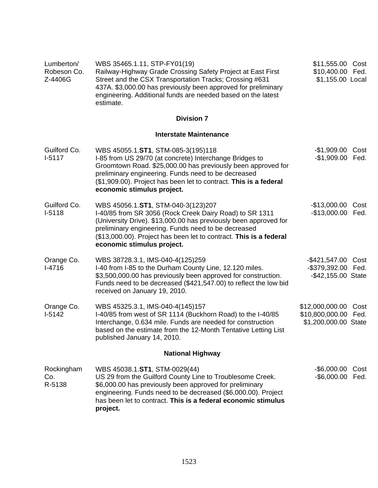| Lumberton/<br>Robeson Co.<br>Z-4406G | WBS 35465.1.11, STP-FY01(19)<br>Railway-Highway Grade Crossing Safety Project at East First<br>Street and the CSX Transportation Tracks; Crossing #631<br>437A. \$3,000.00 has previously been approved for preliminary<br>engineering. Additional funds are needed based on the latest<br>estimate.                         | \$11,555.00 Cost<br>\$10,400.00 Fed.<br>\$1,155.00 Local                   |
|--------------------------------------|------------------------------------------------------------------------------------------------------------------------------------------------------------------------------------------------------------------------------------------------------------------------------------------------------------------------------|----------------------------------------------------------------------------|
|                                      | <b>Division 7</b>                                                                                                                                                                                                                                                                                                            |                                                                            |
|                                      | <b>Interstate Maintenance</b>                                                                                                                                                                                                                                                                                                |                                                                            |
| Guilford Co.<br>$I-5117$             | WBS 45055.1.ST1, STM-085-3(195)118<br>I-85 from US 29/70 (at concrete) Interchange Bridges to<br>Groomtown Road. \$25,000.00 has previously been approved for<br>preliminary engineering. Funds need to be decreased<br>(\$1,909.00). Project has been let to contract. This is a federal<br>economic stimulus project.      | -\$1,909.00<br>Cost<br>$-$1,909.00$<br>Fed.                                |
| Guilford Co.<br>$I-5118$             | WBS 45056.1.ST1, STM-040-3(123)207<br>I-40/85 from SR 3056 (Rock Creek Dairy Road) to SR 1311<br>(University Drive). \$13,000.00 has previously been approved for<br>preliminary engineering. Funds need to be decreased<br>(\$13,000.00). Project has been let to contract. This is a federal<br>economic stimulus project. | $-$13,000.00$<br>Cost<br>$-$13,000.00$<br>Fed.                             |
| Orange Co.<br>$I-4716$               | WBS 38728.3.1, IMS-040-4(125)259<br>I-40 from I-85 to the Durham County Line, 12.120 miles.<br>\$3,500,000.00 has previously been approved for construction.<br>Funds need to be decreased (\$421,547.00) to reflect the low bid<br>received on January 19, 2010.                                                            | -\$421,547.00 Cost<br>-\$379,392.00 Fed.<br>-\$42,155.00 State             |
| Orange Co.<br>$I-5142$               | WBS 45325.3.1, IMS-040-4(145)157<br>I-40/85 from west of SR 1114 (Buckhorn Road) to the I-40/85<br>Interchange, 0.634 mile. Funds are needed for construction<br>based on the estimate from the 12-Month Tentative Letting List<br>published January 14, 2010.                                                               | \$12,000,000.00<br>Cost<br>\$10,800,000.00<br>Fed.<br>\$1,200,000.00 State |
|                                      | <b>National Highway</b>                                                                                                                                                                                                                                                                                                      |                                                                            |
| Rockingham<br>Co.<br>R-5138          | WBS 45038.1.ST1, STM-0029(44)<br>US 29 from the Guilford County Line to Troublesome Creek.<br>\$6,000.00 has previously been approved for preliminary<br>engineering. Funds need to be decreased (\$6,000.00). Project<br>has been let to contract. This is a federal economic stimulus<br>project.                          | -\$6,000.00<br>Cost<br>$-$ \$6,000.00<br>Fed.                              |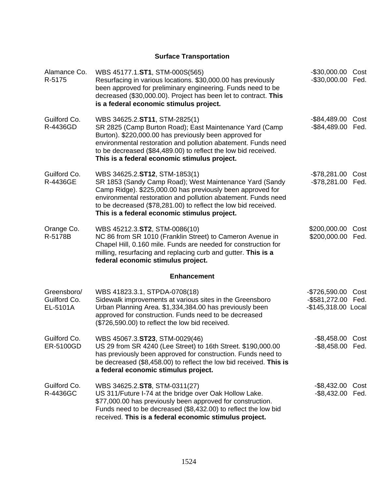# **Surface Transportation**

| Alamance Co.<br>R-5175                  | WBS 45177.1.ST1, STM-000S(565)<br>Resurfacing in various locations. \$30,000.00 has previously<br>been approved for preliminary engineering. Funds need to be<br>decreased (\$30,000.00). Project has been let to contract. This<br>is a federal economic stimulus project.                                                               | $-$30,000.00$<br>$-$30,000.00$                         | Cost<br>Fed. |
|-----------------------------------------|-------------------------------------------------------------------------------------------------------------------------------------------------------------------------------------------------------------------------------------------------------------------------------------------------------------------------------------------|--------------------------------------------------------|--------------|
| Guilford Co.<br>R-4436GD                | WBS 34625.2.ST11, STM-2825(1)<br>SR 2825 (Camp Burton Road); East Maintenance Yard (Camp<br>Burton). \$220,000.00 has previously been approved for<br>environmental restoration and pollution abatement. Funds need<br>to be decreased (\$84,489.00) to reflect the low bid received.<br>This is a federal economic stimulus project.     | $-$ \$84,489.00<br>$-$ \$84,489.00                     | Cost<br>Fed. |
| Guilford Co.<br>R-4436GE                | WBS 34625.2.ST12, STM-1853(1)<br>SR 1853 (Sandy Camp Road); West Maintenance Yard (Sandy<br>Camp Ridge). \$225,000.00 has previously been approved for<br>environmental restoration and pollution abatement. Funds need<br>to be decreased (\$78,281.00) to reflect the low bid received.<br>This is a federal economic stimulus project. | $-$ \$78,281.00<br>$-$78,281.00$                       | Cost<br>Fed. |
| Orange Co.<br>R-5178B                   | WBS 45212.3.ST2, STM-0086(10)<br>NC 86 from SR 1010 (Franklin Street) to Cameron Avenue in<br>Chapel Hill, 0.160 mile. Funds are needed for construction for<br>milling, resurfacing and replacing curb and gutter. This is a<br>federal economic stimulus project.                                                                       | \$200,000.00<br>\$200,000.00                           | Cost<br>Fed. |
|                                         | <b>Enhancement</b>                                                                                                                                                                                                                                                                                                                        |                                                        |              |
| Greensboro/<br>Guilford Co.<br>EL-5101A | WBS 41823.3.1, STPDA-0708(18)<br>Sidewalk improvements at various sites in the Greensboro<br>Urban Planning Area. \$1,334,384.00 has previously been<br>approved for construction. Funds need to be decreased<br>(\$726,590.00) to reflect the low bid received.                                                                          | $-$726,590.00$<br>-\$581,272.00<br>-\$145,318.00 Local | Cost<br>Fed. |
| Guilford Co.<br>ER-5100GD               | WBS 45067.3.ST23, STM-0029(46)<br>US 29 from SR 4240 (Lee Street) to 16th Street. \$190,000.00<br>has previously been approved for construction. Funds need to<br>be decreased (\$8,458.00) to reflect the low bid received. This is<br>a federal economic stimulus project.                                                              | -\$8,458.00 Cost<br>-\$8,458.00 Fed.                   |              |
| Guilford Co.<br>R-4436GC                | WBS 34625.2.ST8, STM-0311(27)<br>US 311/Future I-74 at the bridge over Oak Hollow Lake.<br>\$77,000.00 has previously been approved for construction.<br>Funds need to be decreased (\$8,432.00) to reflect the low bid<br>received. This is a federal economic stimulus project.                                                         | $-$ \$8,432.00<br>$-$ \$8,432.00                       | Cost<br>Fed. |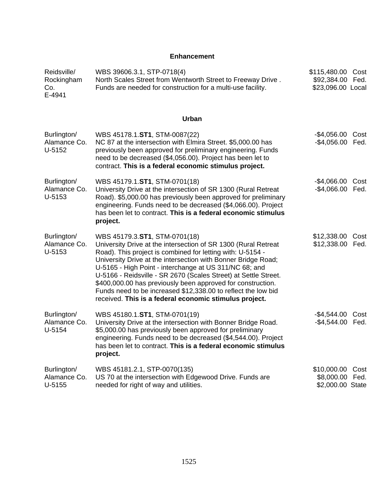### **Enhancement**

| Reidsville/<br>Rockingham<br>Co.<br>E-4941 | WBS 39606.3.1, STP-0718(4)<br>North Scales Street from Wentworth Street to Freeway Drive.<br>Funds are needed for construction for a multi-use facility.                                                                                                                                                                                                                                                                                                                                                                                              | \$115,480.00<br>\$92,384.00<br>\$23,096.00 Local   | Cost<br>Fed. |
|--------------------------------------------|-------------------------------------------------------------------------------------------------------------------------------------------------------------------------------------------------------------------------------------------------------------------------------------------------------------------------------------------------------------------------------------------------------------------------------------------------------------------------------------------------------------------------------------------------------|----------------------------------------------------|--------------|
|                                            | Urban                                                                                                                                                                                                                                                                                                                                                                                                                                                                                                                                                 |                                                    |              |
| Burlington/<br>Alamance Co.<br>U-5152      | WBS 45178.1.ST1, STM-0087(22)<br>NC 87 at the intersection with Elmira Street. \$5,000.00 has<br>previously been approved for preliminary engineering. Funds<br>need to be decreased (\$4,056.00). Project has been let to<br>contract. This is a federal economic stimulus project.                                                                                                                                                                                                                                                                  | $-$4,056.00$<br>$-$4,056.00$                       | Cost<br>Fed. |
| Burlington/<br>Alamance Co.<br>U-5153      | WBS 45179.1.ST1, STM-0701(18)<br>University Drive at the intersection of SR 1300 (Rural Retreat<br>Road). \$5,000.00 has previously been approved for preliminary<br>engineering. Funds need to be decreased (\$4,066.00). Project<br>has been let to contract. This is a federal economic stimulus<br>project.                                                                                                                                                                                                                                       | $-$4,066.00$<br>$-$4,066.00$                       | Cost<br>Fed. |
| Burlington/<br>Alamance Co.<br>U-5153      | WBS 45179.3.ST1, STM-0701(18)<br>University Drive at the intersection of SR 1300 (Rural Retreat<br>Road). This project is combined for letting with: U-5154 -<br>University Drive at the intersection with Bonner Bridge Road;<br>U-5165 - High Point - interchange at US 311/NC 68; and<br>U-5166 - Reidsville - SR 2670 (Scales Street) at Settle Street.<br>\$400,000.00 has previously been approved for construction.<br>Funds need to be increased \$12,338.00 to reflect the low bid<br>received. This is a federal economic stimulus project. | \$12,338.00<br>\$12,338.00                         | Cost<br>Fed. |
| Burlington/<br>Alamance Co.<br>U-5154      | WBS 45180.1.ST1, STM-0701(19)<br>University Drive at the intersection with Bonner Bridge Road.<br>\$5,000.00 has previously been approved for preliminary<br>engineering. Funds need to be decreased (\$4,544.00). Project<br>has been let to contract. This is a federal economic stimulus<br>project.                                                                                                                                                                                                                                               | $-$4,544.00$<br>$-$4,544.00$                       | Cost<br>Fed. |
| Burlington/<br>Alamance Co.<br>$U-5155$    | WBS 45181.2.1, STP-0070(135)<br>US 70 at the intersection with Edgewood Drive. Funds are<br>needed for right of way and utilities.                                                                                                                                                                                                                                                                                                                                                                                                                    | \$10,000.00<br>\$8,000.00 Fed.<br>\$2,000.00 State | Cost         |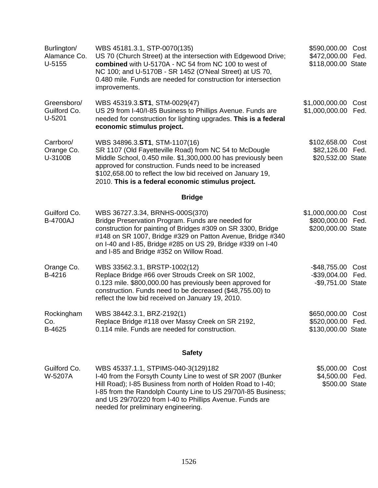| Burlington/<br>Alamance Co.<br>$U-5155$ | WBS 45181.3.1, STP-0070(135)<br>US 70 (Church Street) at the intersection with Edgewood Drive;<br>combined with U-5170A - NC 54 from NC 100 to west of<br>NC 100; and U-5170B - SR 1452 (O'Neal Street) at US 70,<br>0.480 mile. Funds are needed for construction for intersection<br>improvements.                                   | \$590,000.00<br>\$472,000.00 Fed.<br>\$118,000.00 State      | Cost         |
|-----------------------------------------|----------------------------------------------------------------------------------------------------------------------------------------------------------------------------------------------------------------------------------------------------------------------------------------------------------------------------------------|--------------------------------------------------------------|--------------|
| Greensboro/<br>Guilford Co.<br>$U-5201$ | WBS 45319.3.ST1, STM-0029(47)<br>US 29 from I-40/I-85 Business to Phillips Avenue. Funds are<br>needed for construction for lighting upgrades. This is a federal<br>economic stimulus project.                                                                                                                                         | \$1,000,000.00<br>\$1,000,000.00                             | Cost<br>Fed. |
| Carrboro/<br>Orange Co.<br>U-3100B      | WBS 34896.3.ST1, STM-1107(16)<br>SR 1107 (Old Fayetteville Road) from NC 54 to McDougle<br>Middle School, 0.450 mile. \$1,300,000.00 has previously been<br>approved for construction. Funds need to be increased<br>\$102,658.00 to reflect the low bid received on January 19,<br>2010. This is a federal economic stimulus project. | \$102,658.00<br>\$82,126.00<br>\$20,532.00 State             | Cost<br>Fed. |
|                                         | <b>Bridge</b>                                                                                                                                                                                                                                                                                                                          |                                                              |              |
| Guilford Co.<br><b>B-4700AJ</b>         | WBS 36727.3.34, BRNHS-000S(370)<br>Bridge Preservation Program. Funds are needed for<br>construction for painting of Bridges #309 on SR 3300, Bridge<br>#148 on SR 1007, Bridge #329 on Patton Avenue, Bridge #340<br>on I-40 and I-85, Bridge #285 on US 29, Bridge #339 on I-40<br>and I-85 and Bridge #352 on Willow Road.          | \$1,000,000.00<br>\$800,000.00<br>\$200,000.00 State         | Cost<br>Fed. |
| Orange Co.<br>B-4216                    | WBS 33562.3.1, BRSTP-1002(12)<br>Replace Bridge #66 over Strouds Creek on SR 1002,<br>0.123 mile. \$800,000.00 has previously been approved for<br>construction. Funds need to be decreased (\$48,755.00) to<br>reflect the low bid received on January 19, 2010.                                                                      | $-$ \$48,755.00<br>$-$ \$39,004.00<br>-\$9,751.00 State      | Cost<br>Fed. |
| Rockingham<br>Co.<br>B-4625             | WBS 38442.3.1, BRZ-2192(1)<br>Replace Bridge #118 over Massy Creek on SR 2192,<br>0.114 mile. Funds are needed for construction.                                                                                                                                                                                                       | \$650,000.00 Cost<br>\$520,000.00 Fed.<br>\$130,000.00 State |              |
|                                         | <b>Safety</b>                                                                                                                                                                                                                                                                                                                          |                                                              |              |
| Guilford Co.<br>W-5207A                 | WBS 45337.1.1, STPIMS-040-3(129)182<br>I-40 from the Forsyth County Line to west of SR 2007 (Bunker                                                                                                                                                                                                                                    | \$5,000.00<br>\$4,500.00                                     | Cost<br>Fed. |

Hill Road); I-85 Business from north of Holden Road to I-40; I-85 from the Randolph County Line to US 29/70/I-85 Business; and US 29/70/220 from I-40 to Phillips Avenue. Funds are needed for preliminary engineering. \$500.00 State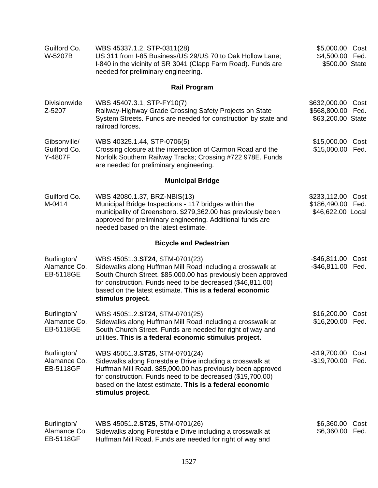| Guilford Co.<br>W-5207B                         | WBS 45337.1.2, STP-0311(28)<br>US 311 from I-85 Business/US 29/US 70 to Oak Hollow Lane;<br>I-840 in the vicinity of SR 3041 (Clapp Farm Road). Funds are<br>needed for preliminary engineering.                                                                                                             | \$5,000.00 Cost<br>\$4,500.00 Fed.<br>\$500.00 State |              |
|-------------------------------------------------|--------------------------------------------------------------------------------------------------------------------------------------------------------------------------------------------------------------------------------------------------------------------------------------------------------------|------------------------------------------------------|--------------|
|                                                 | <b>Rail Program</b>                                                                                                                                                                                                                                                                                          |                                                      |              |
| <b>Divisionwide</b><br>Z-5207                   | WBS 45407.3.1, STP-FY10(7)<br>Railway-Highway Grade Crossing Safety Projects on State<br>System Streets. Funds are needed for construction by state and<br>railroad forces.                                                                                                                                  | \$632,000.00<br>\$568,800.00<br>\$63,200.00 State    | Cost<br>Fed. |
| Gibsonville/<br>Guilford Co.<br>Y-4807F         | WBS 40325.1.44, STP-0706(5)<br>Crossing closure at the intersection of Carmon Road and the<br>Norfolk Southern Railway Tracks; Crossing #722 978E. Funds<br>are needed for preliminary engineering.                                                                                                          | \$15,000.00 Cost<br>\$15,000.00 Fed.                 |              |
|                                                 | <b>Municipal Bridge</b>                                                                                                                                                                                                                                                                                      |                                                      |              |
| Guilford Co.<br>M-0414                          | WBS 42080.1.37, BRZ-NBIS(13)<br>Municipal Bridge Inspections - 117 bridges within the<br>municipality of Greensboro. \$279,362.00 has previously been<br>approved for preliminary engineering. Additional funds are<br>needed based on the latest estimate.                                                  | \$233,112.00<br>\$186,490.00<br>\$46,622.00 Local    | Cost<br>Fed. |
|                                                 | <b>Bicycle and Pedestrian</b>                                                                                                                                                                                                                                                                                |                                                      |              |
| Burlington/<br>Alamance Co.<br>EB-5118GE        | WBS 45051.3.ST24, STM-0701(23)<br>Sidewalks along Huffman Mill Road including a crosswalk at<br>South Church Street. \$85,000.00 has previously been approved<br>for construction. Funds need to be decreased (\$46,811.00)<br>based on the latest estimate. This is a federal economic<br>stimulus project. | $-$ \$46,811.00<br>-\$46,811.00 Fed.                 | Cost         |
| Burlington/<br>Alamance Co.<br>EB-5118GE        | WBS 45051.2.ST24, STM-0701(25)<br>Sidewalks along Huffman Mill Road including a crosswalk at<br>South Church Street. Funds are needed for right of way and<br>utilities. This is a federal economic stimulus project.                                                                                        | \$16,200.00 Cost<br>\$16,200.00 Fed.                 |              |
| Burlington/<br>Alamance Co.<br><b>EB-5118GF</b> | WBS 45051.3.ST25, STM-0701(24)<br>Sidewalks along Forestdale Drive including a crosswalk at<br>Huffman Mill Road. \$85,000.00 has previously been approved<br>for construction. Funds need to be decreased (\$19,700.00)<br>based on the latest estimate. This is a federal economic<br>stimulus project.    | $-$19,700.00$<br>-\$19,700.00 Fed.                   | Cost         |
| Burlington/<br>Alamance Co.<br><b>EB-5118GF</b> | WBS 45051.2.ST25, STM-0701(26)<br>Sidewalks along Forestdale Drive including a crosswalk at<br>Huffman Mill Road. Funds are needed for right of way and                                                                                                                                                      | \$6,360.00<br>\$6,360.00                             | Cost<br>Fed. |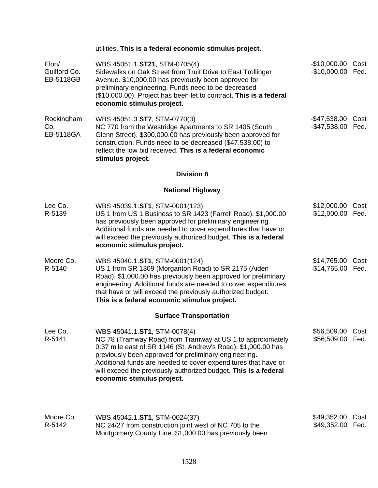|                                    | utilities. This is a federal economic stimulus project.                                                                                                                                                                                                                                                                                                                                 |                                        |              |
|------------------------------------|-----------------------------------------------------------------------------------------------------------------------------------------------------------------------------------------------------------------------------------------------------------------------------------------------------------------------------------------------------------------------------------------|----------------------------------------|--------------|
| Elon/<br>Guilford Co.<br>EB-5118GB | WBS 45051.1.ST21, STM-0705(4)<br>Sidewalks on Oak Street from Truit Drive to East Trollinger<br>Avenue. \$10,000.00 has previously been approved for<br>preliminary engineering. Funds need to be decreased<br>(\$10,000.00). Project has been let to contract. This is a federal<br>economic stimulus project.                                                                         | -\$10,000.00 Cost<br>-\$10,000.00 Fed. |              |
| Rockingham<br>Co.<br>EB-5118GA     | WBS 45051.3.ST7, STM-0770(3)<br>NC 770 from the Westridge Apartments to SR 1405 (South<br>Glenn Street). \$300,000.00 has previously been approved for<br>construction. Funds need to be decreased (\$47,538.00) to<br>reflect the low bid received. This is a federal economic<br>stimulus project.                                                                                    | $-$ \$47,538.00<br>-\$47,538.00 Fed.   | Cost         |
|                                    | <b>Division 8</b>                                                                                                                                                                                                                                                                                                                                                                       |                                        |              |
|                                    | <b>National Highway</b>                                                                                                                                                                                                                                                                                                                                                                 |                                        |              |
| Lee Co.<br>R-5139                  | WBS 45039.1.ST1, STM-0001(123)<br>US 1 from US 1 Business to SR 1423 (Farrell Road). \$1,000.00<br>has previously been approved for preliminary engineering.<br>Additional funds are needed to cover expenditures that have or<br>will exceed the previously authorized budget. This is a federal<br>economic stimulus project.                                                         | \$12,000.00 Cost<br>\$12,000.00 Fed.   |              |
| Moore Co.<br>R-5140                | WBS 45040.1.ST1, STM-0001(124)<br>US 1 from SR 1309 (Morganton Road) to SR 2175 (Aiden<br>Road). \$1,000.00 has previously been approved for preliminary<br>engineering. Additional funds are needed to cover expenditures<br>that have or will exceed the previously authorized budget.<br>This is a federal economic stimulus project.                                                | \$14,765.00 Cost<br>\$14,765.00 Fed.   |              |
|                                    | <b>Surface Transportation</b>                                                                                                                                                                                                                                                                                                                                                           |                                        |              |
| Lee Co.<br>R-5141                  | WBS 45041.1.ST1, STM-0078(4)<br>NC 78 (Tramway Road) from Tramway at US 1 to approximately<br>0.37 mile east of SR 1146 (St. Andrew's Road). \$1,000.00 has<br>previously been approved for preliminary engineering.<br>Additional funds are needed to cover expenditures that have or<br>will exceed the previously authorized budget. This is a federal<br>economic stimulus project. | \$56,509.00<br>\$56,509.00 Fed.        | Cost         |
| Moore Co.<br>R-5142                | WBS 45042.1.ST1, STM-0024(37)<br>NC 24/27 from construction joint west of NC 705 to the                                                                                                                                                                                                                                                                                                 | \$49,352.00<br>\$49,352.00             | Cost<br>Fed. |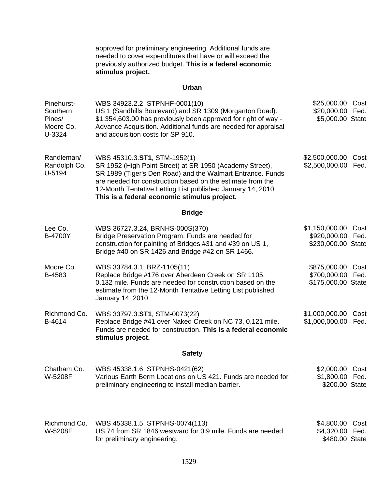approved for preliminary engineering. Additional funds are needed to cover expenditures that have or will exceed the previously authorized budget. **This is a federal economic stimulus project.**

#### **Urban**

| Pinehurst-<br>Southern<br>Pines/<br>Moore Co.<br>U-3324 | WBS 34923.2.2, STPNHF-0001(10)<br>US 1 (Sandhills Boulevard) and SR 1309 (Morganton Road).<br>\$1,354,603.00 has previously been approved for right of way -<br>Advance Acquisition. Additional funds are needed for appraisal<br>and acquisition costs for SP 910.                                                                 | \$25,000.00<br>\$20,000.00<br>\$5,000.00 State       | Cost<br>Fed. |
|---------------------------------------------------------|-------------------------------------------------------------------------------------------------------------------------------------------------------------------------------------------------------------------------------------------------------------------------------------------------------------------------------------|------------------------------------------------------|--------------|
| Randleman/<br>Randolph Co.<br>U-5194                    | WBS 45310.3.ST1, STM-1952(1)<br>SR 1952 (High Point Street) at SR 1950 (Academy Street),<br>SR 1989 (Tiger's Den Road) and the Walmart Entrance. Funds<br>are needed for construction based on the estimate from the<br>12-Month Tentative Letting List published January 14, 2010.<br>This is a federal economic stimulus project. | \$2,500,000.00<br>\$2,500,000.00                     | Cost<br>Fed. |
|                                                         | <b>Bridge</b>                                                                                                                                                                                                                                                                                                                       |                                                      |              |
| Lee Co.<br><b>B-4700Y</b>                               | WBS 36727.3.24, BRNHS-000S(370)<br>Bridge Preservation Program. Funds are needed for<br>construction for painting of Bridges #31 and #39 on US 1,<br>Bridge #40 on SR 1426 and Bridge #42 on SR 1466.                                                                                                                               | \$1,150,000.00<br>\$920,000.00<br>\$230,000.00 State | Cost<br>Fed. |
| Moore Co.<br>B-4583                                     | WBS 33784.3.1, BRZ-1105(11)<br>Replace Bridge #176 over Aberdeen Creek on SR 1105,<br>0.132 mile. Funds are needed for construction based on the<br>estimate from the 12-Month Tentative Letting List published<br>January 14, 2010.                                                                                                | \$875,000.00<br>\$700,000.00<br>\$175,000.00 State   | Cost<br>Fed. |
| Richmond Co.<br>B-4614                                  | WBS 33797.3.ST1, STM-0073(22)<br>Replace Bridge #41 over Naked Creek on NC 73, 0.121 mile.<br>Funds are needed for construction. This is a federal economic<br>stimulus project.                                                                                                                                                    | \$1,000,000.00<br>\$1,000,000.00                     | Cost<br>Fed. |
|                                                         | <b>Safety</b>                                                                                                                                                                                                                                                                                                                       |                                                      |              |
| Chatham Co.<br>W-5208F                                  | WBS 45338.1.6, STPNHS-0421(62)<br>Various Earth Berm Locations on US 421. Funds are needed for<br>preliminary engineering to install median barrier.                                                                                                                                                                                | \$2,000.00 Cost<br>\$1,800.00 Fed.<br>\$200.00 State |              |
| Richmond Co.<br>W-5208E                                 | WBS 45338.1.5, STPNHS-0074(113)<br>US 74 from SR 1846 westward for 0.9 mile. Funds are needed<br>for preliminary engineering.                                                                                                                                                                                                       | \$4,800.00 Cost<br>\$4,320.00 Fed.<br>\$480.00 State |              |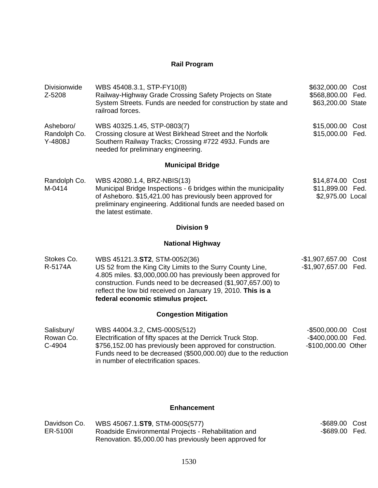### **Rail Program**

| Divisionwide<br>Z-5208               | WBS 45408.3.1, STP-FY10(8)<br>Railway-Highway Grade Crossing Safety Projects on State<br>System Streets. Funds are needed for construction by state and<br>railroad forces.                                                                                                                                                     | \$632,000.00<br>Cost<br>\$568,800.00 Fed.<br>\$63,200.00 State        |  |
|--------------------------------------|---------------------------------------------------------------------------------------------------------------------------------------------------------------------------------------------------------------------------------------------------------------------------------------------------------------------------------|-----------------------------------------------------------------------|--|
| Asheboro/<br>Randolph Co.<br>Y-4808J | WBS 40325.1.45, STP-0803(7)<br>Crossing closure at West Birkhead Street and the Norfolk<br>Southern Railway Tracks; Crossing #722 493J. Funds are<br>needed for preliminary engineering.                                                                                                                                        | \$15,000.00 Cost<br>\$15,000.00 Fed.                                  |  |
|                                      | <b>Municipal Bridge</b>                                                                                                                                                                                                                                                                                                         |                                                                       |  |
| Randolph Co.<br>M-0414               | WBS 42080.1.4, BRZ-NBIS(13)<br>Municipal Bridge Inspections - 6 bridges within the municipality<br>of Asheboro. \$15,421.00 has previously been approved for<br>preliminary engineering. Additional funds are needed based on<br>the latest estimate.                                                                           | \$14,874.00<br>Cost<br>\$11,899.00 Fed.<br>\$2,975.00 Local           |  |
|                                      | <b>Division 9</b>                                                                                                                                                                                                                                                                                                               |                                                                       |  |
|                                      | <b>National Highway</b>                                                                                                                                                                                                                                                                                                         |                                                                       |  |
| Stokes Co.<br>R-5174A                | WBS 45121.3.ST2, STM-0052(36)<br>US 52 from the King City Limits to the Surry County Line,<br>4.805 miles. \$3,000,000.00 has previously been approved for<br>construction. Funds need to be decreased (\$1,907,657.00) to<br>reflect the low bid received on January 19, 2010. This is a<br>federal economic stimulus project. | $-$1,907,657.00$<br>Cost<br>$-$1,907,657.00$<br>Fed.                  |  |
|                                      | <b>Congestion Mitigation</b>                                                                                                                                                                                                                                                                                                    |                                                                       |  |
| Salisbury/<br>Rowan Co.<br>C-4904    | WBS 44004.3.2, CMS-000S(512)<br>Electrification of fifty spaces at the Derrick Truck Stop.<br>\$756,152.00 has previously been approved for construction.<br>Funds need to be decreased (\$500,000.00) due to the reduction<br>in number of electrification spaces.                                                             | $-$ \$500,000.00<br>Cost<br>-\$400,000.00 Fed.<br>-\$100,000.00 Other |  |

## **Enhancement**

| Davidson Co. | WBS 45067.1.ST9, STM-000S(577)                          | -\$689.00 Cost |  |
|--------------|---------------------------------------------------------|----------------|--|
| ER-5100I     | Roadside Environmental Projects - Rehabilitation and    | -\$689.00 Fed. |  |
|              | Renovation. \$5,000.00 has previously been approved for |                |  |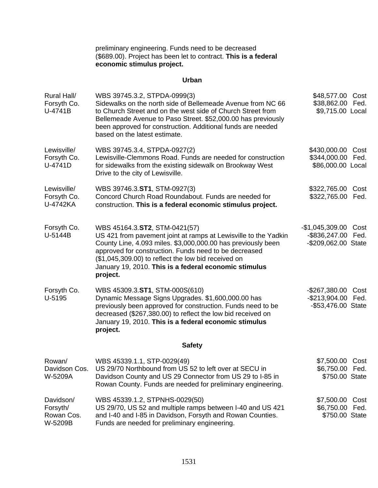preliminary engineering. Funds need to be decreased (\$689.00). Project has been let to contract. **This is a federal economic stimulus project.**

#### **Urban**

| Rural Hall/<br>Forsyth Co.<br>U-4741B          | WBS 39745.3.2, STPDA-0999(3)<br>Sidewalks on the north side of Bellemeade Avenue from NC 66<br>to Church Street and on the west side of Church Street from<br>Bellemeade Avenue to Paso Street. \$52,000.00 has previously<br>been approved for construction. Additional funds are needed<br>based on the latest estimate.                            | \$48,577.00 Cost<br>\$38,862.00 Fed.<br>\$9,715.00 Local          |              |
|------------------------------------------------|-------------------------------------------------------------------------------------------------------------------------------------------------------------------------------------------------------------------------------------------------------------------------------------------------------------------------------------------------------|-------------------------------------------------------------------|--------------|
| Lewisville/<br>Forsyth Co.<br>U-4741D          | WBS 39745.3.4, STPDA-0927(2)<br>Lewisville-Clemmons Road. Funds are needed for construction<br>for sidewalks from the existing sidewalk on Brookway West<br>Drive to the city of Lewisville.                                                                                                                                                          | \$430,000.00 Cost<br>\$344,000.00 Fed.<br>\$86,000.00 Local       |              |
| Lewisville/<br>Forsyth Co.<br>U-4742KA         | WBS 39746.3.ST1, STM-0927(3)<br>Concord Church Road Roundabout. Funds are needed for<br>construction. This is a federal economic stimulus project.                                                                                                                                                                                                    | \$322,765.00<br>\$322,765.00 Fed.                                 | Cost         |
| Forsyth Co.<br>U-5144B                         | WBS 45164.3.ST2, STM-0421(57)<br>US 421 from pavement joint at ramps at Lewisville to the Yadkin<br>County Line, 4.093 miles. \$3,000,000.00 has previously been<br>approved for construction. Funds need to be decreased<br>(\$1,045,309.00) to reflect the low bid received on<br>January 19, 2010. This is a federal economic stimulus<br>project. | -\$1,045,309.00 Cost<br>-\$836,247.00 Fed.<br>-\$209,062.00 State |              |
| Forsyth Co.<br>U-5195                          | WBS 45309.3.ST1, STM-000S(610)<br>Dynamic Message Signs Upgrades. \$1,600,000.00 has<br>previously been approved for construction. Funds need to be<br>decreased (\$267,380.00) to reflect the low bid received on<br>January 19, 2010. This is a federal economic stimulus<br>project.                                                               | -\$267,380.00 Cost<br>-\$213,904.00 Fed.<br>-\$53,476.00 State    |              |
|                                                | <b>Safety</b>                                                                                                                                                                                                                                                                                                                                         |                                                                   |              |
| Rowan/<br>Davidson Cos.<br>W-5209A             | WBS 45339.1.1, STP-0029(49)<br>US 29/70 Northbound from US 52 to left over at SECU in<br>Davidson County and US 29 Connector from US 29 to I-85 in<br>Rowan County. Funds are needed for preliminary engineering.                                                                                                                                     | \$7,500.00 Cost<br>\$6,750.00 Fed.<br>\$750.00 State              |              |
| Davidson/<br>Forsyth/<br>Rowan Cos.<br>W-5209B | WBS 45339.1.2, STPNHS-0029(50)<br>US 29/70, US 52 and multiple ramps between I-40 and US 421<br>and I-40 and I-85 in Davidson, Forsyth and Rowan Counties.<br>Funds are needed for preliminary engineering.                                                                                                                                           | \$7,500.00<br>\$6,750.00<br>\$750.00 State                        | Cost<br>Fed. |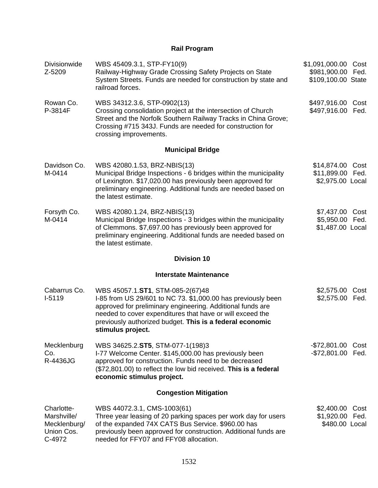## **Rail Program**

| Divisionwide<br>Z-5209                                            | WBS 45409.3.1, STP-FY10(9)<br>Railway-Highway Grade Crossing Safety Projects on State<br>System Streets. Funds are needed for construction by state and<br>railroad forces.                                                                                                                                  | \$1,091,000.00 Cost<br>\$981,900.00<br>\$109,100.00 State | Fed.         |
|-------------------------------------------------------------------|--------------------------------------------------------------------------------------------------------------------------------------------------------------------------------------------------------------------------------------------------------------------------------------------------------------|-----------------------------------------------------------|--------------|
| Rowan Co.<br>P-3814F                                              | WBS 34312.3.6, STP-0902(13)<br>Crossing consolidation project at the intersection of Church<br>Street and the Norfolk Southern Railway Tracks in China Grove;<br>Crossing #715 343J. Funds are needed for construction for<br>crossing improvements.                                                         | \$497,916.00 Cost<br>\$497,916.00                         | Fed.         |
|                                                                   | <b>Municipal Bridge</b>                                                                                                                                                                                                                                                                                      |                                                           |              |
| Davidson Co.<br>M-0414                                            | WBS 42080.1.53, BRZ-NBIS(13)<br>Municipal Bridge Inspections - 6 bridges within the municipality<br>of Lexington. \$17,020.00 has previously been approved for<br>preliminary engineering. Additional funds are needed based on<br>the latest estimate.                                                      | \$14,874.00 Cost<br>\$11,899.00 Fed.<br>\$2,975.00 Local  |              |
| Forsyth Co.<br>M-0414                                             | WBS 42080.1.24, BRZ-NBIS(13)<br>Municipal Bridge Inspections - 3 bridges within the municipality<br>of Clemmons. \$7,697.00 has previously been approved for<br>preliminary engineering. Additional funds are needed based on<br>the latest estimate.                                                        | \$7,437.00<br>\$5,950.00<br>\$1,487.00 Local              | Cost<br>Fed. |
|                                                                   | <b>Division 10</b>                                                                                                                                                                                                                                                                                           |                                                           |              |
|                                                                   | <b>Interstate Maintenance</b>                                                                                                                                                                                                                                                                                |                                                           |              |
| Cabarrus Co.<br>$I-5119$                                          | WBS 45057.1.ST1, STM-085-2(67)48<br>I-85 from US 29/601 to NC 73. \$1,000.00 has previously been<br>approved for preliminary engineering. Additional funds are<br>needed to cover expenditures that have or will exceed the<br>previously authorized budget. This is a federal economic<br>stimulus project. | \$2,575.00<br>\$2,575.00 Fed.                             | Cost         |
| Mecklenburg<br>Co.<br>R-4436JG                                    | WBS 34625.2.ST5, STM-077-1(198)3<br>I-77 Welcome Center. \$145,000.00 has previously been<br>approved for construction. Funds need to be decreased<br>(\$72,801.00) to reflect the low bid received. This is a federal<br>economic stimulus project.                                                         | $-$72,801.00$<br>-\$72,801.00 Fed.                        | Cost         |
|                                                                   | <b>Congestion Mitigation</b>                                                                                                                                                                                                                                                                                 |                                                           |              |
| Charlotte-<br>Marshville/<br>Mecklenburg/<br>Union Cos.<br>C-4972 | WBS 44072.3.1, CMS-1003(61)<br>Three year leasing of 20 parking spaces per work day for users<br>of the expanded 74X CATS Bus Service. \$960.00 has<br>previously been approved for construction. Additional funds are<br>needed for FFY07 and FFY08 allocation.                                             | \$2,400.00<br>\$1,920.00<br>\$480.00 Local                | Cost<br>Fed. |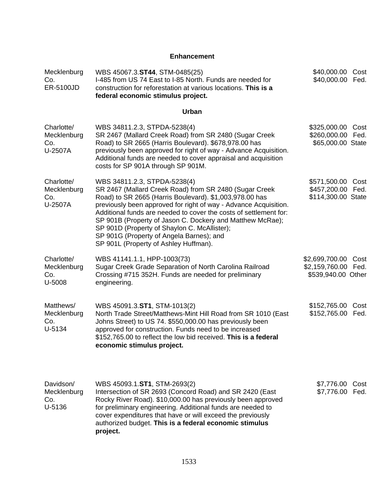## **Enhancement**

| Mecklenburg<br>Co.<br>ER-5100JD             | WBS 45067.3.ST44, STM-0485(25)<br>I-485 from US 74 East to I-85 North. Funds are needed for<br>construction for reforestation at various locations. This is a<br>federal economic stimulus project.                                                                                                                                                                                                                                                                                          | \$40,000.00<br>\$40,000.00                                   | Cost<br>Fed. |
|---------------------------------------------|----------------------------------------------------------------------------------------------------------------------------------------------------------------------------------------------------------------------------------------------------------------------------------------------------------------------------------------------------------------------------------------------------------------------------------------------------------------------------------------------|--------------------------------------------------------------|--------------|
|                                             | <b>Urban</b>                                                                                                                                                                                                                                                                                                                                                                                                                                                                                 |                                                              |              |
| Charlotte/<br>Mecklenburg<br>Co.<br>U-2507A | WBS 34811.2.3, STPDA-5238(4)<br>SR 2467 (Mallard Creek Road) from SR 2480 (Sugar Creek<br>Road) to SR 2665 (Harris Boulevard). \$678,978.00 has<br>previously been approved for right of way - Advance Acquisition.<br>Additional funds are needed to cover appraisal and acquisition<br>costs for SP 901A through SP 901M.                                                                                                                                                                  | \$325,000.00<br>\$260,000.00<br>\$65,000.00 State            | Cost<br>Fed. |
| Charlotte/<br>Mecklenburg<br>Co.<br>U-2507A | WBS 34811.2.3, STPDA-5238(4)<br>SR 2467 (Mallard Creek Road) from SR 2480 (Sugar Creek<br>Road) to SR 2665 (Harris Boulevard). \$1,003,978.00 has<br>previously been approved for right of way - Advance Acquisition.<br>Additional funds are needed to cover the costs of settlement for:<br>SP 901B (Property of Jason C. Dockery and Matthew McRae);<br>SP 901D (Property of Shaylon C. McAllister);<br>SP 901G (Property of Angela Barnes); and<br>SP 901L (Property of Ashley Huffman). | \$571,500.00 Cost<br>\$457,200.00 Fed.<br>\$114,300.00 State |              |
| Charlotte/<br>Mecklenburg<br>Co.<br>U-5008  | WBS 41141.1.1, HPP-1003(73)<br>Sugar Creek Grade Separation of North Carolina Railroad<br>Crossing #715 352H. Funds are needed for preliminary<br>engineering.                                                                                                                                                                                                                                                                                                                               | \$2,699,700.00<br>\$2,159,760.00 Fed.<br>\$539,940.00 Other  | Cost         |
| Matthews/<br>Mecklenburg<br>Co.<br>U-5134   | WBS 45091.3.ST1, STM-1013(2)<br>North Trade Street/Matthews-Mint Hill Road from SR 1010 (East<br>Johns Street) to US 74. \$550,000.00 has previously been<br>approved for construction. Funds need to be increased<br>\$152,765.00 to reflect the low bid received. This is a federal<br>economic stimulus project.                                                                                                                                                                          | \$152,765.00<br>\$152,765.00 Fed.                            | Cost         |
| Davidson/<br>Mecklenburg<br>Co.<br>U-5136   | WBS 45093.1.ST1, STM-2693(2)<br>Intersection of SR 2693 (Concord Road) and SR 2420 (East<br>Rocky River Road). \$10,000.00 has previously been approved<br>for preliminary engineering. Additional funds are needed to<br>cover expenditures that have or will exceed the previously<br>authorized budget. This is a federal economic stimulus<br>project.                                                                                                                                   | \$7,776.00<br>\$7,776.00 Fed.                                | Cost         |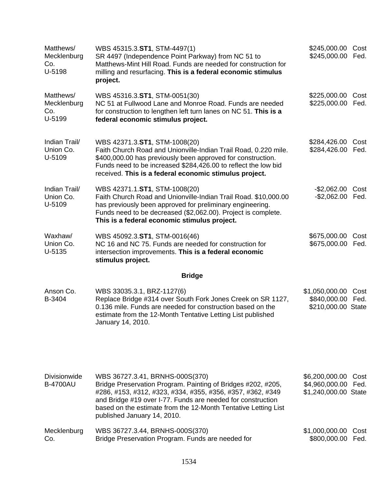| Matthews/<br>Mecklenburg<br>Co.<br>U-5198 | WBS 45315.3.ST1, STM-4497(1)<br>SR 4497 (Independence Point Parkway) from NC 51 to<br>Matthews-Mint Hill Road. Funds are needed for construction for<br>milling and resurfacing. This is a federal economic stimulus<br>project.                                                                                              | \$245,000.00<br>\$245,000.00                             | Cost<br>Fed. |
|-------------------------------------------|-------------------------------------------------------------------------------------------------------------------------------------------------------------------------------------------------------------------------------------------------------------------------------------------------------------------------------|----------------------------------------------------------|--------------|
| Matthews/<br>Mecklenburg<br>Co.<br>U-5199 | WBS 45316.3.ST1, STM-0051(30)<br>NC 51 at Fullwood Lane and Monroe Road. Funds are needed<br>for construction to lengthen left turn lanes on NC 51. This is a<br>federal economic stimulus project.                                                                                                                           | \$225,000.00<br>\$225,000.00                             | Cost<br>Fed. |
| Indian Trail/<br>Union Co.<br>U-5109      | WBS 42371.3.ST1, STM-1008(20)<br>Faith Church Road and Unionville-Indian Trail Road, 0.220 mile.<br>\$400,000.00 has previously been approved for construction.<br>Funds need to be increased \$284,426.00 to reflect the low bid<br>received. This is a federal economic stimulus project.                                   | \$284,426.00<br>\$284,426.00                             | Cost<br>Fed. |
| Indian Trail/<br>Union Co.<br>U-5109      | WBS 42371.1.ST1, STM-1008(20)<br>Faith Church Road and Unionville-Indian Trail Road. \$10,000.00<br>has previously been approved for preliminary engineering.<br>Funds need to be decreased (\$2,062.00). Project is complete.<br>This is a federal economic stimulus project.                                                | $-$2,062.00$<br>$-$2,062.00$                             | Cost<br>Fed. |
| Waxhaw/<br>Union Co.<br>$U-5135$          | WBS 45092.3.ST1, STM-0016(46)<br>NC 16 and NC 75. Funds are needed for construction for<br>intersection improvements. This is a federal economic<br>stimulus project.                                                                                                                                                         | \$675,000.00<br>\$675,000.00                             | Cost<br>Fed. |
|                                           | <b>Bridge</b>                                                                                                                                                                                                                                                                                                                 |                                                          |              |
| Anson Co.<br>B-3404                       | WBS 33035.3.1, BRZ-1127(6)<br>Replace Bridge #314 over South Fork Jones Creek on SR 1127,<br>0.136 mile. Funds are needed for construction based on the<br>estimate from the 12-Month Tentative Letting List published<br>January 14, 2010.                                                                                   | \$1,050,000.00<br>\$840,000.00<br>\$210,000.00 State     | Cost<br>Fed. |
| <b>Divisionwide</b><br><b>B-4700AU</b>    | WBS 36727.3.41, BRNHS-000S(370)<br>Bridge Preservation Program. Painting of Bridges #202, #205,<br>#286, #153, #312, #323, #334, #355, #356, #357, #362, #349<br>and Bridge #19 over I-77. Funds are needed for construction<br>based on the estimate from the 12-Month Tentative Letting List<br>published January 14, 2010. | \$6,200,000.00<br>\$4,960,000.00<br>\$1,240,000.00 State | Cost<br>Fed. |
| Mecklenburg<br>Co.                        | WBS 36727.3.44, BRNHS-000S(370)<br>Bridge Preservation Program. Funds are needed for                                                                                                                                                                                                                                          | \$1,000,000.00<br>\$800,000.00                           | Cost<br>Fed. |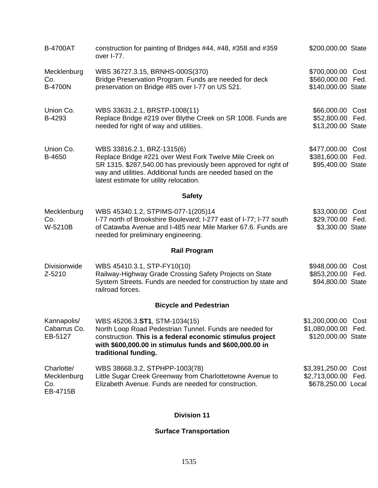| <b>B-4700AT</b>                              | construction for painting of Bridges #44, #48, #358 and #359<br>over I-77.                                                                                                                                                                                         | \$200,000.00 State                                               |              |
|----------------------------------------------|--------------------------------------------------------------------------------------------------------------------------------------------------------------------------------------------------------------------------------------------------------------------|------------------------------------------------------------------|--------------|
| Mecklenburg<br>Co.<br><b>B-4700N</b>         | WBS 36727.3.15, BRNHS-000S(370)<br>Bridge Preservation Program. Funds are needed for deck<br>preservation on Bridge #85 over I-77 on US 521.                                                                                                                       | \$700,000.00 Cost<br>\$560,000.00 Fed.<br>\$140,000.00 State     |              |
| Union Co.<br>B-4293                          | WBS 33631.2.1, BRSTP-1008(11)<br>Replace Bridge #219 over Blythe Creek on SR 1008. Funds are<br>needed for right of way and utilities.                                                                                                                             | \$66,000.00<br>\$52,800.00 Fed.<br>\$13,200.00 State             | Cost         |
| Union Co.<br>B-4650                          | WBS 33816.2.1, BRZ-1315(6)<br>Replace Bridge #221 over West Fork Twelve Mile Creek on<br>SR 1315. \$287,540.00 has previously been approved for right of<br>way and utilities. Additional funds are needed based on the<br>latest estimate for utility relocation. | \$477,000.00<br>\$381,600.00 Fed.<br>\$95,400.00 State           | Cost         |
|                                              | <b>Safety</b>                                                                                                                                                                                                                                                      |                                                                  |              |
| Mecklenburg<br>Co.<br>W-5210B                | WBS 45340.1.2, STPIMS-077-1(205)14<br>I-77 north of Brookshire Boulevard; I-277 east of I-77; I-77 south<br>of Catawba Avenue and I-485 near Mile Marker 67.6. Funds are<br>needed for preliminary engineering.                                                    | \$33,000.00<br>\$29,700.00 Fed.<br>\$3,300.00 State              | Cost         |
|                                              | <b>Rail Program</b>                                                                                                                                                                                                                                                |                                                                  |              |
| <b>Divisionwide</b><br>Z-5210                | WBS 45410.3.1, STP-FY10(10)<br>Railway-Highway Grade Crossing Safety Projects on State<br>System Streets. Funds are needed for construction by state and<br>railroad forces.                                                                                       | \$948,000.00<br>\$853,200.00 Fed.<br>\$94,800.00 State           | Cost         |
|                                              | <b>Bicycle and Pedestrian</b>                                                                                                                                                                                                                                      |                                                                  |              |
| Kannapolis/<br>Cabarrus Co.<br>EB-5127       | WBS 45206.3.ST1, STM-1034(15)<br>North Loop Road Pedestrian Tunnel. Funds are needed for<br>construction. This is a federal economic stimulus project<br>with \$600,000.00 in stimulus funds and \$600,000.00 in<br>traditional funding.                           | \$1,200,000.00 Cost<br>\$1,080,000.00 Fed.<br>\$120,000.00 State |              |
| Charlotte/<br>Mecklenburg<br>Co.<br>EB-4715B | WBS 38668.3.2, STPHPP-1003(78)<br>Little Sugar Creek Greenway from Charlottetowne Avenue to<br>Elizabeth Avenue. Funds are needed for construction.                                                                                                                | \$3,391,250.00<br>\$2,713,000.00<br>\$678,250.00 Local           | Cost<br>Fed. |

## **Division 11**

### **Surface Transportation**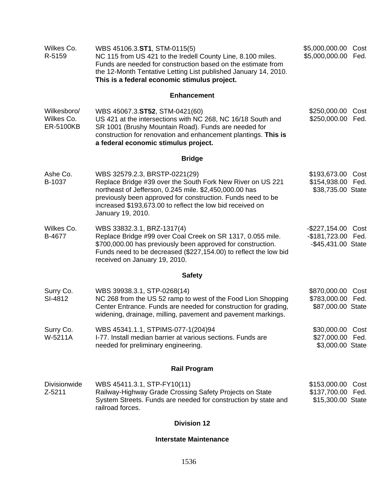| Wilkes Co.<br>R-5159                          | WBS 45106.3.ST1, STM-0115(5)<br>NC 115 from US 421 to the Iredell County Line, 8.100 miles.<br>Funds are needed for construction based on the estimate from<br>the 12-Month Tentative Letting List published January 14, 2010.<br>This is a federal economic stimulus project.                         | \$5,000,000.00<br>\$5,000,000.00                            | Cost<br>Fed. |  |
|-----------------------------------------------|--------------------------------------------------------------------------------------------------------------------------------------------------------------------------------------------------------------------------------------------------------------------------------------------------------|-------------------------------------------------------------|--------------|--|
|                                               | <b>Enhancement</b>                                                                                                                                                                                                                                                                                     |                                                             |              |  |
| Wilkesboro/<br>Wilkes Co.<br><b>ER-5100KB</b> | WBS 45067.3.ST52, STM-0421(60)<br>US 421 at the intersections with NC 268, NC 16/18 South and<br>SR 1001 (Brushy Mountain Road). Funds are needed for<br>construction for renovation and enhancement plantings. This is<br>a federal economic stimulus project.                                        | \$250,000.00<br>\$250,000.00                                | Cost<br>Fed. |  |
|                                               | <b>Bridge</b>                                                                                                                                                                                                                                                                                          |                                                             |              |  |
| Ashe Co.<br>B-1037                            | WBS 32579.2.3, BRSTP-0221(29)<br>Replace Bridge #39 over the South Fork New River on US 221<br>northeast of Jefferson, 0.245 mile. \$2,450,000.00 has<br>previously been approved for construction. Funds need to be<br>increased \$193,673.00 to reflect the low bid received on<br>January 19, 2010. | \$193,673.00<br>\$154,938.00<br>\$38,735.00 State           | Cost<br>Fed. |  |
| Wilkes Co.<br>B-4677                          | WBS 33832.3.1, BRZ-1317(4)<br>Replace Bridge #99 over Coal Creek on SR 1317, 0.055 mile.<br>\$700,000.00 has previously been approved for construction.<br>Funds need to be decreased (\$227,154.00) to reflect the low bid<br>received on January 19, 2010.                                           | -\$227,154.00<br>$-$181,723.00$<br>-\$45,431.00 State       | Cost<br>Fed. |  |
|                                               | <b>Safety</b>                                                                                                                                                                                                                                                                                          |                                                             |              |  |
| Surry Co.<br>SI-4812                          | WBS 39938.3.1, STP-0268(14)<br>NC 268 from the US 52 ramp to west of the Food Lion Shopping<br>Center Entrance. Funds are needed for construction for grading,<br>widening, drainage, milling, pavement and pavement markings.                                                                         | \$870,000.00 Cost<br>\$783,000.00 Fed.<br>\$87,000.00 State |              |  |
| Surry Co.<br>W-5211A                          | WBS 45341.1.1, STPIMS-077-1(204)94<br>I-77. Install median barrier at various sections. Funds are<br>needed for preliminary engineering.                                                                                                                                                               | \$30,000.00<br>\$27,000.00 Fed.<br>\$3,000.00 State         | Cost         |  |
| <b>Rail Program</b>                           |                                                                                                                                                                                                                                                                                                        |                                                             |              |  |
| <b>Divisionwide</b><br>Z-5211                 | WBS 45411.3.1, STP-FY10(11)<br>Railway-Highway Grade Crossing Safety Projects on State<br>System Streets. Funds are needed for construction by state and<br>railroad forces.                                                                                                                           | \$153,000.00 Cost<br>\$137,700.00 Fed.<br>\$15,300.00 State |              |  |
| <b>Division 12</b>                            |                                                                                                                                                                                                                                                                                                        |                                                             |              |  |

# **Interstate Maintenance**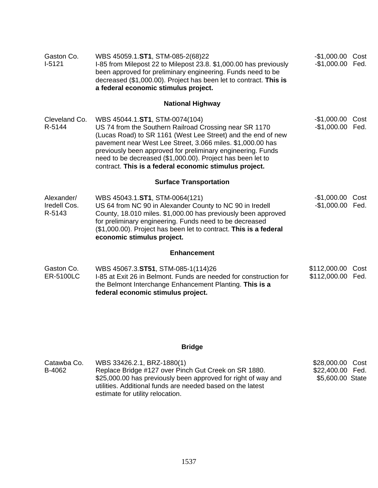| Gaston Co.<br>$I-5121$               | WBS 45059.1.ST1, STM-085-2(68)22<br>I-85 from Milepost 22 to Milepost 23.8. \$1,000.00 has previously<br>been approved for preliminary engineering. Funds need to be<br>decreased (\$1,000.00). Project has been let to contract. This is<br>a federal economic stimulus project.                                                                                                                             | -\$1,000.00 Cost<br>-\$1,000.00 Fed. |      |
|--------------------------------------|---------------------------------------------------------------------------------------------------------------------------------------------------------------------------------------------------------------------------------------------------------------------------------------------------------------------------------------------------------------------------------------------------------------|--------------------------------------|------|
|                                      | <b>National Highway</b>                                                                                                                                                                                                                                                                                                                                                                                       |                                      |      |
| Cleveland Co.<br>R-5144              | WBS 45044.1.ST1, STM-0074(104)<br>US 74 from the Southern Railroad Crossing near SR 1170<br>(Lucas Road) to SR 1161 (West Lee Street) and the end of new<br>pavement near West Lee Street, 3.066 miles. \$1,000.00 has<br>previously been approved for preliminary engineering. Funds<br>need to be decreased (\$1,000.00). Project has been let to<br>contract. This is a federal economic stimulus project. | $-$1,000.00$<br>-\$1,000.00 Fed.     | Cost |
|                                      | <b>Surface Transportation</b>                                                                                                                                                                                                                                                                                                                                                                                 |                                      |      |
| Alexander/<br>Iredell Cos.<br>R-5143 | WBS 45043.1.ST1, STM-0064(121)<br>US 64 from NC 90 in Alexander County to NC 90 in Iredell<br>County, 18.010 miles. \$1,000.00 has previously been approved<br>for preliminary engineering. Funds need to be decreased<br>(\$1,000.00). Project has been let to contract. This is a federal<br>economic stimulus project.                                                                                     | $-$1,000.00$<br>-\$1,000.00 Fed.     | Cost |
|                                      | <b>Enhancement</b>                                                                                                                                                                                                                                                                                                                                                                                            |                                      |      |
| Gaston Co.<br><b>ER-5100LC</b>       | WBS 45067.3.ST51, STM-085-1(114)26<br>I-85 at Exit 26 in Belmont. Funds are needed for construction for<br>the Belmont Interchange Enhancement Planting. This is a<br>federal economic stimulus project.                                                                                                                                                                                                      | \$112,000.00<br>\$112,000.00 Fed.    | Cost |

# **Bridge**

| Catawba Co. | WBS 33426.2.1, BRZ-1880(1)                                    | \$28,000.00 Cost |  |
|-------------|---------------------------------------------------------------|------------------|--|
| B-4062      | Replace Bridge #127 over Pinch Gut Creek on SR 1880.          | \$22,400.00 Fed. |  |
|             | \$25,000.00 has previously been approved for right of way and | \$5,600.00 State |  |
|             | utilities. Additional funds are needed based on the latest    |                  |  |
|             | estimate for utility relocation.                              |                  |  |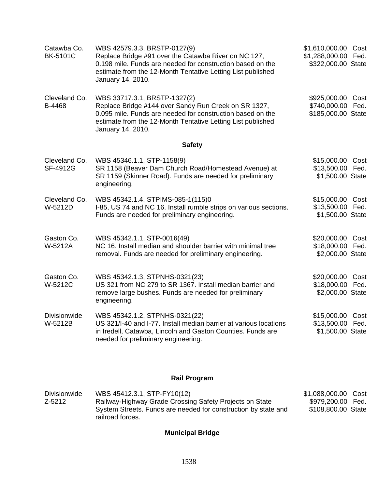| Catawba Co.<br><b>BK-5101C</b> | WBS 42579.3.3, BRSTP-0127(9)<br>Replace Bridge #91 over the Catawba River on NC 127,<br>0.198 mile. Funds are needed for construction based on the<br>estimate from the 12-Month Tentative Letting List published<br>January 14, 2010. | \$1,610,000.00 Cost<br>\$1,288,000.00 Fed.<br>\$322,000.00 State |  |
|--------------------------------|----------------------------------------------------------------------------------------------------------------------------------------------------------------------------------------------------------------------------------------|------------------------------------------------------------------|--|
| Cleveland Co.<br>B-4468        | WBS 33717.3.1, BRSTP-1327(2)<br>Replace Bridge #144 over Sandy Run Creek on SR 1327,<br>0.095 mile. Funds are needed for construction based on the<br>estimate from the 12-Month Tentative Letting List published<br>January 14, 2010. | \$925,000.00 Cost<br>\$740,000.00 Fed.<br>\$185,000.00 State     |  |
|                                | <b>Safety</b>                                                                                                                                                                                                                          |                                                                  |  |
| Cleveland Co.<br>SF-4912G      | WBS 45346.1.1, STP-1158(9)<br>SR 1158 (Beaver Dam Church Road/Homestead Avenue) at<br>SR 1159 (Skinner Road). Funds are needed for preliminary<br>engineering.                                                                         | \$15,000.00 Cost<br>\$13,500.00 Fed.<br>\$1,500.00 State         |  |
| Cleveland Co.<br>W-5212D       | WBS 45342.1.4, STPIMS-085-1(115)0<br>I-85, US 74 and NC 16. Install rumble strips on various sections.<br>Funds are needed for preliminary engineering.                                                                                | \$15,000.00 Cost<br>\$13,500.00 Fed.<br>\$1,500.00 State         |  |
| Gaston Co.<br>W-5212A          | WBS 45342.1.1, STP-0016(49)<br>NC 16. Install median and shoulder barrier with minimal tree<br>removal. Funds are needed for preliminary engineering.                                                                                  | \$20,000.00 Cost<br>\$18,000.00 Fed.<br>\$2,000.00 State         |  |
| Gaston Co.<br>W-5212C          | WBS 45342.1.3, STPNHS-0321(23)<br>US 321 from NC 279 to SR 1367. Install median barrier and<br>remove large bushes. Funds are needed for preliminary<br>engineering.                                                                   | \$20,000.00 Cost<br>\$18,000.00 Fed.<br>\$2,000.00 State         |  |
| Divisionwide<br>W-5212B        | WBS 45342.1.2, STPNHS-0321(22)<br>US 321/I-40 and I-77. Install median barrier at various locations<br>in Iredell, Catawba, Lincoln and Gaston Counties. Funds are<br>needed for preliminary engineering.                              | \$15,000.00 Cost<br>\$13,500.00 Fed.<br>\$1,500.00 State         |  |

# **Rail Program**

| <b>Divisionwide</b> | WBS 45412.3.1, STP-FY10(12)                                    | \$1,088,000.00 Cost |  |
|---------------------|----------------------------------------------------------------|---------------------|--|
| Z-5212              | Railway-Highway Grade Crossing Safety Projects on State        | \$979,200.00 Fed.   |  |
|                     | System Streets. Funds are needed for construction by state and | \$108,800.00 State  |  |
|                     | railroad forces.                                               |                     |  |

# **Municipal Bridge**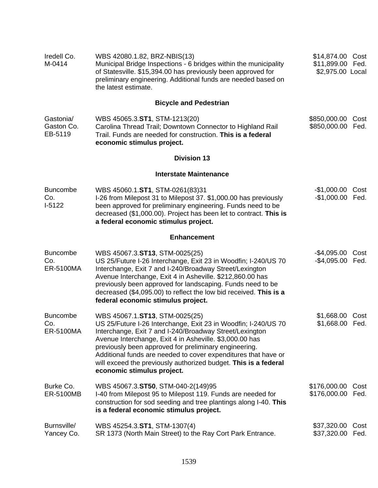| Iredell Co.<br>M-0414               | WBS 42080.1.82, BRZ-NBIS(13)<br>Municipal Bridge Inspections - 6 bridges within the municipality<br>of Statesville. \$15,394.00 has previously been approved for<br>preliminary engineering. Additional funds are needed based on<br>the latest estimate.                                                                                                                                                                                          | \$14,874.00 Cost<br>\$11,899.00 Fed.<br>\$2,975.00 Local |              |
|-------------------------------------|----------------------------------------------------------------------------------------------------------------------------------------------------------------------------------------------------------------------------------------------------------------------------------------------------------------------------------------------------------------------------------------------------------------------------------------------------|----------------------------------------------------------|--------------|
|                                     | <b>Bicycle and Pedestrian</b>                                                                                                                                                                                                                                                                                                                                                                                                                      |                                                          |              |
| Gastonia/<br>Gaston Co.<br>EB-5119  | WBS 45065.3.ST1, STM-1213(20)<br>Carolina Thread Trail; Downtown Connector to Highland Rail<br>Trail. Funds are needed for construction. This is a federal<br>economic stimulus project.                                                                                                                                                                                                                                                           | \$850,000.00<br>\$850,000.00 Fed.                        | Cost         |
|                                     | <b>Division 13</b>                                                                                                                                                                                                                                                                                                                                                                                                                                 |                                                          |              |
|                                     | <b>Interstate Maintenance</b>                                                                                                                                                                                                                                                                                                                                                                                                                      |                                                          |              |
| <b>Buncombe</b><br>Co.<br>$I-5122$  | WBS 45060.1.ST1, STM-0261(83)31<br>I-26 from Milepost 31 to Milepost 37. \$1,000.00 has previously<br>been approved for preliminary engineering. Funds need to be<br>decreased (\$1,000.00). Project has been let to contract. This is<br>a federal economic stimulus project.                                                                                                                                                                     | -\$1,000.00 Cost<br>$-$1,000.00$                         | Fed.         |
|                                     | <b>Enhancement</b>                                                                                                                                                                                                                                                                                                                                                                                                                                 |                                                          |              |
| <b>Buncombe</b><br>Co.<br>ER-5100MA | WBS 45067.3.ST13, STM-0025(25)<br>US 25/Future I-26 Interchange, Exit 23 in Woodfin; I-240/US 70<br>Interchange, Exit 7 and I-240/Broadway Street/Lexington<br>Avenue Interchange, Exit 4 in Asheville. \$212,860.00 has<br>previously been approved for landscaping. Funds need to be<br>decreased (\$4,095.00) to reflect the low bid received. This is a<br>federal economic stimulus project.                                                  | -\$4,095.00 Cost<br>-\$4,095.00 Fed.                     |              |
| <b>Buncombe</b><br>Co.<br>ER-5100MA | WBS 45067.1.ST13, STM-0025(25)<br>US 25/Future I-26 Interchange, Exit 23 in Woodfin; I-240/US 70<br>Interchange, Exit 7 and I-240/Broadway Street/Lexington<br>Avenue Interchange, Exit 4 in Asheville. \$3,000.00 has<br>previously been approved for preliminary engineering.<br>Additional funds are needed to cover expenditures that have or<br>will exceed the previously authorized budget. This is a federal<br>economic stimulus project. | \$1,668.00<br>\$1,668.00                                 | Cost<br>Fed. |
| Burke Co.<br>ER-5100MB              | WBS 45067.3.ST50, STM-040-2(149)95<br>I-40 from Milepost 95 to Milepost 119. Funds are needed for<br>construction for sod seeding and tree plantings along I-40. This<br>is a federal economic stimulus project.                                                                                                                                                                                                                                   | \$176,000.00<br>\$176,000.00                             | Cost<br>Fed. |
| Burnsville/<br>Yancey Co.           | WBS 45254.3.ST1, STM-1307(4)<br>SR 1373 (North Main Street) to the Ray Cort Park Entrance.                                                                                                                                                                                                                                                                                                                                                         | \$37,320.00<br>\$37,320.00                               | Cost<br>Fed. |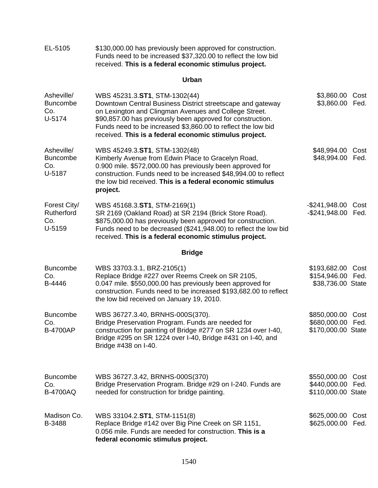| EL-5105                                        | \$130,000.00 has previously been approved for construction.<br>Funds need to be increased \$37,320.00 to reflect the low bid<br>received. This is a federal economic stimulus project.                                                                                                                                                       |                                                              |              |
|------------------------------------------------|----------------------------------------------------------------------------------------------------------------------------------------------------------------------------------------------------------------------------------------------------------------------------------------------------------------------------------------------|--------------------------------------------------------------|--------------|
|                                                | Urban                                                                                                                                                                                                                                                                                                                                        |                                                              |              |
| Asheville/<br><b>Buncombe</b><br>Co.<br>U-5174 | WBS 45231.3.ST1, STM-1302(44)<br>Downtown Central Business District streetscape and gateway<br>on Lexington and Clingman Avenues and College Street.<br>\$90,857.00 has previously been approved for construction.<br>Funds need to be increased \$3,860.00 to reflect the low bid<br>received. This is a federal economic stimulus project. | \$3,860.00<br>\$3,860.00                                     | Cost<br>Fed. |
| Asheville/<br><b>Buncombe</b><br>Co.<br>U-5187 | WBS 45249.3.ST1, STM-1302(48)<br>Kimberly Avenue from Edwin Place to Gracelyn Road,<br>0.900 mile. \$572,000.00 has previously been approved for<br>construction. Funds need to be increased \$48,994.00 to reflect<br>the low bid received. This is a federal economic stimulus<br>project.                                                 | \$48,994.00<br>\$48,994.00                                   | Cost<br>Fed. |
| Forest City/<br>Rutherford<br>Co.<br>U-5159    | WBS 45168.3.ST1, STM-2169(1)<br>SR 2169 (Oakland Road) at SR 2194 (Brick Store Road).<br>\$875,000.00 has previously been approved for construction.<br>Funds need to be decreased (\$241,948.00) to reflect the low bid<br>received. This is a federal economic stimulus project.                                                           | -\$241,948.00<br>$-$ \$241,948.00                            | Cost<br>Fed. |
|                                                | <b>Bridge</b>                                                                                                                                                                                                                                                                                                                                |                                                              |              |
| <b>Buncombe</b><br>Co.<br>B-4446               | WBS 33703.3.1, BRZ-2105(1)<br>Replace Bridge #227 over Reems Creek on SR 2105,<br>0.047 mile. \$550,000.00 has previously been approved for<br>construction. Funds need to be increased \$193,682.00 to reflect<br>the low bid received on January 19, 2010.                                                                                 | \$193,682.00 Cost<br>\$154,946.00 Fed.<br>\$38,736.00 State  |              |
| <b>Buncombe</b><br>Co.<br><b>B-4700AP</b>      | WBS 36727.3.40, BRNHS-000S(370).<br>Bridge Preservation Program. Funds are needed for<br>construction for painting of Bridge #277 on SR 1234 over I-40,<br>Bridge #295 on SR 1224 over I-40, Bridge #431 on I-40, and<br>Bridge #438 on I-40.                                                                                                | \$850,000.00 Cost<br>\$680,000.00 Fed.<br>\$170,000.00 State |              |
| <b>Buncombe</b><br>Co.<br><b>B-4700AQ</b>      | WBS 36727.3.42, BRNHS-000S(370)<br>Bridge Preservation Program. Bridge #29 on I-240. Funds are<br>needed for construction for bridge painting.                                                                                                                                                                                               | \$550,000.00<br>\$440,000.00 Fed.<br>\$110,000.00 State      | Cost         |
| Madison Co.<br>B-3488                          | WBS 33104.2.ST1, STM-1151(8)<br>Replace Bridge #142 over Big Pine Creek on SR 1151,<br>0.056 mile. Funds are needed for construction. This is a<br>federal economic stimulus project.                                                                                                                                                        | \$625,000.00<br>\$625,000.00                                 | Cost<br>Fed. |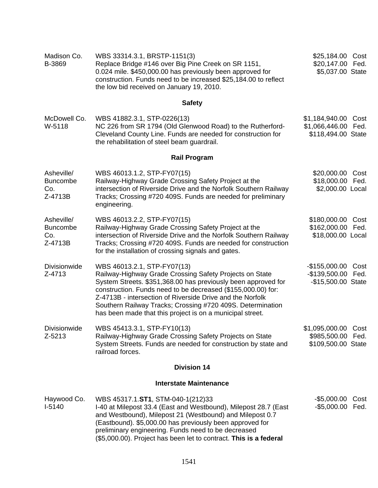| Madison Co.<br>B-3869                           | WBS 33314.3.1, BRSTP-1151(3)<br>Replace Bridge #146 over Big Pine Creek on SR 1151,<br>0.024 mile. \$450,000.00 has previously been approved for<br>construction. Funds need to be increased \$25,184.00 to reflect<br>the low bid received on January 19, 2010.                                                                                                                                                | \$25,184.00 Cost<br>\$20,147.00 Fed.<br>\$5,037.00 State            |
|-------------------------------------------------|-----------------------------------------------------------------------------------------------------------------------------------------------------------------------------------------------------------------------------------------------------------------------------------------------------------------------------------------------------------------------------------------------------------------|---------------------------------------------------------------------|
|                                                 | <b>Safety</b>                                                                                                                                                                                                                                                                                                                                                                                                   |                                                                     |
| McDowell Co.<br>W-5118                          | WBS 41882.3.1, STP-0226(13)<br>NC 226 from SR 1794 (Old Glenwood Road) to the Rutherford-<br>Cleveland County Line. Funds are needed for construction for<br>the rehabilitation of steel beam guardrail.                                                                                                                                                                                                        | \$1,184,940.00<br>Cost<br>\$1,066,446.00 Fed.<br>\$118,494.00 State |
|                                                 | <b>Rail Program</b>                                                                                                                                                                                                                                                                                                                                                                                             |                                                                     |
| Asheville/<br><b>Buncombe</b><br>Co.<br>Z-4713B | WBS 46013.1.2, STP-FY07(15)<br>Railway-Highway Grade Crossing Safety Project at the<br>intersection of Riverside Drive and the Norfolk Southern Railway<br>Tracks; Crossing #720 409S. Funds are needed for preliminary<br>engineering.                                                                                                                                                                         | \$20,000.00 Cost<br>\$18,000.00 Fed.<br>\$2,000.00 Local            |
| Asheville/<br><b>Buncombe</b><br>Co.<br>Z-4713B | WBS 46013.2.2, STP-FY07(15)<br>Railway-Highway Grade Crossing Safety Project at the<br>intersection of Riverside Drive and the Norfolk Southern Railway<br>Tracks; Crossing #720 409S. Funds are needed for construction<br>for the installation of crossing signals and gates.                                                                                                                                 | \$180,000.00 Cost<br>\$162,000.00 Fed.<br>\$18,000.00 Local         |
| Divisionwide<br>Z-4713                          | WBS 46013.2.1, STP-FY07(13)<br>Railway-Highway Grade Crossing Safety Projects on State<br>System Streets. \$351,368.00 has previously been approved for<br>construction. Funds need to be decreased (\$155,000.00) for:<br>Z-4713B - intersection of Riverside Drive and the Norfolk<br>Southern Railway Tracks; Crossing #720 409S. Determination<br>has been made that this project is on a municipal street. | $-$155,000.00$<br>Cost<br>-\$139,500.00 Fed.<br>-\$15,500.00 State  |
| Divisionwide<br>Z-5213                          | WBS 45413.3.1, STP-FY10(13)<br>Railway-Highway Grade Crossing Safety Projects on State<br>System Streets. Funds are needed for construction by state and<br>railroad forces.                                                                                                                                                                                                                                    | \$1,095,000.00 Cost<br>\$985,500.00 Fed.<br>\$109,500.00 State      |
|                                                 | <b>Division 14</b>                                                                                                                                                                                                                                                                                                                                                                                              |                                                                     |
|                                                 | <b>Interstate Maintenance</b>                                                                                                                                                                                                                                                                                                                                                                                   |                                                                     |
| Haywood Co.<br>$I-5140$                         | WBS 45317.1.ST1, STM-040-1(212)33<br>I-40 at Milepost 33.4 (East and Westbound), Milepost 28.7 (East<br>and Westbound), Milepost 21 (Westbound) and Milepost 0.7<br>(Eastbound). \$5,000.00 has previously been approved for<br>preliminary engineering. Funds need to be decreased<br>(\$5,000.00). Project has been let to contract. This is a federal                                                        | $-$ \$5,000.00<br>Cost<br>-\$5,000.00 Fed.                          |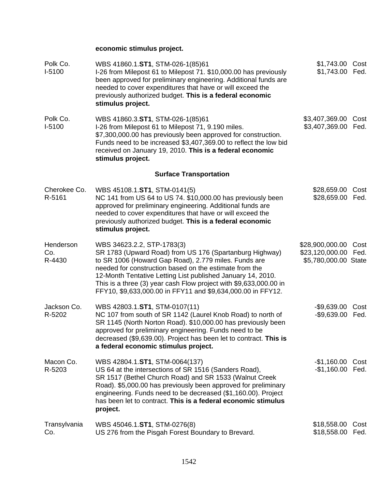## **economic stimulus project.**

| Polk Co.<br>$I-5100$       | WBS 41860.1.ST1, STM-026-1(85)61<br>I-26 from Milepost 61 to Milepost 71. \$10,000.00 has previously<br>been approved for preliminary engineering. Additional funds are<br>needed to cover expenditures that have or will exceed the<br>previously authorized budget. This is a federal economic<br>stimulus project.                                                                                      | \$1,743.00 Cost<br>\$1,743.00 Fed.                         |              |
|----------------------------|------------------------------------------------------------------------------------------------------------------------------------------------------------------------------------------------------------------------------------------------------------------------------------------------------------------------------------------------------------------------------------------------------------|------------------------------------------------------------|--------------|
| Polk Co.<br>$I-5100$       | WBS 41860.3.ST1, STM-026-1(85)61<br>I-26 from Milepost 61 to Milepost 71, 9.190 miles.<br>\$7,300,000.00 has previously been approved for construction.<br>Funds need to be increased \$3,407,369.00 to reflect the low bid<br>received on January 19, 2010. This is a federal economic<br>stimulus project.                                                                                               | \$3,407,369.00<br>\$3,407,369.00                           | Cost<br>Fed. |
|                            | <b>Surface Transportation</b>                                                                                                                                                                                                                                                                                                                                                                              |                                                            |              |
| Cherokee Co.<br>R-5161     | WBS 45108.1.ST1, STM-0141(5)<br>NC 141 from US 64 to US 74. \$10,000.00 has previously been<br>approved for preliminary engineering. Additional funds are<br>needed to cover expenditures that have or will exceed the<br>previously authorized budget. This is a federal economic<br>stimulus project.                                                                                                    | \$28,659.00<br>\$28,659.00 Fed.                            | Cost         |
| Henderson<br>Co.<br>R-4430 | WBS 34623.2.2, STP-1783(3)<br>SR 1783 (Upward Road) from US 176 (Spartanburg Highway)<br>to SR 1006 (Howard Gap Road), 2.779 miles. Funds are<br>needed for construction based on the estimate from the<br>12-Month Tentative Letting List published January 14, 2010.<br>This is a three (3) year cash Flow project with \$9,633,000.00 in<br>FFY10, \$9,633,000.00 in FFY11 and \$9,634,000.00 in FFY12. | \$28,900,000.00<br>\$23,120,000.00<br>\$5,780,000.00 State | Cost<br>Fed. |
| Jackson Co.<br>R-5202      | WBS 42803.1.ST1, STM-0107(11)<br>NC 107 from south of SR 1142 (Laurel Knob Road) to north of<br>SR 1145 (North Norton Road). \$10,000.00 has previously been<br>approved for preliminary engineering. Funds need to be<br>decreased (\$9,639.00). Project has been let to contract. This is<br>a federal economic stimulus project.                                                                        | $-$ \$9,639.00<br>-\$9,639.00 Fed.                         | Cost         |
| Macon Co.<br>R-5203        | WBS 42804.1.ST1, STM-0064(137)<br>US 64 at the intersections of SR 1516 (Sanders Road),<br>SR 1517 (Bethel Church Road) and SR 1533 (Walnut Creek<br>Road). \$5,000.00 has previously been approved for preliminary<br>engineering. Funds need to be decreased (\$1,160.00). Project<br>has been let to contract. This is a federal economic stimulus<br>project.                                          | $-$1,160.00$<br>-\$1,160.00 Fed.                           | Cost         |
| Transylvania<br>Co.        | WBS 45046.1.ST1, STM-0276(8)<br>US 276 from the Pisgah Forest Boundary to Brevard.                                                                                                                                                                                                                                                                                                                         | \$18,558.00<br>\$18,558.00                                 | Cost<br>Fed. |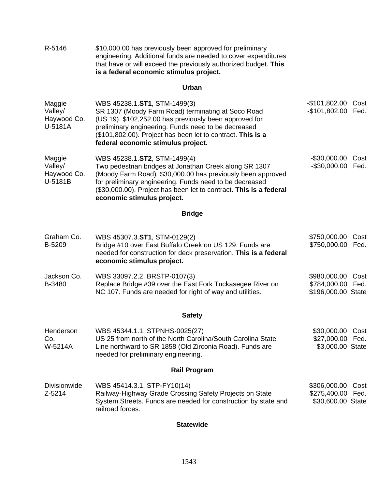| R-5146                                      | \$10,000.00 has previously been approved for preliminary<br>engineering. Additional funds are needed to cover expenditures<br>that have or will exceed the previously authorized budget. This<br>is a federal economic stimulus project.                                                                             |                                                         |              |
|---------------------------------------------|----------------------------------------------------------------------------------------------------------------------------------------------------------------------------------------------------------------------------------------------------------------------------------------------------------------------|---------------------------------------------------------|--------------|
|                                             | Urban                                                                                                                                                                                                                                                                                                                |                                                         |              |
| Maggie<br>Valley/<br>Haywood Co.<br>U-5181A | WBS 45238.1.ST1, STM-1499(3)<br>SR 1307 (Moody Farm Road) terminating at Soco Road<br>(US 19). \$102,252.00 has previously been approved for<br>preliminary engineering. Funds need to be decreased<br>(\$101,802.00). Project has been let to contract. This is a<br>federal economic stimulus project.             | $-$101,802.00$<br>$-$101,802.00$                        | Cost<br>Fed. |
| Maggie<br>Valley/<br>Haywood Co.<br>U-5181B | WBS 45238.1.ST2, STM-1499(4)<br>Two pedestrian bridges at Jonathan Creek along SR 1307<br>(Moody Farm Road). \$30,000.00 has previously been approved<br>for preliminary engineering. Funds need to be decreased<br>(\$30,000.00). Project has been let to contract. This is a federal<br>economic stimulus project. | $-$ \$30,000.00<br>$-$ \$30,000.00                      | Cost<br>Fed. |
|                                             | <b>Bridge</b>                                                                                                                                                                                                                                                                                                        |                                                         |              |
| Graham Co.<br>B-5209                        | WBS 45307.3.ST1, STM-0129(2)<br>Bridge #10 over East Buffalo Creek on US 129. Funds are<br>needed for construction for deck preservation. This is a federal<br>economic stimulus project.                                                                                                                            | \$750,000.00<br>\$750,000.00                            | Cost<br>Fed. |
| Jackson Co.<br>B-3480                       | WBS 33097.2.2, BRSTP-0107(3)<br>Replace Bridge #39 over the East Fork Tuckasegee River on<br>NC 107. Funds are needed for right of way and utilities.                                                                                                                                                                | \$980,000.00<br>\$784,000.00 Fed.<br>\$196,000.00 State | Cost         |
|                                             | <b>Safety</b>                                                                                                                                                                                                                                                                                                        |                                                         |              |
| Henderson<br>Co.<br>W-5214A                 | WBS 45344.1.1, STPNHS-0025(27)<br>US 25 from north of the North Carolina/South Carolina State<br>Line northward to SR 1858 (Old Zirconia Road). Funds are<br>needed for preliminary engineering.                                                                                                                     | \$30,000.00<br>\$27,000.00 Fed.<br>\$3,000.00 State     | Cost         |
|                                             | <b>Rail Program</b>                                                                                                                                                                                                                                                                                                  |                                                         |              |
| <b>Divisionwide</b><br>Z-5214               | WBS 45414.3.1, STP-FY10(14)<br>Railway-Highway Grade Crossing Safety Projects on State<br>System Streets. Funds are needed for construction by state and<br>railroad forces.                                                                                                                                         | \$306,000.00<br>\$275,400.00<br>\$30,600.00 State       | Cost<br>Fed. |
|                                             |                                                                                                                                                                                                                                                                                                                      |                                                         |              |

#### **Statewide**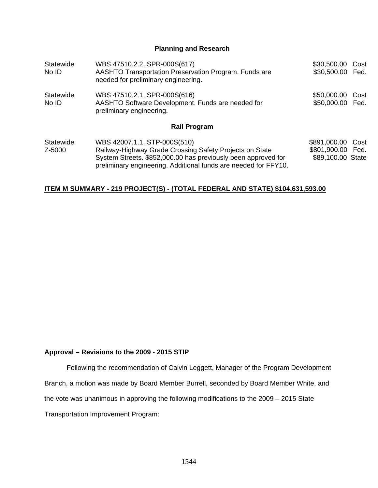**Planning and Research** 

| Statewide<br>No ID  | WBS 47510.2.2, SPR-000S(617)<br>AASHTO Transportation Preservation Program. Funds are<br>needed for preliminary engineering.                                                                                                | \$30,500.00 Cost<br>\$30,500.00 Fed.                        |  |
|---------------------|-----------------------------------------------------------------------------------------------------------------------------------------------------------------------------------------------------------------------------|-------------------------------------------------------------|--|
| Statewide<br>No ID  | WBS 47510.2.1, SPR-000S(616)<br>AASHTO Software Development. Funds are needed for<br>preliminary engineering.                                                                                                               | \$50,000.00 Cost<br>\$50,000.00 Fed.                        |  |
|                     | <b>Rail Program</b>                                                                                                                                                                                                         |                                                             |  |
| Statewide<br>Z-5000 | WBS 42007.1.1, STP-000S(510)<br>Railway-Highway Grade Crossing Safety Projects on State<br>System Streets. \$852,000.00 has previously been approved for<br>preliminary engineering. Additional funds are needed for FFY10. | \$891,000.00 Cost<br>\$801,900.00 Fed.<br>\$89,100.00 State |  |

#### **ITEM M SUMMARY - 219 PROJECT(S) - (TOTAL FEDERAL AND STATE) \$104,631,593.00**

#### **Approval – Revisions to the 2009 - 2015 STIP**

Following the recommendation of Calvin Leggett, Manager of the Program Development Branch, a motion was made by Board Member Burrell, seconded by Board Member White, and the vote was unanimous in approving the following modifications to the 2009 – 2015 State Transportation Improvement Program: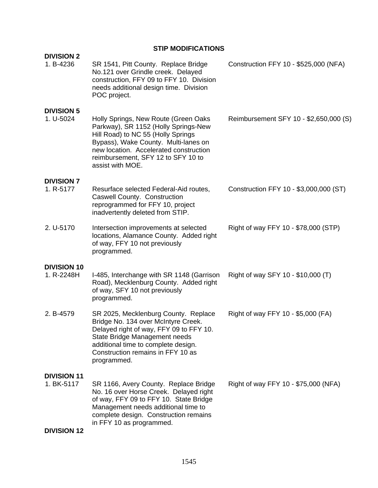## **STIP MODIFICATIONS**

| <b>DIVISION 2</b><br>1. B-4236   | SR 1541, Pitt County. Replace Bridge<br>No.121 over Grindle creek. Delayed<br>construction, FFY 09 to FFY 10. Division<br>needs additional design time. Division<br>POC project.                                                                               | Construction FFY 10 - \$525,000 (NFA)  |
|----------------------------------|----------------------------------------------------------------------------------------------------------------------------------------------------------------------------------------------------------------------------------------------------------------|----------------------------------------|
| <b>DIVISION 5</b><br>1. U-5024   | Holly Springs, New Route (Green Oaks<br>Parkway), SR 1152 (Holly Springs-New<br>Hill Road) to NC 55 (Holly Springs<br>Bypass), Wake County. Multi-lanes on<br>new location. Accelerated construction<br>reimbursement, SFY 12 to SFY 10 to<br>assist with MOE. | Reimbursement SFY 10 - \$2,650,000 (S) |
| <b>DIVISION 7</b><br>1. R-5177   | Resurface selected Federal-Aid routes,<br><b>Caswell County. Construction</b><br>reprogrammed for FFY 10, project<br>inadvertently deleted from STIP.                                                                                                          | Construction FFY 10 - \$3,000,000 (ST) |
| 2. U-5170                        | Intersection improvements at selected<br>locations, Alamance County. Added right<br>of way, FFY 10 not previously<br>programmed.                                                                                                                               | Right of way FFY 10 - \$78,000 (STP)   |
| <b>DIVISION 10</b><br>1. R-2248H | I-485, Interchange with SR 1148 (Garrison<br>Road), Mecklenburg County. Added right<br>of way, SFY 10 not previously<br>programmed.                                                                                                                            | Right of way SFY 10 - \$10,000 (T)     |
| 2. B-4579                        | SR 2025, Mecklenburg County. Replace<br>Bridge No. 134 over McIntyre Creek.<br>Delayed right of way, FFY 09 to FFY 10.<br>State Bridge Management needs<br>additional time to complete design.<br>Construction remains in FFY 10 as<br>programmed.             | Right of way FFY 10 - \$5,000 (FA)     |
| <b>DIVISION 11</b><br>1. BK-5117 | SR 1166, Avery County. Replace Bridge<br>No. 16 over Horse Creek. Delayed right<br>of way, FFY 09 to FFY 10. State Bridge<br>Management needs additional time to<br>complete design. Construction remains<br>in FFY 10 as programmed.                          | Right of way FFY 10 - \$75,000 (NFA)   |
| <b>DIVISION 12</b>               |                                                                                                                                                                                                                                                                |                                        |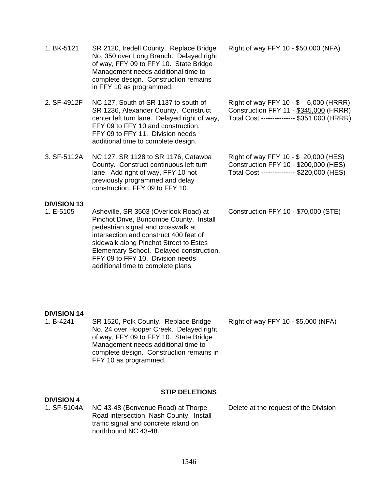| 1. BK-5121                      | SR 2120, Iredell County. Replace Bridge<br>No. 350 over Long Branch. Delayed right<br>of way, FFY 09 to FFY 10. State Bridge<br>Management needs additional time to<br>complete design. Construction remains<br>in FFY 10 as programmed.                                                                                         | Right of way FFY 10 - \$50,000 (NFA)                                                                                           |
|---------------------------------|----------------------------------------------------------------------------------------------------------------------------------------------------------------------------------------------------------------------------------------------------------------------------------------------------------------------------------|--------------------------------------------------------------------------------------------------------------------------------|
| 2. SF-4912F                     | NC 127, South of SR 1137 to south of<br>SR 1236, Alexander County. Construct<br>center left turn lane. Delayed right of way,<br>FFY 09 to FFY 10 and construction,<br>FFY 09 to FFY 11. Division needs<br>additional time to complete design.                                                                                    | Right of way FFY 10 - \$ 6,000 (HRRR)<br>Construction FFY 11 - \$345,000 (HRRR)<br>Total Cost --------------- \$351,000 (HRRR) |
| 3. SF-5112A                     | NC 127, SR 1128 to SR 1176, Catawba<br>County. Construct continuous left turn<br>lane. Add right of way, FFY 10 not<br>previously programmed and delay<br>construction, FFY 09 to FFY 10.                                                                                                                                        | Right of way FFY 10 - \$ 20,000 (HES)<br>Construction FFY 10 - \$200,000 (HES)<br>Total Cost -------------- \$220,000 (HES)    |
| <b>DIVISION 13</b><br>1. E-5105 | Asheville, SR 3503 (Overlook Road) at<br>Pinchot Drive, Buncombe County. Install<br>pedestrian signal and crosswalk at<br>intersection and construct 400 feet of<br>sidewalk along Pinchot Street to Estes<br>Elementary School. Delayed construction,<br>FFY 09 to FFY 10. Division needs<br>additional time to complete plans. | Construction FFY 10 - \$70,000 (STE)                                                                                           |
| <b>DIVISION 14</b><br>1. B-4241 | SR 1520, Polk County. Replace Bridge<br>No. 24 over Hooper Creek. Delayed right<br>of way, FFY 09 to FFY 10. State Bridge<br>Management needs additional time to<br>complete design. Construction remains in<br>FFY 10 as programmed.                                                                                            | Right of way FFY 10 - \$5,000 (NFA)                                                                                            |

#### **STIP DELETIONS**

**DIVISION 4**<br>1. SF-5104A 1. SF-5104A NC 43-48 (Benvenue Road) at Thorpe Road intersection, Nash County. Install traffic signal and concrete island on northbound NC 43-48.

Delete at the request of the Division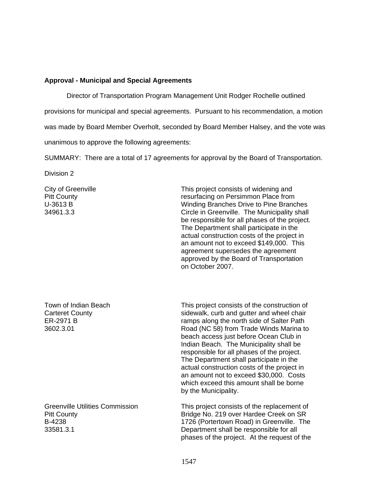#### **Approval - Municipal and Special Agreements**

Director of Transportation Program Management Unit Rodger Rochelle outlined

provisions for municipal and special agreements. Pursuant to his recommendation, a motion

was made by Board Member Overholt, seconded by Board Member Halsey, and the vote was

unanimous to approve the following agreements:

SUMMARY: There are a total of 17 agreements for approval by the Board of Transportation.

Division 2

City of Greenville Pitt County U-3613 B 34961.3.3

This project consists of widening and resurfacing on Persimmon Place from Winding Branches Drive to Pine Branches Circle in Greenville. The Municipality shall be responsible for all phases of the project. The Department shall participate in the actual construction costs of the project in an amount not to exceed \$149,000. This agreement supersedes the agreement approved by the Board of Transportation on October 2007.

Town of Indian Beach Carteret County ER-2971 B 3602.3.01

Greenville Utilities Commission Pitt County B-4238 33581.3.1

This project consists of the construction of sidewalk, curb and gutter and wheel chair ramps along the north side of Salter Path Road (NC 58) from Trade Winds Marina to beach access just before Ocean Club in Indian Beach. The Municipality shall be responsible for all phases of the project. The Department shall participate in the actual construction costs of the project in an amount not to exceed \$30,000. Costs which exceed this amount shall be borne by the Municipality.

This project consists of the replacement of Bridge No. 219 over Hardee Creek on SR 1726 (Portertown Road) in Greenville. The Department shall be responsible for all phases of the project. At the request of the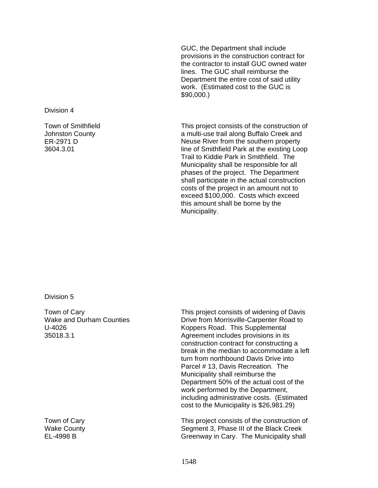GUC, the Department shall include provisions in the construction contract for the contractor to install GUC owned water lines. The GUC shall reimburse the Department the entire cost of said utility work. (Estimated cost to the GUC is \$90,000.)

This project consists of the construction of a multi-use trail along Buffalo Creek and Neuse River from the southern property line of Smithfield Park at the existing Loop Trail to Kiddie Park in Smithfield. The Municipality shall be responsible for all phases of the project. The Department shall participate in the actual construction costs of the project in an amount not to exceed \$100,000. Costs which exceed this amount shall be borne by the Municipality.

Division 5

Division 4

Town of Smithfield Johnston County ER-2971 D 3604.3.01

Town of Cary Wake and Durham Counties U-4026 35018.3.1

Town of Cary Wake County EL-4998 B

This project consists of widening of Davis Drive from Morrisville-Carpenter Road to Koppers Road. This Supplemental Agreement includes provisions in its construction contract for constructing a break in the median to accommodate a left turn from northbound Davis Drive into Parcel # 13, Davis Recreation. The Municipality shall reimburse the Department 50% of the actual cost of the work performed by the Department, including administrative costs. (Estimated cost to the Municipality is \$26,981.29)

This project consists of the construction of Segment 3, Phase III of the Black Creek Greenway in Cary. The Municipality shall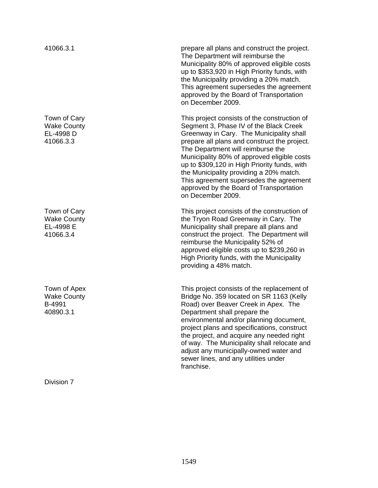Town of Cary Wake County EL-4998 D 41066.3.3 Town of Cary Wake County EL-4998 E 41066.3.4 Town of Apex Wake County B-4991 40890.3.1

Division 7

41066.3.1 prepare all plans and construct the project. The Department will reimburse the Municipality 80% of approved eligible costs up to \$353,920 in High Priority funds, with the Municipality providing a 20% match. This agreement supersedes the agreement approved by the Board of Transportation on December 2009.

> This project consists of the construction of Segment 3, Phase IV of the Black Creek Greenway in Cary. The Municipality shall prepare all plans and construct the project. The Department will reimburse the Municipality 80% of approved eligible costs up to \$309,120 in High Priority funds, with the Municipality providing a 20% match. This agreement supersedes the agreement approved by the Board of Transportation on December 2009.

This project consists of the construction of the Tryon Road Greenway in Cary. The Municipality shall prepare all plans and construct the project. The Department will reimburse the Municipality 52% of approved eligible costs up to \$239,260 in High Priority funds, with the Municipality providing a 48% match.

This project consists of the replacement of Bridge No. 359 located on SR 1163 (Kelly Road) over Beaver Creek in Apex. The Department shall prepare the environmental and/or planning document, project plans and specifications, construct the project, and acquire any needed right of way. The Municipality shall relocate and adjust any municipally-owned water and sewer lines, and any utilities under franchise.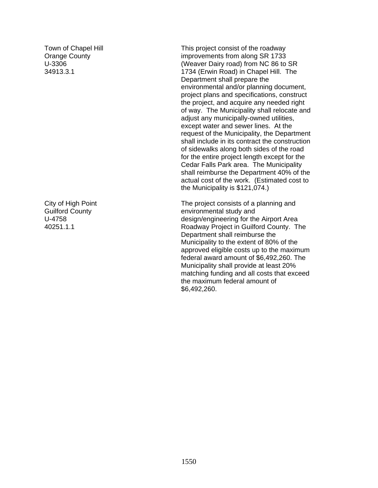Town of Chapel Hill Orange County U-3306 34913.3.1

City of High Point Guilford County U-4758 40251.1.1

This project consist of the roadway improvements from along SR 1733 (Weaver Dairy road) from NC 86 to SR 1734 (Erwin Road) in Chapel Hill. The Department shall prepare the environmental and/or planning document, project plans and specifications, construct the project, and acquire any needed right of way. The Municipality shall relocate and adjust any municipally-owned utilities, except water and sewer lines. At the request of the Municipality, the Department shall include in its contract the construction of sidewalks along both sides of the road for the entire project length except for the Cedar Falls Park area. The Municipality shall reimburse the Department 40% of the actual cost of the work. (Estimated cost to the Municipality is \$121,074.)

The project consists of a planning and environmental study and design/engineering for the Airport Area Roadway Project in Guilford County. The Department shall reimburse the Municipality to the extent of 80% of the approved eligible costs up to the maximum federal award amount of \$6,492,260. The Municipality shall provide at least 20% matching funding and all costs that exceed the maximum federal amount of \$6,492,260.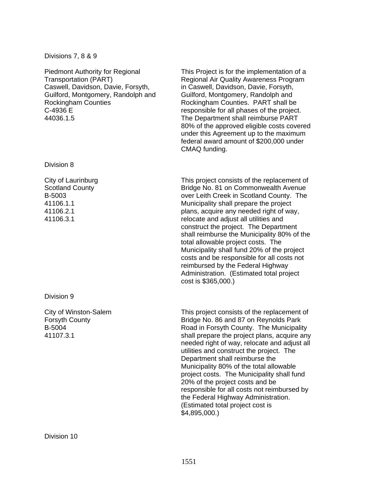#### Divisions 7, 8 & 9

Piedmont Authority for Regional Transportation (PART) Caswell, Davidson, Davie, Forsyth, Guilford, Montgomery, Randolph and Rockingham Counties C-4936 E 44036.1.5

Division 8

City of Laurinburg Scotland County B-5003 41106.1.1 41106.2.1 41106.3.1

Division 9

City of Winston-Salem Forsyth County B-5004 41107.3.1

This Project is for the implementation of a Regional Air Quality Awareness Program in Caswell, Davidson, Davie, Forsyth, Guilford, Montgomery, Randolph and Rockingham Counties. PART shall be responsible for all phases of the project. The Department shall reimburse PART 80% of the approved eligible costs covered under this Agreement up to the maximum federal award amount of \$200,000 under CMAQ funding.

This project consists of the replacement of Bridge No. 81 on Commonwealth Avenue over Leith Creek in Scotland County. The Municipality shall prepare the project plans, acquire any needed right of way, relocate and adjust all utilities and construct the project. The Department shall reimburse the Municipality 80% of the total allowable project costs. The Municipality shall fund 20% of the project costs and be responsible for all costs not reimbursed by the Federal Highway Administration. (Estimated total project cost is \$365,000.)

This project consists of the replacement of Bridge No. 86 and 87 on Reynolds Park Road in Forsyth County. The Municipality shall prepare the project plans, acquire any needed right of way, relocate and adjust all utilities and construct the project. The Department shall reimburse the Municipality 80% of the total allowable project costs. The Municipality shall fund 20% of the project costs and be responsible for all costs not reimbursed by the Federal Highway Administration. (Estimated total project cost is \$4,895,000.)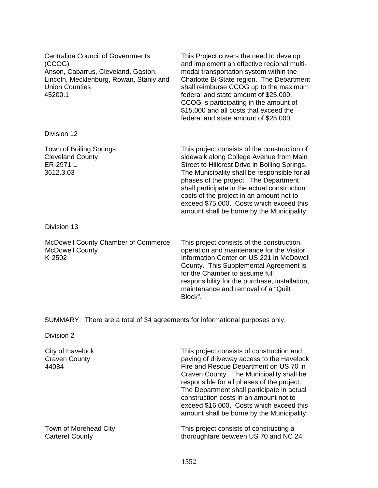| <b>Centralina Council of Governments</b><br>(CCOG)<br>Anson, Cabarrus, Cleveland, Gaston,<br>Lincoln, Mecklenburg, Rowan, Stanly and<br>Union Counties<br>45200.1 | This Project covers the need to develop<br>and implement an effective regional multi-<br>modal transportation system within the<br>Charlotte Bi-State region. The Department<br>shall reimburse CCOG up to the maximum<br>federal and state amount of \$25,000.<br>CCOG is participating in the amount of<br>\$15,000 and all costs that exceed the<br>federal and state amount of \$25,000.                             |
|-------------------------------------------------------------------------------------------------------------------------------------------------------------------|--------------------------------------------------------------------------------------------------------------------------------------------------------------------------------------------------------------------------------------------------------------------------------------------------------------------------------------------------------------------------------------------------------------------------|
| Division 12                                                                                                                                                       |                                                                                                                                                                                                                                                                                                                                                                                                                          |
| Town of Boiling Springs<br><b>Cleveland County</b><br>ER-2971 L<br>3612.3.03                                                                                      | This project consists of the construction of<br>sidewalk along College Avenue from Main<br>Street to Hillcrest Drive in Boiling Springs.<br>The Municipality shall be responsible for all<br>phases of the project. The Department<br>shall participate in the actual construction<br>costs of the project in an amount not to<br>exceed \$75,000. Costs which exceed this<br>amount shall be borne by the Municipality. |
| Division 13                                                                                                                                                       |                                                                                                                                                                                                                                                                                                                                                                                                                          |
| <b>McDowell County Chamber of Commerce</b>                                                                                                                        | This project consists of the construction,                                                                                                                                                                                                                                                                                                                                                                               |

McDowell County K-2502 operation and maintenance for the Visitor Information Center on US 221 in McDowell County. This Supplemental Agreement is for the Chamber to assume full responsibility for the purchase, installation, maintenance and removal of a "Quilt Block".

SUMMARY: There are a total of 34 agreements for informational purposes only.

Division 2

| City of Havelock<br><b>Craven County</b><br>44084 | This project consists of construction and<br>paving of driveway access to the Havelock<br>Fire and Rescue Department on US 70 in<br>Craven County. The Municipality shall be<br>responsible for all phases of the project.<br>The Department shall participate in actual<br>construction costs in an amount not to<br>exceed \$16,000. Costs which exceed this<br>amount shall be borne by the Municipality. |
|---------------------------------------------------|--------------------------------------------------------------------------------------------------------------------------------------------------------------------------------------------------------------------------------------------------------------------------------------------------------------------------------------------------------------------------------------------------------------|
| Town of Morehead City                             | This project consists of constructing a                                                                                                                                                                                                                                                                                                                                                                      |
| <b>Carteret County</b>                            | thoroughfare between US 70 and NC 24                                                                                                                                                                                                                                                                                                                                                                         |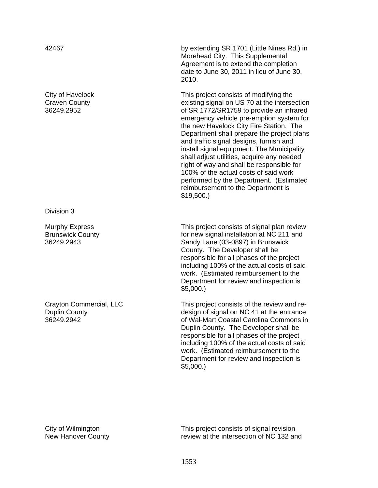City of Havelock Craven County 36249.2952

Division 3

Murphy Express Brunswick County 36249.2943

Crayton Commercial, LLC Duplin County 36249.2942

42467 by extending SR 1701 (Little Nines Rd.) in Morehead City. This Supplemental Agreement is to extend the completion date to June 30, 2011 in lieu of June 30, 2010.

> This project consists of modifying the existing signal on US 70 at the intersection of SR 1772/SR1759 to provide an infrared emergency vehicle pre-emption system for the new Havelock City Fire Station. The Department shall prepare the project plans and traffic signal designs, furnish and install signal equipment. The Municipality shall adjust utilities, acquire any needed right of way and shall be responsible for 100% of the actual costs of said work performed by the Department. (Estimated reimbursement to the Department is \$19,500.)

This project consists of signal plan review for new signal installation at NC 211 and Sandy Lane (03-0897) in Brunswick County. The Developer shall be responsible for all phases of the project including 100% of the actual costs of said work. (Estimated reimbursement to the Department for review and inspection is \$5,000.)

This project consists of the review and redesign of signal on NC 41 at the entrance of Wal-Mart Coastal Carolina Commons in Duplin County. The Developer shall be responsible for all phases of the project including 100% of the actual costs of said work. (Estimated reimbursement to the Department for review and inspection is \$5,000.)

City of Wilmington New Hanover County This project consists of signal revision review at the intersection of NC 132 and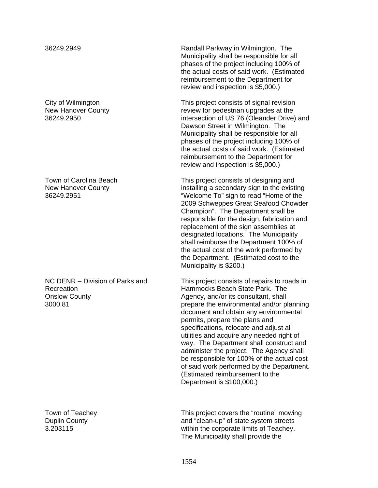City of Wilmington New Hanover County 36249.2950

Town of Carolina Beach New Hanover County 36249.2951

NC DENR – Division of Parks and Recreation Onslow County 3000.81

Town of Teachey Duplin County 3.203115

36249.2949 Randall Parkway in Wilmington. The Municipality shall be responsible for all phases of the project including 100% of the actual costs of said work. (Estimated reimbursement to the Department for review and inspection is \$5,000.)

> This project consists of signal revision review for pedestrian upgrades at the intersection of US 76 (Oleander Drive) and Dawson Street in Wilmington. The Municipality shall be responsible for all phases of the project including 100% of the actual costs of said work. (Estimated reimbursement to the Department for review and inspection is \$5,000.)

This project consists of designing and installing a secondary sign to the existing "Welcome To" sign to read "Home of the 2009 Schweppes Great Seafood Chowder Champion". The Department shall be responsible for the design, fabrication and replacement of the sign assemblies at designated locations. The Municipality shall reimburse the Department 100% of the actual cost of the work performed by the Department. (Estimated cost to the Municipality is \$200.)

This project consists of repairs to roads in Hammocks Beach State Park. The Agency, and/or its consultant, shall prepare the environmental and/or planning document and obtain any environmental permits, prepare the plans and specifications, relocate and adjust all utilities and acquire any needed right of way. The Department shall construct and administer the project. The Agency shall be responsible for 100% of the actual cost of said work performed by the Department. (Estimated reimbursement to the Department is \$100,000.)

This project covers the "routine" mowing and "clean-up" of state system streets within the corporate limits of Teachey. The Municipality shall provide the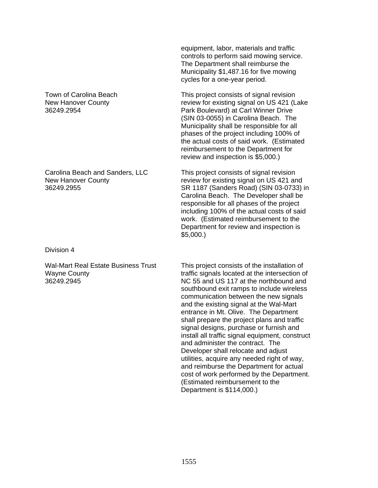Town of Carolina Beach New Hanover County 36249.2954

Carolina Beach and Sanders, LLC New Hanover County 36249.2955

Division 4

Wal-Mart Real Estate Business Trust Wayne County 36249.2945

equipment, labor, materials and traffic controls to perform said mowing service. The Department shall reimburse the Municipality \$1,487.16 for five mowing cycles for a one-year period.

This project consists of signal revision review for existing signal on US 421 (Lake Park Boulevard) at Carl Winner Drive (SIN 03-0055) in Carolina Beach. The Municipality shall be responsible for all phases of the project including 100% of the actual costs of said work. (Estimated reimbursement to the Department for review and inspection is \$5,000.)

This project consists of signal revision review for existing signal on US 421 and SR 1187 (Sanders Road) (SIN 03-0733) in Carolina Beach. The Developer shall be responsible for all phases of the project including 100% of the actual costs of said work. (Estimated reimbursement to the Department for review and inspection is \$5,000.)

This project consists of the installation of traffic signals located at the intersection of NC 55 and US 117 at the northbound and southbound exit ramps to include wireless communication between the new signals and the existing signal at the Wal-Mart entrance in Mt. Olive. The Department shall prepare the project plans and traffic signal designs, purchase or furnish and install all traffic signal equipment, construct and administer the contract. The Developer shall relocate and adjust utilities, acquire any needed right of way, and reimburse the Department for actual cost of work performed by the Department. (Estimated reimbursement to the Department is \$114,000.)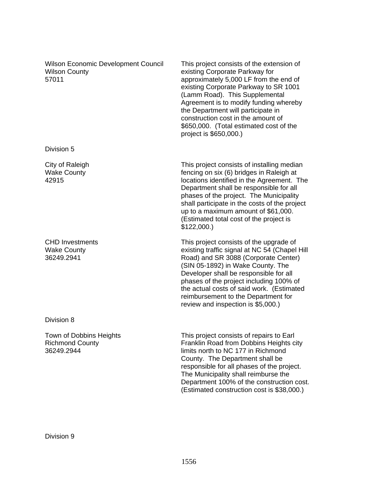Wilson Economic Development Council Wilson County 57011

Division 5

City of Raleigh Wake County 42915

CHD Investments Wake County 36249.2941

Division 8

Town of Dobbins Heights Richmond County 36249.2944

This project consists of the extension of existing Corporate Parkway for approximately 5,000 LF from the end of existing Corporate Parkway to SR 1001 (Lamm Road). This Supplemental Agreement is to modify funding whereby the Department will participate in construction cost in the amount of \$650,000. (Total estimated cost of the project is \$650,000.)

This project consists of installing median fencing on six (6) bridges in Raleigh at locations identified in the Agreement. The Department shall be responsible for all phases of the project. The Municipality shall participate in the costs of the project up to a maximum amount of \$61,000. (Estimated total cost of the project is \$122,000.)

This project consists of the upgrade of existing traffic signal at NC 54 (Chapel Hill Road) and SR 3088 (Corporate Center) (SIN 05-1892) in Wake County. The Developer shall be responsible for all phases of the project including 100% of the actual costs of said work. (Estimated reimbursement to the Department for review and inspection is \$5,000.)

This project consists of repairs to Earl Franklin Road from Dobbins Heights city limits north to NC 177 in Richmond County. The Department shall be responsible for all phases of the project. The Municipality shall reimburse the Department 100% of the construction cost. (Estimated construction cost is \$38,000.)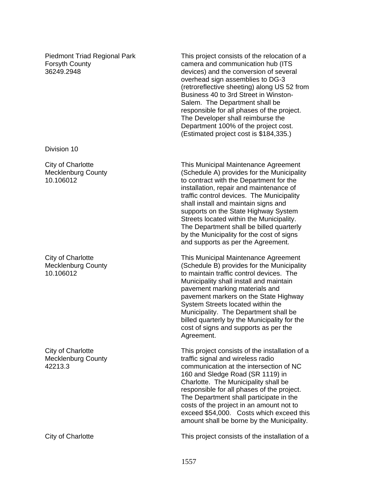Piedmont Triad Regional Park Forsyth County 36249.2948

Division 10

City of Charlotte Mecklenburg County 10.106012

City of Charlotte Mecklenburg County 10.106012

City of Charlotte Mecklenburg County 42213.3

This project consists of the relocation of a camera and communication hub (ITS devices) and the conversion of several overhead sign assemblies to DG-3 (retroreflective sheeting) along US 52 from Business 40 to 3rd Street in Winston-Salem. The Department shall be responsible for all phases of the project. The Developer shall reimburse the Department 100% of the project cost. (Estimated project cost is \$184,335.)

This Municipal Maintenance Agreement (Schedule A) provides for the Municipality to contract with the Department for the installation, repair and maintenance of traffic control devices. The Municipality shall install and maintain signs and supports on the State Highway System Streets located within the Municipality. The Department shall be billed quarterly by the Municipality for the cost of signs and supports as per the Agreement.

This Municipal Maintenance Agreement (Schedule B) provides for the Municipality to maintain traffic control devices. The Municipality shall install and maintain pavement marking materials and pavement markers on the State Highway System Streets located within the Municipality. The Department shall be billed quarterly by the Municipality for the cost of signs and supports as per the Agreement.

This project consists of the installation of a traffic signal and wireless radio communication at the intersection of NC 160 and Sledge Road (SR 1119) in Charlotte. The Municipality shall be responsible for all phases of the project. The Department shall participate in the costs of the project in an amount not to exceed \$54,000. Costs which exceed this amount shall be borne by the Municipality.

City of Charlotte This project consists of the installation of a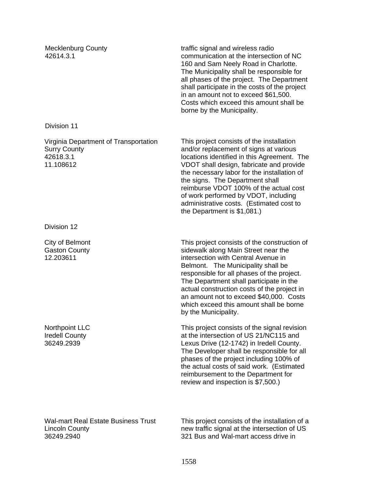Mecklenburg County 42614.3.1

traffic signal and wireless radio communication at the intersection of NC 160 and Sam Neely Road in Charlotte. The Municipality shall be responsible for all phases of the project. The Department shall participate in the costs of the project in an amount not to exceed \$61,500. Costs which exceed this amount shall be borne by the Municipality.

Virginia Department of Transportation Surry County 42618.3.1 11.108612

Division 12

Division 11

City of Belmont Gaston County 12.203611

Northpoint LLC Iredell County 36249.2939

Wal-mart Real Estate Business Trust Lincoln County 36249.2940

This project consists of the installation and/or replacement of signs at various locations identified in this Agreement. The VDOT shall design, fabricate and provide the necessary labor for the installation of the signs. The Department shall reimburse VDOT 100% of the actual cost of work performed by VDOT, including administrative costs. (Estimated cost to the Department is \$1,081.)

This project consists of the construction of sidewalk along Main Street near the intersection with Central Avenue in Belmont. The Municipality shall be responsible for all phases of the project. The Department shall participate in the actual construction costs of the project in an amount not to exceed \$40,000. Costs which exceed this amount shall be borne by the Municipality.

This project consists of the signal revision at the intersection of US 21/NC115 and Lexus Drive (12-1742) in Iredell County. The Developer shall be responsible for all phases of the project including 100% of the actual costs of said work. (Estimated reimbursement to the Department for review and inspection is \$7,500.)

This project consists of the installation of a new traffic signal at the intersection of US 321 Bus and Wal-mart access drive in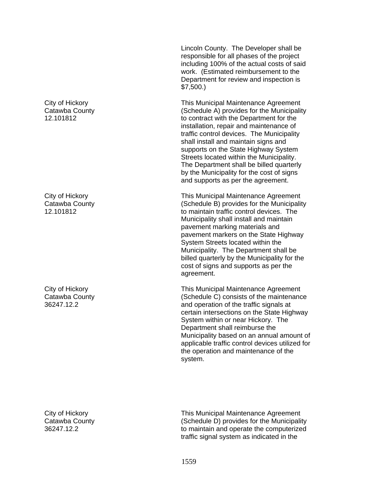City of Hickory Catawba County 12.101812

City of Hickory Catawba County 12.101812

City of Hickory Catawba County 36247.12.2

City of Hickory Catawba County 36247.12.2

Lincoln County. The Developer shall be responsible for all phases of the project including 100% of the actual costs of said work. (Estimated reimbursement to the Department for review and inspection is \$7,500.)

This Municipal Maintenance Agreement (Schedule A) provides for the Municipality to contract with the Department for the installation, repair and maintenance of traffic control devices. The Municipality shall install and maintain signs and supports on the State Highway System Streets located within the Municipality. The Department shall be billed quarterly by the Municipality for the cost of signs and supports as per the agreement.

This Municipal Maintenance Agreement (Schedule B) provides for the Municipality to maintain traffic control devices. The Municipality shall install and maintain pavement marking materials and pavement markers on the State Highway System Streets located within the Municipality. The Department shall be billed quarterly by the Municipality for the cost of signs and supports as per the agreement.

This Municipal Maintenance Agreement (Schedule C) consists of the maintenance and operation of the traffic signals at certain intersections on the State Highway System within or near Hickory. The Department shall reimburse the Municipality based on an annual amount of applicable traffic control devices utilized for the operation and maintenance of the system.

This Municipal Maintenance Agreement (Schedule D) provides for the Municipality to maintain and operate the computerized traffic signal system as indicated in the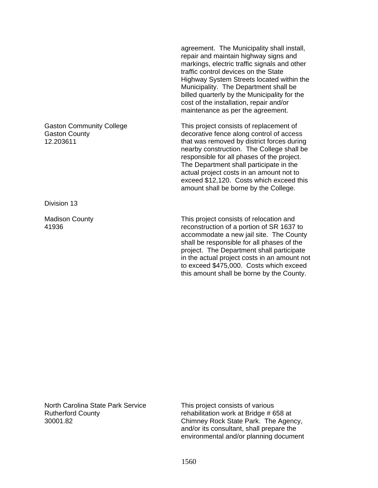agreement. The Municipality shall install, repair and maintain highway signs and markings, electric traffic signals and other traffic control devices on the State Highway System Streets located within the Municipality. The Department shall be billed quarterly by the Municipality for the cost of the installation, repair and/or maintenance as per the agreement.

This project consists of replacement of decorative fence along control of access that was removed by district forces during nearby construction. The College shall be responsible for all phases of the project. The Department shall participate in the actual project costs in an amount not to exceed \$12,120. Costs which exceed this amount shall be borne by the College.

This project consists of relocation and reconstruction of a portion of SR 1637 to accommodate a new jail site. The County shall be responsible for all phases of the project. The Department shall participate in the actual project costs in an amount not to exceed \$475,000. Costs which exceed this amount shall be borne by the County.

North Carolina State Park Service Rutherford County 30001.82

Gaston Community College

Gaston County 12.203611

Division 13

41936

Madison County

This project consists of various rehabilitation work at Bridge # 658 at Chimney Rock State Park. The Agency, and/or its consultant, shall prepare the environmental and/or planning document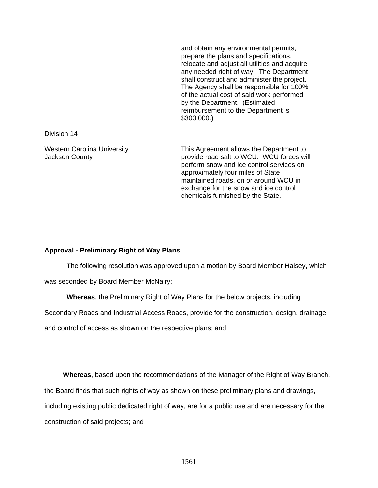and obtain any environmental permits, prepare the plans and specifications, relocate and adjust all utilities and acquire any needed right of way. The Department shall construct and administer the project. The Agency shall be responsible for 100% of the actual cost of said work performed by the Department. (Estimated reimbursement to the Department is \$300,000.)

Division 14

Western Carolina University Jackson County

This Agreement allows the Department to provide road salt to WCU. WCU forces will perform snow and ice control services on approximately four miles of State maintained roads, on or around WCU in exchange for the snow and ice control chemicals furnished by the State.

### **Approval - Preliminary Right of Way Plans**

The following resolution was approved upon a motion by Board Member Halsey, which

was seconded by Board Member McNairy:

**Whereas**, the Preliminary Right of Way Plans for the below projects, including

Secondary Roads and Industrial Access Roads, provide for the construction, design, drainage

and control of access as shown on the respective plans; and

**Whereas**, based upon the recommendations of the Manager of the Right of Way Branch,

the Board finds that such rights of way as shown on these preliminary plans and drawings,

including existing public dedicated right of way, are for a public use and are necessary for the

construction of said projects; and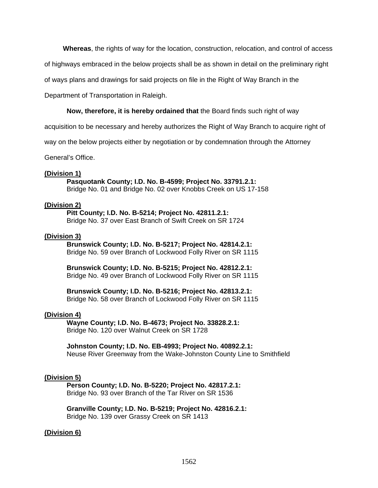**Whereas**, the rights of way for the location, construction, relocation, and control of access

of highways embraced in the below projects shall be as shown in detail on the preliminary right

of ways plans and drawings for said projects on file in the Right of Way Branch in the

Department of Transportation in Raleigh.

### **Now, therefore, it is hereby ordained that** the Board finds such right of way

acquisition to be necessary and hereby authorizes the Right of Way Branch to acquire right of

way on the below projects either by negotiation or by condemnation through the Attorney

General's Office.

## **(Division 1)**

 **Pasquotank County; I.D. No. B-4599; Project No. 33791.2.1:**  Bridge No. 01 and Bridge No. 02 over Knobbs Creek on US 17-158

#### **(Division 2)**

 **Pitt County; I.D. No. B-5214; Project No. 42811.2.1:**  Bridge No. 37 over East Branch of Swift Creek on SR 1724

#### **(Division 3)**

 **Brunswick County; I.D. No. B-5217; Project No. 42814.2.1:**  Bridge No. 59 over Branch of Lockwood Folly River on SR 1115

 **Brunswick County; I.D. No. B-5215; Project No. 42812.2.1:**  Bridge No. 49 over Branch of Lockwood Folly River on SR 1115

**Brunswick County; I.D. No. B-5216; Project No. 42813.2.1:**  Bridge No. 58 over Branch of Lockwood Folly River on SR 1115

#### **(Division 4)**

 **Wayne County; I.D. No. B-4673; Project No. 33828.2.1:**  Bridge No. 120 over Walnut Creek on SR 1728

**Johnston County; I.D. No. EB-4993; Project No. 40892.2.1:**  Neuse River Greenway from the Wake-Johnston County Line to Smithfield

#### **(Division 5)**

 **Person County; I.D. No. B-5220; Project No. 42817.2.1:**  Bridge No. 93 over Branch of the Tar River on SR 1536

**Granville County; I.D. No. B-5219; Project No. 42816.2.1:**  Bridge No. 139 over Grassy Creek on SR 1413

#### **(Division 6)**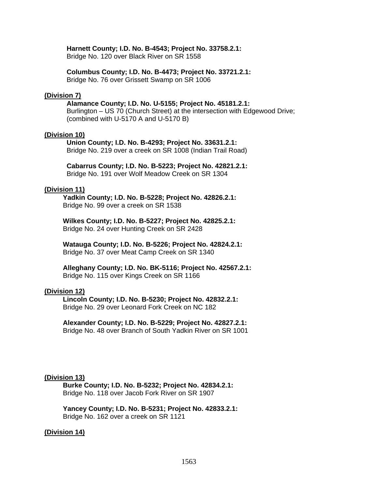#### **Harnett County; I.D. No. B-4543; Project No. 33758.2.1:**

Bridge No. 120 over Black River on SR 1558

#### **Columbus County; I.D. No. B-4473; Project No. 33721.2.1:**

Bridge No. 76 over Grissett Swamp on SR 1006

# **(Division 7)**

#### **Alamance County; I.D. No. U-5155; Project No. 45181.2.1:**

Burlington – US 70 (Church Street) at the intersection with Edgewood Drive; (combined with U-5170 A and U-5170 B)

#### **(Division 10)**

 **Union County; I.D. No. B-4293; Project No. 33631.2.1:**  Bridge No. 219 over a creek on SR 1008 (Indian Trail Road)

#### **Cabarrus County; I.D. No. B-5223; Project No. 42821.2.1:**  Bridge No. 191 over Wolf Meadow Creek on SR 1304

#### **(Division 11)**

 **Yadkin County; I.D. No. B-5228; Project No. 42826.2.1:**  Bridge No. 99 over a creek on SR 1538

**Wilkes County; I.D. No. B-5227; Project No. 42825.2.1:**  Bridge No. 24 over Hunting Creek on SR 2428

**Watauga County; I.D. No. B-5226; Project No. 42824.2.1:**  Bridge No. 37 over Meat Camp Creek on SR 1340

**Alleghany County; I.D. No. BK-5116; Project No. 42567.2.1:**  Bridge No. 115 over Kings Creek on SR 1166

#### **(Division 12)**

 **Lincoln County; I.D. No. B-5230; Project No. 42832.2.1:**  Bridge No. 29 over Leonard Fork Creek on NC 182

**Alexander County; I.D. No. B-5229; Project No. 42827.2.1:**  Bridge No. 48 over Branch of South Yadkin River on SR 1001

#### **(Division 13)**

 **Burke County; I.D. No. B-5232; Project No. 42834.2.1:**  Bridge No. 118 over Jacob Fork River on SR 1907

**Yancey County; I.D. No. B-5231; Project No. 42833.2.1:**  Bridge No. 162 over a creek on SR 1121

#### **(Division 14)**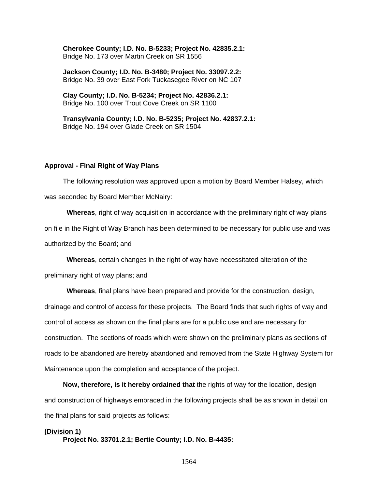**Cherokee County; I.D. No. B-5233; Project No. 42835.2.1:**  Bridge No. 173 over Martin Creek on SR 1556

**Jackson County; I.D. No. B-3480; Project No. 33097.2.2:**  Bridge No. 39 over East Fork Tuckasegee River on NC 107

**Clay County; I.D. No. B-5234; Project No. 42836.2.1:**  Bridge No. 100 over Trout Cove Creek on SR 1100

**Transylvania County; I.D. No. B-5235; Project No. 42837.2.1:**  Bridge No. 194 over Glade Creek on SR 1504

#### **Approval - Final Right of Way Plans**

The following resolution was approved upon a motion by Board Member Halsey, which was seconded by Board Member McNairy:

**Whereas**, right of way acquisition in accordance with the preliminary right of way plans on file in the Right of Way Branch has been determined to be necessary for public use and was authorized by the Board; and

**Whereas**, certain changes in the right of way have necessitated alteration of the

preliminary right of way plans; and

**Whereas**, final plans have been prepared and provide for the construction, design, drainage and control of access for these projects. The Board finds that such rights of way and control of access as shown on the final plans are for a public use and are necessary for construction. The sections of roads which were shown on the preliminary plans as sections of roads to be abandoned are hereby abandoned and removed from the State Highway System for Maintenance upon the completion and acceptance of the project.

**Now, therefore, is it hereby ordained that** the rights of way for the location, design and construction of highways embraced in the following projects shall be as shown in detail on the final plans for said projects as follows:

#### **(Division 1)**

 **Project No. 33701.2.1; Bertie County; I.D. No. B-4435:**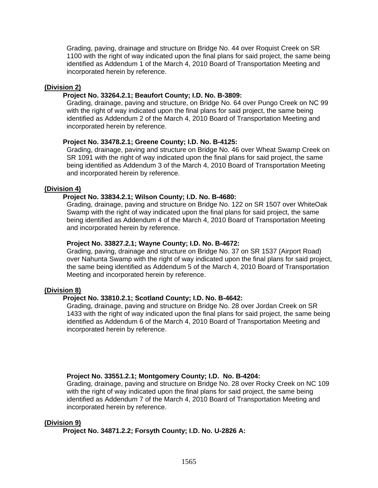Grading, paving, drainage and structure on Bridge No. 44 over Roquist Creek on SR 1100 with the right of way indicated upon the final plans for said project, the same being identified as Addendum 1 of the March 4, 2010 Board of Transportation Meeting and incorporated herein by reference.

### **(Division 2)**

# **Project No. 33264.2.1; Beaufort County; I.D. No. B-3809:**

Grading, drainage, paving and structure, on Bridge No. 64 over Pungo Creek on NC 99 with the right of way indicated upon the final plans for said project, the same being identified as Addendum 2 of the March 4, 2010 Board of Transportation Meeting and incorporated herein by reference.

## **Project No. 33478.2.1; Greene County; I.D. No. B-4125:**

Grading, drainage, paving and structure on Bridge No. 46 over Wheat Swamp Creek on SR 1091 with the right of way indicated upon the final plans for said project, the same being identified as Addendum 3 of the March 4, 2010 Board of Transportation Meeting and incorporated herein by reference.

## **(Division 4)**

## **Project No. 33834.2.1; Wilson County; I.D. No. B-4680:**

Grading, drainage, paving and structure on Bridge No. 122 on SR 1507 over WhiteOak Swamp with the right of way indicated upon the final plans for said project, the same being identified as Addendum 4 of the March 4, 2010 Board of Transportation Meeting and incorporated herein by reference.

#### **Project No. 33827.2.1; Wayne County; I.D. No. B-4672:**

Grading, paving, drainage and structure on Bridge No. 37 on SR 1537 (Airport Road) over Nahunta Swamp with the right of way indicated upon the final plans for said project, the same being identified as Addendum 5 of the March 4, 2010 Board of Transportation Meeting and incorporated herein by reference.

#### **(Division 8)**

# **Project No. 33810.2.1; Scotland County; I.D. No. B-4642:**

Grading, drainage, paving and structure on Bridge No. 28 over Jordan Creek on SR 1433 with the right of way indicated upon the final plans for said project, the same being identified as Addendum 6 of the March 4, 2010 Board of Transportation Meeting and incorporated herein by reference.

# **Project No. 33551.2.1; Montgomery County; I.D. No. B-4204:**

Grading, drainage, paving and structure on Bridge No. 28 over Rocky Creek on NC 109 with the right of way indicated upon the final plans for said project, the same being identified as Addendum 7 of the March 4, 2010 Board of Transportation Meeting and incorporated herein by reference.

#### **(Division 9)**

 **Project No. 34871.2.2; Forsyth County; I.D. No. U-2826 A:**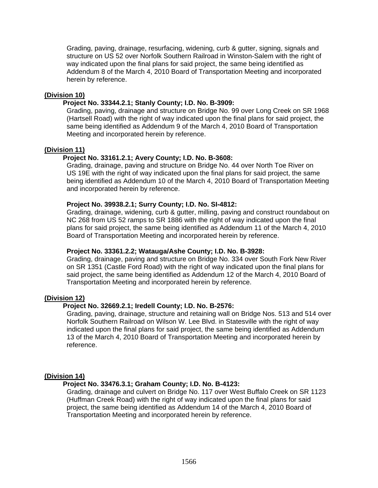Grading, paving, drainage, resurfacing, widening, curb & gutter, signing, signals and structure on US 52 over Norfolk Southern Railroad in Winston-Salem with the right of way indicated upon the final plans for said project, the same being identified as Addendum 8 of the March 4, 2010 Board of Transportation Meeting and incorporated herein by reference.

## **(Division 10)**

## **Project No. 33344.2.1; Stanly County; I.D. No. B-3909:**

Grading, paving, drainage and structure on Bridge No. 99 over Long Creek on SR 1968 (Hartsell Road) with the right of way indicated upon the final plans for said project, the same being identified as Addendum 9 of the March 4, 2010 Board of Transportation Meeting and incorporated herein by reference.

## **(Division 11)**

# **Project No. 33161.2.1; Avery County; I.D. No. B-3608:**

Grading, drainage, paving and structure on Bridge No. 44 over North Toe River on US 19E with the right of way indicated upon the final plans for said project, the same being identified as Addendum 10 of the March 4, 2010 Board of Transportation Meeting and incorporated herein by reference.

## **Project No. 39938.2.1; Surry County; I.D. No. SI-4812:**

Grading, drainage, widening, curb & gutter, milling, paving and construct roundabout on NC 268 from US 52 ramps to SR 1886 with the right of way indicated upon the final plans for said project, the same being identified as Addendum 11 of the March 4, 2010 Board of Transportation Meeting and incorporated herein by reference.

#### **Project No. 33361.2.2; Watauga/Ashe County; I.D. No. B-3928:**

Grading, drainage, paving and structure on Bridge No. 334 over South Fork New River on SR 1351 (Castle Ford Road) with the right of way indicated upon the final plans for said project, the same being identified as Addendum 12 of the March 4, 2010 Board of Transportation Meeting and incorporated herein by reference.

# **(Division 12)**

# **Project No. 32669.2.1; Iredell County; I.D. No. B-2576:**

Grading, paving, drainage, structure and retaining wall on Bridge Nos. 513 and 514 over Norfolk Southern Railroad on Wilson W. Lee Blvd. in Statesville with the right of way indicated upon the final plans for said project, the same being identified as Addendum 13 of the March 4, 2010 Board of Transportation Meeting and incorporated herein by reference.

# **(Division 14)**

#### **Project No. 33476.3.1; Graham County; I.D. No. B-4123:**

Grading, drainage and culvert on Bridge No. 117 over West Buffalo Creek on SR 1123 (Huffman Creek Road) with the right of way indicated upon the final plans for said project, the same being identified as Addendum 14 of the March 4, 2010 Board of Transportation Meeting and incorporated herein by reference.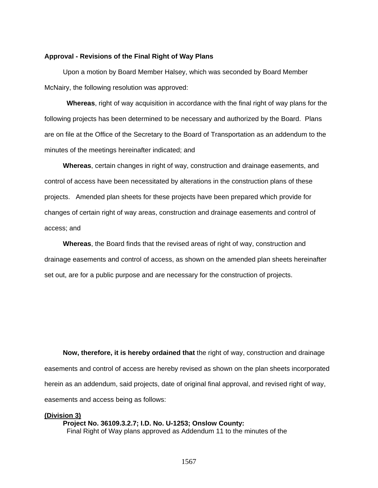#### **Approval - Revisions of the Final Right of Way Plans**

 Upon a motion by Board Member Halsey, which was seconded by Board Member McNairy, the following resolution was approved:

**Whereas**, right of way acquisition in accordance with the final right of way plans for the following projects has been determined to be necessary and authorized by the Board. Plans are on file at the Office of the Secretary to the Board of Transportation as an addendum to the minutes of the meetings hereinafter indicated; and

**Whereas**, certain changes in right of way, construction and drainage easements, and control of access have been necessitated by alterations in the construction plans of these projects. Amended plan sheets for these projects have been prepared which provide for changes of certain right of way areas, construction and drainage easements and control of access; and

**Whereas**, the Board finds that the revised areas of right of way, construction and drainage easements and control of access, as shown on the amended plan sheets hereinafter set out, are for a public purpose and are necessary for the construction of projects.

**Now, therefore, it is hereby ordained that** the right of way, construction and drainage easements and control of access are hereby revised as shown on the plan sheets incorporated herein as an addendum, said projects, date of original final approval, and revised right of way, easements and access being as follows:

**(Division 3) Project No. 36109.3.2.7; I.D. No. U-1253; Onslow County:**  Final Right of Way plans approved as Addendum 11 to the minutes of the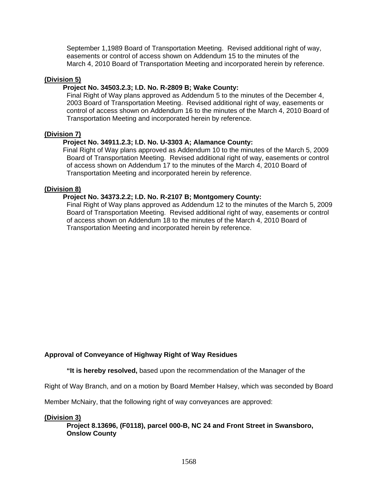September 1,1989 Board of Transportation Meeting. Revised additional right of way, easements or control of access shown on Addendum 15 to the minutes of the March 4, 2010 Board of Transportation Meeting and incorporated herein by reference.

## **(Division 5)**

## **Project No. 34503.2.3; I.D. No. R-2809 B; Wake County:**

Final Right of Way plans approved as Addendum 5 to the minutes of the December 4, 2003 Board of Transportation Meeting. Revised additional right of way, easements or control of access shown on Addendum 16 to the minutes of the March 4, 2010 Board of Transportation Meeting and incorporated herein by reference.

## **(Division 7)**

# **Project No. 34911.2.3; I.D. No. U-3303 A; Alamance County:**

Final Right of Way plans approved as Addendum 10 to the minutes of the March 5, 2009 Board of Transportation Meeting. Revised additional right of way, easements or control of access shown on Addendum 17 to the minutes of the March 4, 2010 Board of Transportation Meeting and incorporated herein by reference.

## **(Division 8)**

## **Project No. 34373.2.2; I.D. No. R-2107 B; Montgomery County:**

Final Right of Way plans approved as Addendum 12 to the minutes of the March 5, 2009 Board of Transportation Meeting. Revised additional right of way, easements or control of access shown on Addendum 18 to the minutes of the March 4, 2010 Board of Transportation Meeting and incorporated herein by reference.

# **Approval of Conveyance of Highway Right of Way Residues**

 **"It is hereby resolved,** based upon the recommendation of the Manager of the

Right of Way Branch, and on a motion by Board Member Halsey, which was seconded by Board

Member McNairy, that the following right of way conveyances are approved:

#### **(Division 3)**

**Project 8.13696, (F0118), parcel 000-B, NC 24 and Front Street in Swansboro, Onslow County**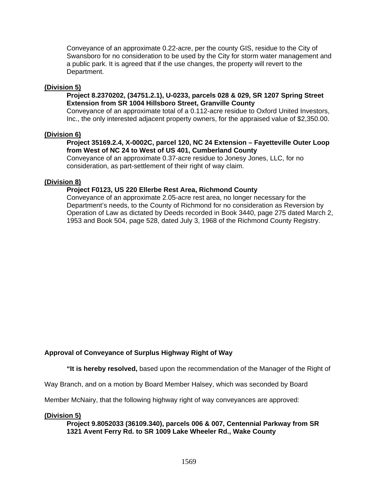Conveyance of an approximate 0.22-acre, per the county GIS, residue to the City of Swansboro for no consideration to be used by the City for storm water management and a public park. It is agreed that if the use changes, the property will revert to the Department.

## **(Division 5)**

## **Project 8.2370202, (34751.2.1), U-0233, parcels 028 & 029, SR 1207 Spring Street Extension from SR 1004 Hillsboro Street, Granville County**

Conveyance of an approximate total of a 0.112-acre residue to Oxford United Investors, Inc., the only interested adjacent property owners, for the appraised value of \$2,350.00.

## **(Division 6)**

## **Project 35169.2.4, X-0002C, parcel 120, NC 24 Extension – Fayetteville Outer Loop from West of NC 24 to West of US 401, Cumberland County**

Conveyance of an approximate 0.37-acre residue to Jonesy Jones, LLC, for no consideration, as part-settlement of their right of way claim.

## **(Division 8)**

## **Project F0123, US 220 Ellerbe Rest Area, Richmond County**

Conveyance of an approximate 2.05-acre rest area, no longer necessary for the Department's needs, to the County of Richmond for no consideration as Reversion by Operation of Law as dictated by Deeds recorded in Book 3440, page 275 dated March 2, 1953 and Book 504, page 528, dated July 3, 1968 of the Richmond County Registry.

# **Approval of Conveyance of Surplus Highway Right of Way**

 **"It is hereby resolved,** based upon the recommendation of the Manager of the Right of

Way Branch, and on a motion by Board Member Halsey, which was seconded by Board

Member McNairy, that the following highway right of way conveyances are approved:

# **(Division 5)**

**Project 9.8052033 (36109.340), parcels 006 & 007, Centennial Parkway from SR 1321 Avent Ferry Rd. to SR 1009 Lake Wheeler Rd., Wake County**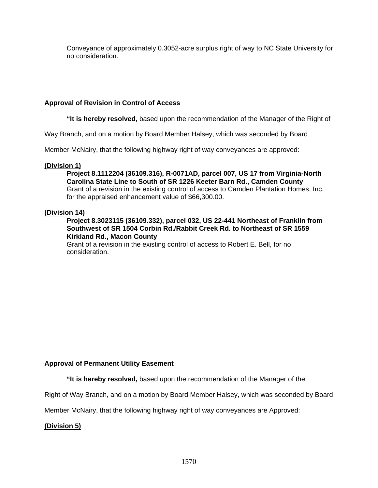Conveyance of approximately 0.3052-acre surplus right of way to NC State University for no consideration.

## **Approval of Revision in Control of Access**

 **"It is hereby resolved,** based upon the recommendation of the Manager of the Right of

Way Branch, and on a motion by Board Member Halsey, which was seconded by Board

Member McNairy, that the following highway right of way conveyances are approved:

#### **(Division 1)**

**Project 8.1112204 (36109.316), R-0071AD, parcel 007, US 17 from Virginia-North Carolina State Line to South of SR 1226 Keeter Barn Rd., Camden County**  Grant of a revision in the existing control of access to Camden Plantation Homes, Inc. for the appraised enhancement value of \$66,300.00.

#### **(Division 14)**

# **Project 8.3023115 (36109.332), parcel 032, US 22-441 Northeast of Franklin from Southwest of SR 1504 Corbin Rd./Rabbit Creek Rd. to Northeast of SR 1559 Kirkland Rd., Macon County**

Grant of a revision in the existing control of access to Robert E. Bell, for no consideration.

#### **Approval of Permanent Utility Easement**

 **"It is hereby resolved,** based upon the recommendation of the Manager of the

Right of Way Branch, and on a motion by Board Member Halsey, which was seconded by Board

Member McNairy, that the following highway right of way conveyances are Approved:

#### **(Division 5)**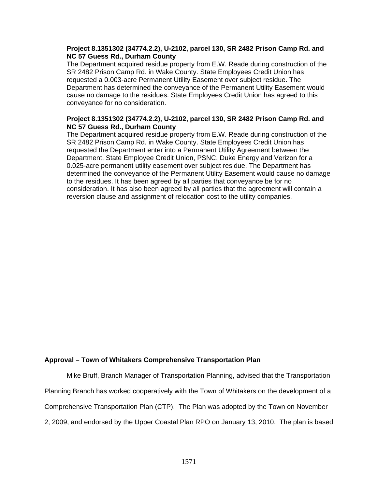### **Project 8.1351302 (34774.2.2), U-2102, parcel 130, SR 2482 Prison Camp Rd. and NC 57 Guess Rd., Durham County**

The Department acquired residue property from E.W. Reade during construction of the SR 2482 Prison Camp Rd. in Wake County. State Employees Credit Union has requested a 0.003-acre Permanent Utility Easement over subject residue. The Department has determined the conveyance of the Permanent Utility Easement would cause no damage to the residues. State Employees Credit Union has agreed to this conveyance for no consideration.

## **Project 8.1351302 (34774.2.2), U-2102, parcel 130, SR 2482 Prison Camp Rd. and NC 57 Guess Rd., Durham County**

The Department acquired residue property from E.W. Reade during construction of the SR 2482 Prison Camp Rd. in Wake County. State Employees Credit Union has requested the Department enter into a Permanent Utility Agreement between the Department, State Employee Credit Union, PSNC, Duke Energy and Verizon for a 0.025-acre permanent utility easement over subject residue. The Department has determined the conveyance of the Permanent Utility Easement would cause no damage to the residues. It has been agreed by all parties that conveyance be for no consideration. It has also been agreed by all parties that the agreement will contain a reversion clause and assignment of relocation cost to the utility companies.

#### **Approval – Town of Whitakers Comprehensive Transportation Plan**

Mike Bruff, Branch Manager of Transportation Planning, advised that the Transportation Planning Branch has worked cooperatively with the Town of Whitakers on the development of a Comprehensive Transportation Plan (CTP). The Plan was adopted by the Town on November 2, 2009, and endorsed by the Upper Coastal Plan RPO on January 13, 2010. The plan is based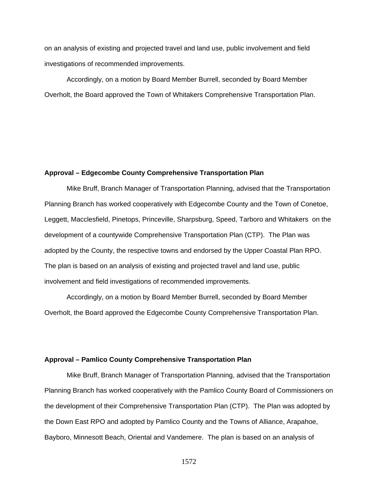on an analysis of existing and projected travel and land use, public involvement and field investigations of recommended improvements.

Accordingly, on a motion by Board Member Burrell, seconded by Board Member Overholt, the Board approved the Town of Whitakers Comprehensive Transportation Plan.

#### **Approval – Edgecombe County Comprehensive Transportation Plan**

Mike Bruff, Branch Manager of Transportation Planning, advised that the Transportation Planning Branch has worked cooperatively with Edgecombe County and the Town of Conetoe, Leggett, Macclesfield, Pinetops, Princeville, Sharpsburg, Speed, Tarboro and Whitakers on the development of a countywide Comprehensive Transportation Plan (CTP). The Plan was adopted by the County, the respective towns and endorsed by the Upper Coastal Plan RPO. The plan is based on an analysis of existing and projected travel and land use, public involvement and field investigations of recommended improvements.

Accordingly, on a motion by Board Member Burrell, seconded by Board Member Overholt, the Board approved the Edgecombe County Comprehensive Transportation Plan.

#### **Approval – Pamlico County Comprehensive Transportation Plan**

Mike Bruff, Branch Manager of Transportation Planning, advised that the Transportation Planning Branch has worked cooperatively with the Pamlico County Board of Commissioners on the development of their Comprehensive Transportation Plan (CTP). The Plan was adopted by the Down East RPO and adopted by Pamlico County and the Towns of Alliance, Arapahoe, Bayboro, Minnesott Beach, Oriental and Vandemere. The plan is based on an analysis of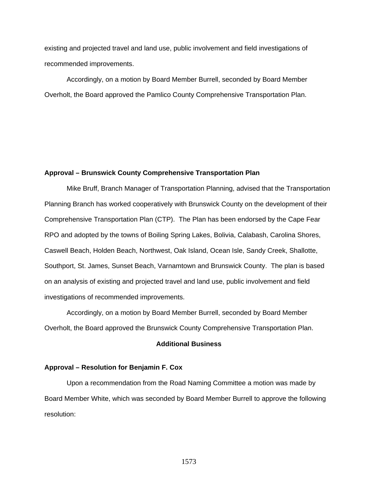existing and projected travel and land use, public involvement and field investigations of recommended improvements.

Accordingly, on a motion by Board Member Burrell, seconded by Board Member Overholt, the Board approved the Pamlico County Comprehensive Transportation Plan.

#### **Approval – Brunswick County Comprehensive Transportation Plan**

Mike Bruff, Branch Manager of Transportation Planning, advised that the Transportation Planning Branch has worked cooperatively with Brunswick County on the development of their Comprehensive Transportation Plan (CTP). The Plan has been endorsed by the Cape Fear RPO and adopted by the towns of Boiling Spring Lakes, Bolivia, Calabash, Carolina Shores, Caswell Beach, Holden Beach, Northwest, Oak Island, Ocean Isle, Sandy Creek, Shallotte, Southport, St. James, Sunset Beach, Varnamtown and Brunswick County. The plan is based on an analysis of existing and projected travel and land use, public involvement and field investigations of recommended improvements.

Accordingly, on a motion by Board Member Burrell, seconded by Board Member Overholt, the Board approved the Brunswick County Comprehensive Transportation Plan.

#### **Additional Business**

#### **Approval – Resolution for Benjamin F. Cox**

Upon a recommendation from the Road Naming Committee a motion was made by Board Member White, which was seconded by Board Member Burrell to approve the following resolution: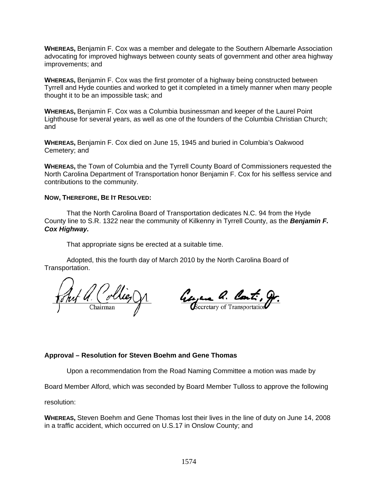**WHEREAS,** Benjamin F. Cox was a member and delegate to the Southern Albemarle Association advocating for improved highways between county seats of government and other area highway improvements; and

**WHEREAS,** Benjamin F. Cox was the first promoter of a highway being constructed between Tyrrell and Hyde counties and worked to get it completed in a timely manner when many people thought it to be an impossible task; and

**WHEREAS,** Benjamin F. Cox was a Columbia businessman and keeper of the Laurel Point Lighthouse for several years, as well as one of the founders of the Columbia Christian Church; and

**WHEREAS,** Benjamin F. Cox died on June 15, 1945 and buried in Columbia's Oakwood Cemetery; and

**WHEREAS,** the Town of Columbia and the Tyrrell County Board of Commissioners requested the North Carolina Department of Transportation honor Benjamin F. Cox for his selfless service and contributions to the community.

#### **NOW, THEREFORE, BE IT RESOLVED:**

That the North Carolina Board of Transportation dedicates N.C. 94 from the Hyde County line to S.R. 1322 near the community of Kilkenny in Tyrrell County, as the *Benjamin F. Cox Highway.* 

That appropriate signs be erected at a suitable time.

 Adopted, this the fourth day of March 2010 by the North Carolina Board of Transportation.

Pollies

Georgene Q. Cont. g.

# **Approval – Resolution for Steven Boehm and Gene Thomas**

Upon a recommendation from the Road Naming Committee a motion was made by

Board Member Alford, which was seconded by Board Member Tulloss to approve the following

resolution:

**WHEREAS,** Steven Boehm and Gene Thomas lost their lives in the line of duty on June 14, 2008 in a traffic accident, which occurred on U.S.17 in Onslow County; and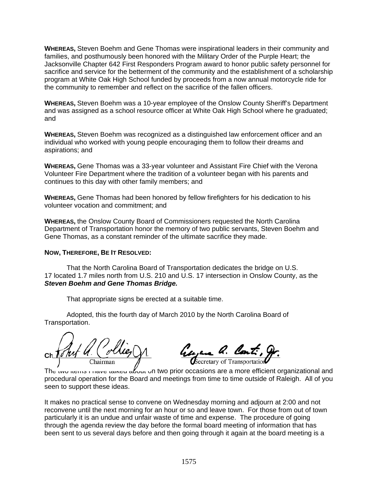**WHEREAS,** Steven Boehm and Gene Thomas were inspirational leaders in their community and families, and posthumously been honored with the Military Order of the Purple Heart; the Jacksonville Chapter 642 First Responders Program award to honor public safety personnel for sacrifice and service for the betterment of the community and the establishment of a scholarship program at White Oak High School funded by proceeds from a now annual motorcycle ride for the community to remember and reflect on the sacrifice of the fallen officers.

**WHEREAS,** Steven Boehm was a 10-year employee of the Onslow County Sheriff's Department and was assigned as a school resource officer at White Oak High School where he graduated; and

**WHEREAS,** Steven Boehm was recognized as a distinguished law enforcement officer and an individual who worked with young people encouraging them to follow their dreams and aspirations; and

**WHEREAS,** Gene Thomas was a 33-year volunteer and Assistant Fire Chief with the Verona Volunteer Fire Department where the tradition of a volunteer began with his parents and continues to this day with other family members; and

**WHEREAS,** Gene Thomas had been honored by fellow firefighters for his dedication to his volunteer vocation and commitment; and

**WHEREAS,** the Onslow County Board of Commissioners requested the North Carolina Department of Transportation honor the memory of two public servants, Steven Boehm and Gene Thomas, as a constant reminder of the ultimate sacrifice they made.

# **NOW, THEREFORE, BE IT RESOLVED:**

That the North Carolina Board of Transportation dedicates the bridge on U.S. 17 located 1.7 miles north from U.S. 210 and U.S. 17 intersection in Onslow County, as the *Steven Boehm and Gene Thomas Bridge.* 

That appropriate signs be erected at a suitable time.

 Adopted, this the fourth day of March 2010 by the North Carolina Board of Transportation.

Chairman' Com

anno a. Con Secretary of Transportation

The two items I have talked about on two prior occasions are a more efficient organizational and procedural operation for the Board and meetings from time to time outside of Raleigh. All of you seen to support these ideas.

It makes no practical sense to convene on Wednesday morning and adjourn at 2:00 and not reconvene until the next morning for an hour or so and leave town. For those from out of town particularly it is an undue and unfair waste of time and expense. The procedure of going through the agenda review the day before the formal board meeting of information that has been sent to us several days before and then going through it again at the board meeting is a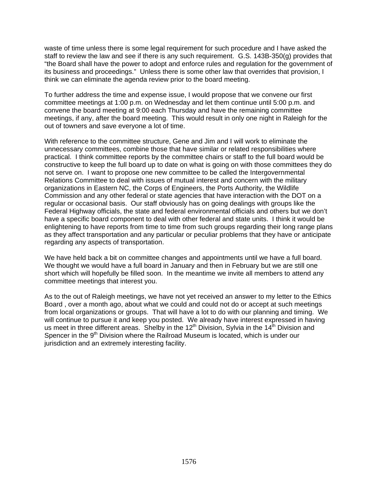waste of time unless there is some legal requirement for such procedure and I have asked the staff to review the law and see if there is any such requirement. G.S. 143B-350(g) provides that "the Board shall have the power to adopt and enforce rules and regulation for the government of its business and proceedings." Unless there is some other law that overrides that provision, I think we can eliminate the agenda review prior to the board meeting.

To further address the time and expense issue, I would propose that we convene our first committee meetings at 1:00 p.m. on Wednesday and let them continue until 5:00 p.m. and convene the board meeting at 9:00 each Thursday and have the remaining committee meetings, if any, after the board meeting. This would result in only one night in Raleigh for the out of towners and save everyone a lot of time.

With reference to the committee structure, Gene and Jim and I will work to eliminate the unnecessary committees, combine those that have similar or related responsibilities where practical. I think committee reports by the committee chairs or staff to the full board would be constructive to keep the full board up to date on what is going on with those committees they do not serve on. I want to propose one new committee to be called the Intergovernmental Relations Committee to deal with issues of mutual interest and concern with the military organizations in Eastern NC, the Corps of Engineers, the Ports Authority, the Wildlife Commission and any other federal or state agencies that have interaction with the DOT on a regular or occasional basis. Our staff obviously has on going dealings with groups like the Federal Highway officials, the state and federal environmental officials and others but we don't have a specific board component to deal with other federal and state units. I think it would be enlightening to have reports from time to time from such groups regarding their long range plans as they affect transportation and any particular or peculiar problems that they have or anticipate regarding any aspects of transportation.

We have held back a bit on committee changes and appointments until we have a full board. We thought we would have a full board in January and then in February but we are still one short which will hopefully be filled soon. In the meantime we invite all members to attend any committee meetings that interest you.

As to the out of Raleigh meetings, we have not yet received an answer to my letter to the Ethics Board , over a month ago, about what we could and could not do or accept at such meetings from local organizations or groups. That will have a lot to do with our planning and timing. We will continue to pursue it and keep you posted. We already have interest expressed in having us meet in three different areas. Shelby in the  $12<sup>th</sup>$  Division, Sylvia in the  $14<sup>th</sup>$  Division and Spencer in the  $9<sup>th</sup>$  Division where the Railroad Museum is located, which is under our jurisdiction and an extremely interesting facility.